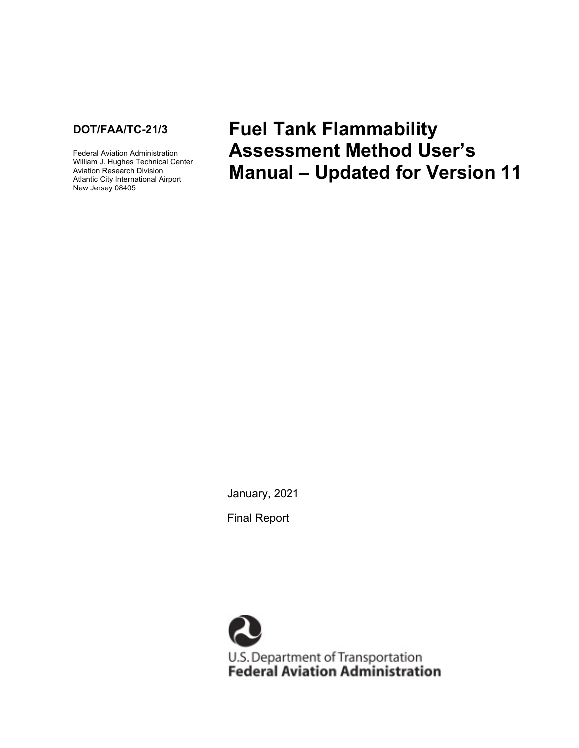

Federal Aviation Administration William J. Hughes Technical Center Aviation Research Division Atlantic City International Airport New Jersey 08405

**Fuel Tank Flammability Assessment Method User's Manual – Updated for Version 11**

January, 2021

Final Report

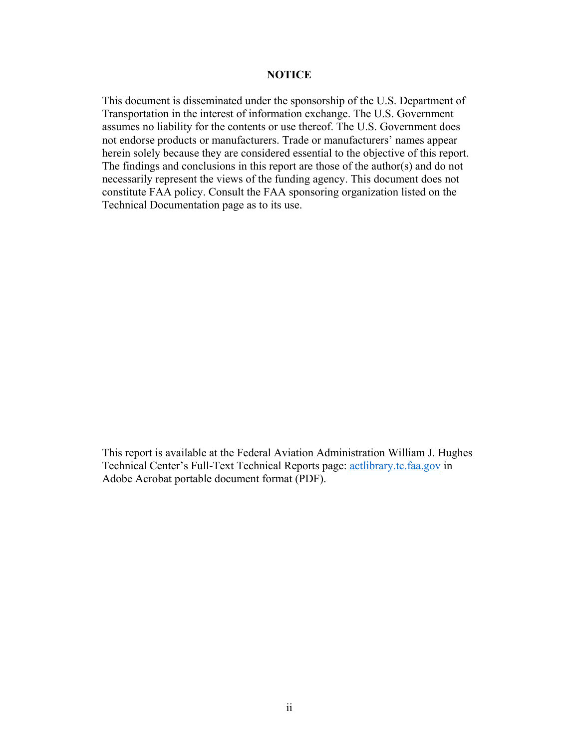#### **NOTICE**

This document is disseminated under the sponsorship of the U.S. Department of Transportation in the interest of information exchange. The U.S. Government assumes no liability for the contents or use thereof. The U.S. Government does not endorse products or manufacturers. Trade or manufacturers' names appear herein solely because they are considered essential to the objective of this report. The findings and conclusions in this report are those of the author(s) and do not necessarily represent the views of the funding agency. This document does not constitute FAA policy. Consult the FAA sponsoring organization listed on the Technical Documentation page as to its use.

This report is available at the Federal Aviation Administration William J. Hughes Technical Center's Full-Text Technical Reports page: [actlibrary.tc.faa.gov](http://actlibrary.tc.faa.gov/) in Adobe Acrobat portable document format (PDF).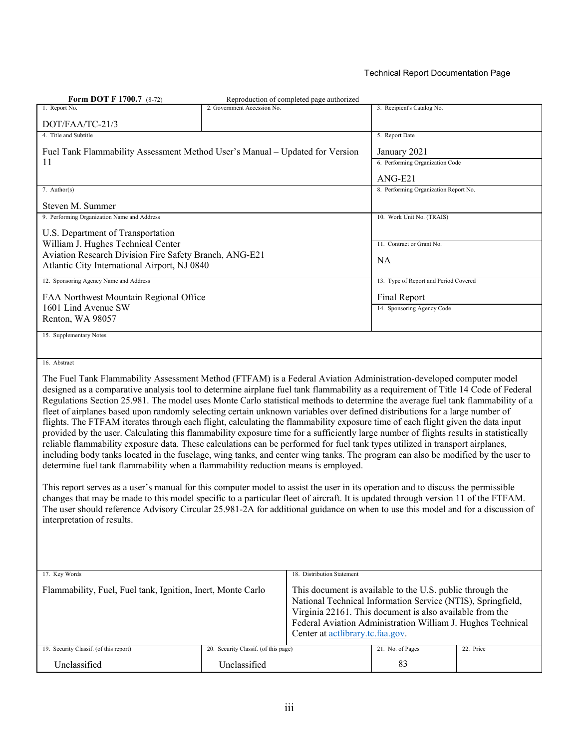#### Technical Report Documentation Page

| <b>Form DOT F 1700.7</b> (8-72)                                                                                                                                                                                                                                                                                                                                                                                                                                                                                                                                                                                                                                                                                                                                                                                                                                                                                                                                                                                                                                                                                                                                                                                                                                                                                                                                                                                                                                                                                                                                                                           |                                      | Reproduction of completed page authorized |                                                                                                                                                                                                                                                     |           |
|-----------------------------------------------------------------------------------------------------------------------------------------------------------------------------------------------------------------------------------------------------------------------------------------------------------------------------------------------------------------------------------------------------------------------------------------------------------------------------------------------------------------------------------------------------------------------------------------------------------------------------------------------------------------------------------------------------------------------------------------------------------------------------------------------------------------------------------------------------------------------------------------------------------------------------------------------------------------------------------------------------------------------------------------------------------------------------------------------------------------------------------------------------------------------------------------------------------------------------------------------------------------------------------------------------------------------------------------------------------------------------------------------------------------------------------------------------------------------------------------------------------------------------------------------------------------------------------------------------------|--------------------------------------|-------------------------------------------|-----------------------------------------------------------------------------------------------------------------------------------------------------------------------------------------------------------------------------------------------------|-----------|
| 1. Report No.                                                                                                                                                                                                                                                                                                                                                                                                                                                                                                                                                                                                                                                                                                                                                                                                                                                                                                                                                                                                                                                                                                                                                                                                                                                                                                                                                                                                                                                                                                                                                                                             | 2. Government Accession No.          |                                           | 3. Recipient's Catalog No.                                                                                                                                                                                                                          |           |
| DOT/FAA/TC-21/3                                                                                                                                                                                                                                                                                                                                                                                                                                                                                                                                                                                                                                                                                                                                                                                                                                                                                                                                                                                                                                                                                                                                                                                                                                                                                                                                                                                                                                                                                                                                                                                           |                                      |                                           |                                                                                                                                                                                                                                                     |           |
| 4. Title and Subtitle                                                                                                                                                                                                                                                                                                                                                                                                                                                                                                                                                                                                                                                                                                                                                                                                                                                                                                                                                                                                                                                                                                                                                                                                                                                                                                                                                                                                                                                                                                                                                                                     |                                      |                                           | 5. Report Date                                                                                                                                                                                                                                      |           |
| Fuel Tank Flammability Assessment Method User's Manual – Updated for Version                                                                                                                                                                                                                                                                                                                                                                                                                                                                                                                                                                                                                                                                                                                                                                                                                                                                                                                                                                                                                                                                                                                                                                                                                                                                                                                                                                                                                                                                                                                              |                                      |                                           | January 2021                                                                                                                                                                                                                                        |           |
| 11                                                                                                                                                                                                                                                                                                                                                                                                                                                                                                                                                                                                                                                                                                                                                                                                                                                                                                                                                                                                                                                                                                                                                                                                                                                                                                                                                                                                                                                                                                                                                                                                        |                                      |                                           | 6. Performing Organization Code                                                                                                                                                                                                                     |           |
|                                                                                                                                                                                                                                                                                                                                                                                                                                                                                                                                                                                                                                                                                                                                                                                                                                                                                                                                                                                                                                                                                                                                                                                                                                                                                                                                                                                                                                                                                                                                                                                                           |                                      |                                           | $ANG-E21$                                                                                                                                                                                                                                           |           |
| 7. Author(s)                                                                                                                                                                                                                                                                                                                                                                                                                                                                                                                                                                                                                                                                                                                                                                                                                                                                                                                                                                                                                                                                                                                                                                                                                                                                                                                                                                                                                                                                                                                                                                                              |                                      |                                           | 8. Performing Organization Report No.                                                                                                                                                                                                               |           |
| Steven M. Summer                                                                                                                                                                                                                                                                                                                                                                                                                                                                                                                                                                                                                                                                                                                                                                                                                                                                                                                                                                                                                                                                                                                                                                                                                                                                                                                                                                                                                                                                                                                                                                                          |                                      |                                           |                                                                                                                                                                                                                                                     |           |
| 9. Performing Organization Name and Address                                                                                                                                                                                                                                                                                                                                                                                                                                                                                                                                                                                                                                                                                                                                                                                                                                                                                                                                                                                                                                                                                                                                                                                                                                                                                                                                                                                                                                                                                                                                                               |                                      |                                           | 10. Work Unit No. (TRAIS)                                                                                                                                                                                                                           |           |
| U.S. Department of Transportation                                                                                                                                                                                                                                                                                                                                                                                                                                                                                                                                                                                                                                                                                                                                                                                                                                                                                                                                                                                                                                                                                                                                                                                                                                                                                                                                                                                                                                                                                                                                                                         |                                      |                                           |                                                                                                                                                                                                                                                     |           |
| William J. Hughes Technical Center<br>Aviation Research Division Fire Safety Branch, ANG-E21                                                                                                                                                                                                                                                                                                                                                                                                                                                                                                                                                                                                                                                                                                                                                                                                                                                                                                                                                                                                                                                                                                                                                                                                                                                                                                                                                                                                                                                                                                              |                                      |                                           | 11. Contract or Grant No.                                                                                                                                                                                                                           |           |
| Atlantic City International Airport, NJ 0840                                                                                                                                                                                                                                                                                                                                                                                                                                                                                                                                                                                                                                                                                                                                                                                                                                                                                                                                                                                                                                                                                                                                                                                                                                                                                                                                                                                                                                                                                                                                                              |                                      |                                           | <b>NA</b>                                                                                                                                                                                                                                           |           |
| 12. Sponsoring Agency Name and Address                                                                                                                                                                                                                                                                                                                                                                                                                                                                                                                                                                                                                                                                                                                                                                                                                                                                                                                                                                                                                                                                                                                                                                                                                                                                                                                                                                                                                                                                                                                                                                    |                                      |                                           | 13. Type of Report and Period Covered                                                                                                                                                                                                               |           |
| FAA Northwest Mountain Regional Office                                                                                                                                                                                                                                                                                                                                                                                                                                                                                                                                                                                                                                                                                                                                                                                                                                                                                                                                                                                                                                                                                                                                                                                                                                                                                                                                                                                                                                                                                                                                                                    |                                      |                                           | Final Report                                                                                                                                                                                                                                        |           |
| 1601 Lind Avenue SW                                                                                                                                                                                                                                                                                                                                                                                                                                                                                                                                                                                                                                                                                                                                                                                                                                                                                                                                                                                                                                                                                                                                                                                                                                                                                                                                                                                                                                                                                                                                                                                       |                                      |                                           | 14. Sponsoring Agency Code                                                                                                                                                                                                                          |           |
| Renton, WA 98057                                                                                                                                                                                                                                                                                                                                                                                                                                                                                                                                                                                                                                                                                                                                                                                                                                                                                                                                                                                                                                                                                                                                                                                                                                                                                                                                                                                                                                                                                                                                                                                          |                                      |                                           |                                                                                                                                                                                                                                                     |           |
| 15. Supplementary Notes                                                                                                                                                                                                                                                                                                                                                                                                                                                                                                                                                                                                                                                                                                                                                                                                                                                                                                                                                                                                                                                                                                                                                                                                                                                                                                                                                                                                                                                                                                                                                                                   |                                      |                                           |                                                                                                                                                                                                                                                     |           |
|                                                                                                                                                                                                                                                                                                                                                                                                                                                                                                                                                                                                                                                                                                                                                                                                                                                                                                                                                                                                                                                                                                                                                                                                                                                                                                                                                                                                                                                                                                                                                                                                           |                                      |                                           |                                                                                                                                                                                                                                                     |           |
| 16. Abstract                                                                                                                                                                                                                                                                                                                                                                                                                                                                                                                                                                                                                                                                                                                                                                                                                                                                                                                                                                                                                                                                                                                                                                                                                                                                                                                                                                                                                                                                                                                                                                                              |                                      |                                           |                                                                                                                                                                                                                                                     |           |
| The Fuel Tank Flammability Assessment Method (FTFAM) is a Federal Aviation Administration-developed computer model<br>designed as a comparative analysis tool to determine airplane fuel tank flammability as a requirement of Title 14 Code of Federal<br>Regulations Section 25.981. The model uses Monte Carlo statistical methods to determine the average fuel tank flammability of a<br>fleet of airplanes based upon randomly selecting certain unknown variables over defined distributions for a large number of<br>flights. The FTFAM iterates through each flight, calculating the flammability exposure time of each flight given the data input<br>provided by the user. Calculating this flammability exposure time for a sufficiently large number of flights results in statistically<br>reliable flammability exposure data. These calculations can be performed for fuel tank types utilized in transport airplanes,<br>including body tanks located in the fuselage, wing tanks, and center wing tanks. The program can also be modified by the user to<br>determine fuel tank flammability when a flammability reduction means is employed.<br>This report serves as a user's manual for this computer model to assist the user in its operation and to discuss the permissible<br>changes that may be made to this model specific to a particular fleet of aircraft. It is updated through version 11 of the FTFAM.<br>The user should reference Advisory Circular 25.981-2A for additional guidance on when to use this model and for a discussion of<br>interpretation of results. |                                      |                                           |                                                                                                                                                                                                                                                     |           |
| 17. Key Words                                                                                                                                                                                                                                                                                                                                                                                                                                                                                                                                                                                                                                                                                                                                                                                                                                                                                                                                                                                                                                                                                                                                                                                                                                                                                                                                                                                                                                                                                                                                                                                             |                                      | 18. Distribution Statement                |                                                                                                                                                                                                                                                     |           |
| Flammability, Fuel, Fuel tank, Ignition, Inert, Monte Carlo                                                                                                                                                                                                                                                                                                                                                                                                                                                                                                                                                                                                                                                                                                                                                                                                                                                                                                                                                                                                                                                                                                                                                                                                                                                                                                                                                                                                                                                                                                                                               |                                      | Center at actlibrary.tc.faa.gov.          | This document is available to the U.S. public through the<br>National Technical Information Service (NTIS), Springfield,<br>Virginia 22161. This document is also available from the<br>Federal Aviation Administration William J. Hughes Technical |           |
| 19. Security Classif. (of this report)                                                                                                                                                                                                                                                                                                                                                                                                                                                                                                                                                                                                                                                                                                                                                                                                                                                                                                                                                                                                                                                                                                                                                                                                                                                                                                                                                                                                                                                                                                                                                                    | 20. Security Classif. (of this page) |                                           | 21. No. of Pages                                                                                                                                                                                                                                    | 22. Price |
| Unclassified                                                                                                                                                                                                                                                                                                                                                                                                                                                                                                                                                                                                                                                                                                                                                                                                                                                                                                                                                                                                                                                                                                                                                                                                                                                                                                                                                                                                                                                                                                                                                                                              | Unclassified                         |                                           | 83                                                                                                                                                                                                                                                  |           |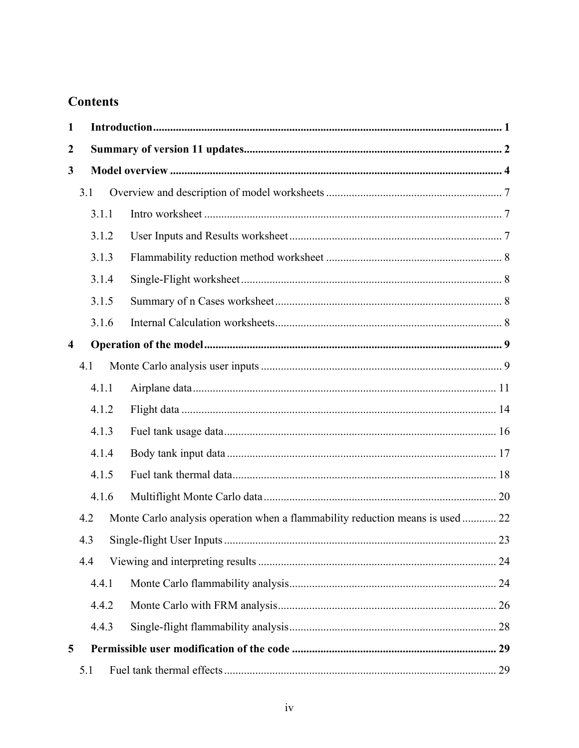# **Contents**

| 1                |     |       |                                                                                |    |
|------------------|-----|-------|--------------------------------------------------------------------------------|----|
| $\boldsymbol{2}$ |     |       |                                                                                |    |
| 3                |     |       |                                                                                |    |
|                  | 3.1 |       |                                                                                |    |
|                  |     | 3.1.1 |                                                                                |    |
|                  |     | 3.1.2 |                                                                                |    |
|                  |     | 3.1.3 |                                                                                |    |
|                  |     | 3.1.4 |                                                                                |    |
|                  |     | 3.1.5 |                                                                                |    |
|                  |     | 3.1.6 |                                                                                |    |
| $\overline{4}$   |     |       |                                                                                |    |
|                  | 4.1 |       |                                                                                |    |
|                  |     | 4.1.1 |                                                                                |    |
|                  |     | 4.1.2 |                                                                                |    |
|                  |     | 4.1.3 |                                                                                |    |
|                  |     | 4.1.4 |                                                                                |    |
|                  |     | 4.1.5 |                                                                                |    |
|                  |     | 4.1.6 |                                                                                |    |
|                  | 4.2 |       | Monte Carlo analysis operation when a flammability reduction means is used  22 |    |
|                  | 4.3 |       |                                                                                |    |
|                  | 4.4 |       |                                                                                |    |
|                  |     | 4.4.1 |                                                                                |    |
|                  |     | 4.4.2 |                                                                                |    |
|                  |     | 4.4.3 |                                                                                |    |
| 5                |     |       |                                                                                |    |
|                  | 5.1 |       |                                                                                | 29 |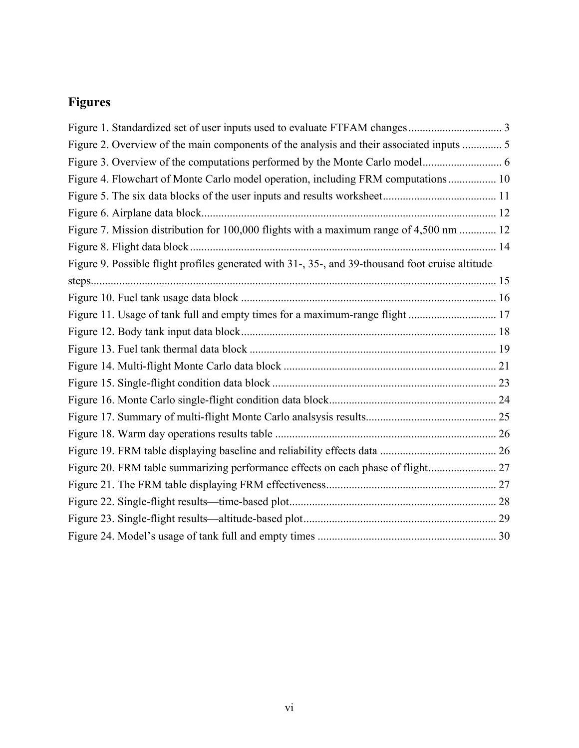# **Figures**

| Figure 2. Overview of the main components of the analysis and their associated inputs  5         |  |
|--------------------------------------------------------------------------------------------------|--|
|                                                                                                  |  |
| Figure 4. Flowchart of Monte Carlo model operation, including FRM computations 10                |  |
|                                                                                                  |  |
|                                                                                                  |  |
| Figure 7. Mission distribution for 100,000 flights with a maximum range of 4,500 nm  12          |  |
|                                                                                                  |  |
| Figure 9. Possible flight profiles generated with 31-, 35-, and 39-thousand foot cruise altitude |  |
|                                                                                                  |  |
|                                                                                                  |  |
| Figure 11. Usage of tank full and empty times for a maximum-range flight  17                     |  |
|                                                                                                  |  |
|                                                                                                  |  |
|                                                                                                  |  |
|                                                                                                  |  |
|                                                                                                  |  |
|                                                                                                  |  |
|                                                                                                  |  |
|                                                                                                  |  |
| Figure 20. FRM table summarizing performance effects on each phase of flight 27                  |  |
|                                                                                                  |  |
|                                                                                                  |  |
|                                                                                                  |  |
|                                                                                                  |  |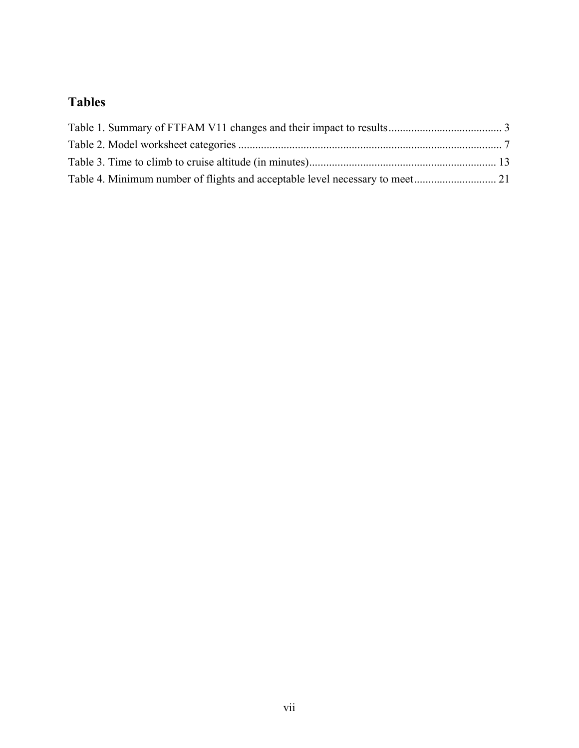# **Tables**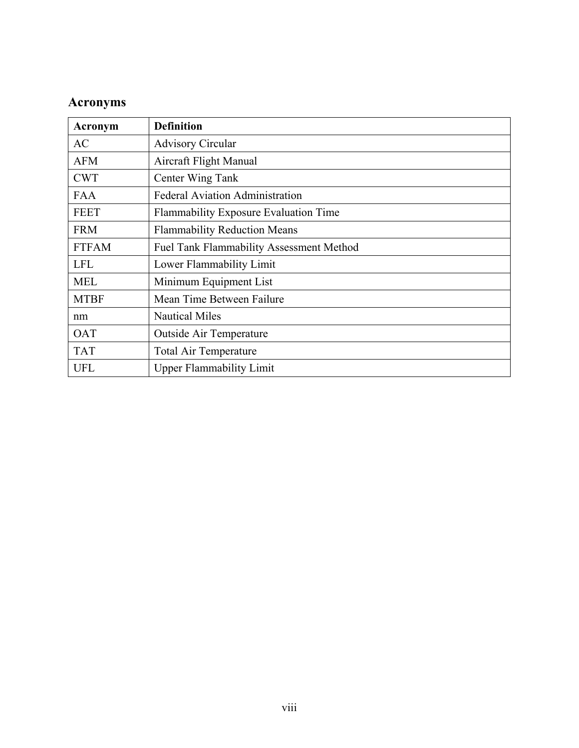# **Acronyms**

| Acronym      | <b>Definition</b>                               |
|--------------|-------------------------------------------------|
| AC           | <b>Advisory Circular</b>                        |
| <b>AFM</b>   | Aircraft Flight Manual                          |
| <b>CWT</b>   | Center Wing Tank                                |
| <b>FAA</b>   | <b>Federal Aviation Administration</b>          |
| <b>FEET</b>  | <b>Flammability Exposure Evaluation Time</b>    |
| <b>FRM</b>   | <b>Flammability Reduction Means</b>             |
| <b>FTFAM</b> | <b>Fuel Tank Flammability Assessment Method</b> |
| <b>LFL</b>   | Lower Flammability Limit                        |
| <b>MEL</b>   | Minimum Equipment List                          |
| <b>MTBF</b>  | Mean Time Between Failure                       |
| nm           | <b>Nautical Miles</b>                           |
| <b>OAT</b>   | <b>Outside Air Temperature</b>                  |
| <b>TAT</b>   | <b>Total Air Temperature</b>                    |
| <b>UFL</b>   | <b>Upper Flammability Limit</b>                 |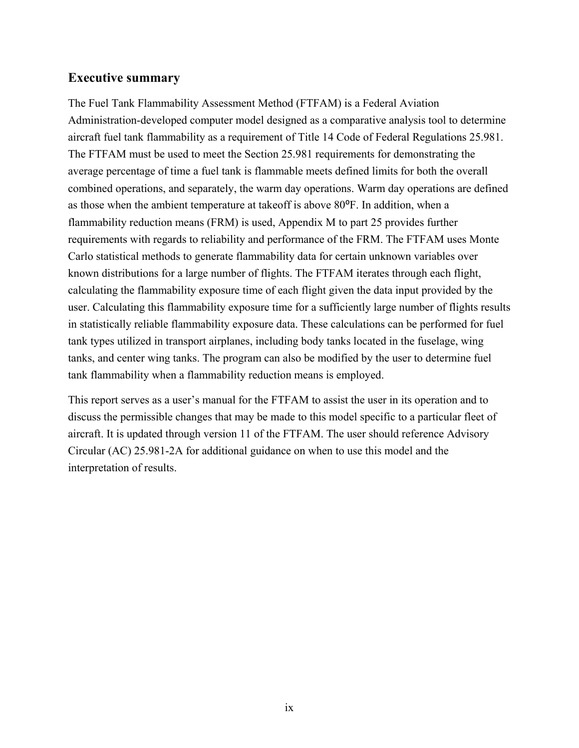#### **Executive summary**

The Fuel Tank Flammability Assessment Method (FTFAM) is a Federal Aviation Administration-developed computer model designed as a comparative analysis tool to determine aircraft fuel tank flammability as a requirement of Title 14 Code of Federal Regulations 25.981. The FTFAM must be used to meet the Section 25.981 requirements for demonstrating the average percentage of time a fuel tank is flammable meets defined limits for both the overall combined operations, and separately, the warm day operations. Warm day operations are defined as those when the ambient temperature at takeoff is above 80°F. In addition, when a flammability reduction means (FRM) is used, Appendix M to part 25 provides further requirements with regards to reliability and performance of the FRM. The FTFAM uses Monte Carlo statistical methods to generate flammability data for certain unknown variables over known distributions for a large number of flights. The FTFAM iterates through each flight, calculating the flammability exposure time of each flight given the data input provided by the user. Calculating this flammability exposure time for a sufficiently large number of flights results in statistically reliable flammability exposure data. These calculations can be performed for fuel tank types utilized in transport airplanes, including body tanks located in the fuselage, wing tanks, and center wing tanks. The program can also be modified by the user to determine fuel tank flammability when a flammability reduction means is employed.

This report serves as a user's manual for the FTFAM to assist the user in its operation and to discuss the permissible changes that may be made to this model specific to a particular fleet of aircraft. It is updated through version 11 of the FTFAM. The user should reference Advisory Circular (AC) 25.981-2A for additional guidance on when to use this model and the interpretation of results.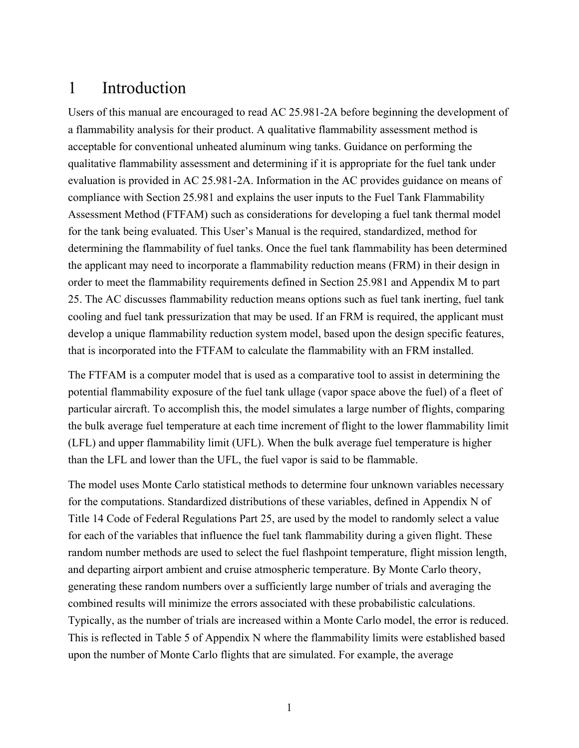## <span id="page-9-0"></span>1 Introduction

Users of this manual are encouraged to read AC 25.981-2A before beginning the development of a flammability analysis for their product. A qualitative flammability assessment method is acceptable for conventional unheated aluminum wing tanks. Guidance on performing the qualitative flammability assessment and determining if it is appropriate for the fuel tank under evaluation is provided in AC 25.981-2A. Information in the AC provides guidance on means of compliance with Section 25.981 and explains the user inputs to the Fuel Tank Flammability Assessment Method (FTFAM) such as considerations for developing a fuel tank thermal model for the tank being evaluated. This User's Manual is the required, standardized, method for determining the flammability of fuel tanks. Once the fuel tank flammability has been determined the applicant may need to incorporate a flammability reduction means (FRM) in their design in order to meet the flammability requirements defined in Section 25.981 and Appendix M to part 25. The AC discusses flammability reduction means options such as fuel tank inerting, fuel tank cooling and fuel tank pressurization that may be used. If an FRM is required, the applicant must develop a unique flammability reduction system model, based upon the design specific features, that is incorporated into the FTFAM to calculate the flammability with an FRM installed.

The FTFAM is a computer model that is used as a comparative tool to assist in determining the potential flammability exposure of the fuel tank ullage (vapor space above the fuel) of a fleet of particular aircraft. To accomplish this, the model simulates a large number of flights, comparing the bulk average fuel temperature at each time increment of flight to the lower flammability limit (LFL) and upper flammability limit (UFL). When the bulk average fuel temperature is higher than the LFL and lower than the UFL, the fuel vapor is said to be flammable.

The model uses Monte Carlo statistical methods to determine four unknown variables necessary for the computations. Standardized distributions of these variables, defined in Appendix N of Title 14 Code of Federal Regulations Part 25, are used by the model to randomly select a value for each of the variables that influence the fuel tank flammability during a given flight. These random number methods are used to select the fuel flashpoint temperature, flight mission length, and departing airport ambient and cruise atmospheric temperature. By Monte Carlo theory, generating these random numbers over a sufficiently large number of trials and averaging the combined results will minimize the errors associated with these probabilistic calculations. Typically, as the number of trials are increased within a Monte Carlo model, the error is reduced. This is reflected in Table 5 of Appendix N where the flammability limits were established based upon the number of Monte Carlo flights that are simulated. For example, the average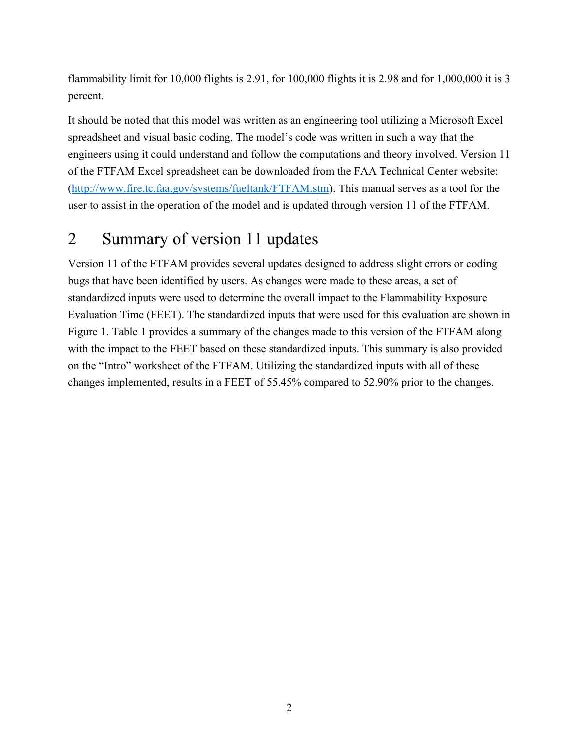flammability limit for 10,000 flights is 2.91, for 100,000 flights it is 2.98 and for 1,000,000 it is 3 percent.

It should be noted that this model was written as an engineering tool utilizing a Microsoft Excel spreadsheet and visual basic coding. The model's code was written in such a way that the engineers using it could understand and follow the computations and theory involved. Version 11 of the FTFAM Excel spreadsheet can be downloaded from the FAA Technical Center website: [\(http://www.fire.tc.faa.gov/systems/fueltank/FTFAM.stm\)](http://www.fire.tc.faa.gov/systems/fueltank/FTFAM.stm). This manual serves as a tool for the user to assist in the operation of the model and is updated through version 11 of the FTFAM.

# <span id="page-10-0"></span>2 Summary of version 11 updates

Version 11 of the FTFAM provides several updates designed to address slight errors or coding bugs that have been identified by users. As changes were made to these areas, a set of standardized inputs were used to determine the overall impact to the Flammability Exposure Evaluation Time (FEET). The standardized inputs that were used for this evaluation are shown in [Figure 1.](#page-11-0) [Table 1](#page-11-1) provides a summary of the changes made to this version of the FTFAM along with the impact to the FEET based on these standardized inputs. This summary is also provided on the "Intro" worksheet of the FTFAM. Utilizing the standardized inputs with all of these changes implemented, results in a FEET of 55.45% compared to 52.90% prior to the changes.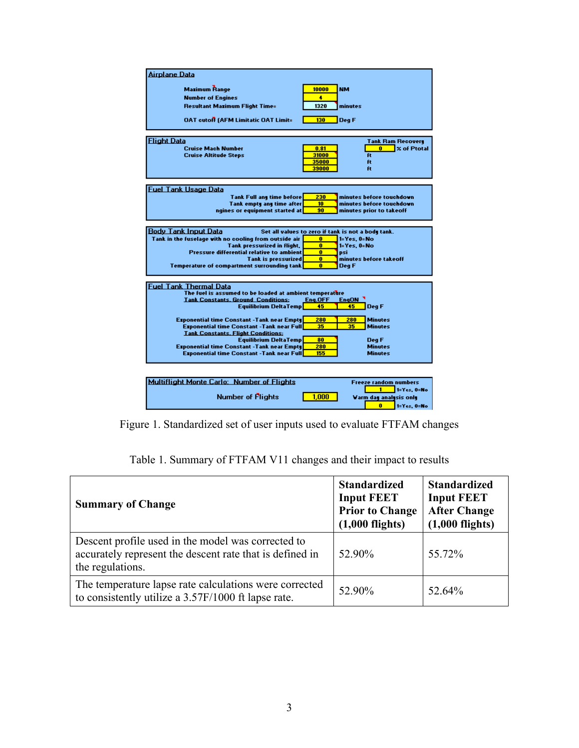| <u>Airplane Data</u>                                    |                                                    |
|---------------------------------------------------------|----------------------------------------------------|
| <b>Mazimum Range</b>                                    | 10000<br><b>NM</b>                                 |
| <b>Number of Engines</b>                                | ٠                                                  |
| <b>Resultant Mazimum Flight Time=</b>                   | 1320<br>minutes                                    |
|                                                         |                                                    |
| <b>OAT cutoff (AFM Limitatic OAT Limit=</b>             | 130<br>Deg F                                       |
|                                                         |                                                    |
|                                                         |                                                    |
| <b>Flight Data</b>                                      | Tank Ram Recovery                                  |
| <b>Cruise Mach Number</b>                               | $\mathbf{0}$<br><b>Z</b> of Ptotal<br>0.81         |
| <b>Cruise Altitude Steps</b>                            | 31000<br>Ĥt<br>35000<br>ft                         |
|                                                         | 39000<br>ft                                        |
|                                                         |                                                    |
|                                                         |                                                    |
| <b>Fuel Tank Usage Data</b>                             |                                                    |
| <b>Tank Full any time before</b>                        | minutes before touchdown<br>230                    |
| Tank empty any time after                               | 10<br>minutes before touchdown                     |
| ngines or equipment started at                          | 90<br>minutes prior to takeoff                     |
|                                                         |                                                    |
| <b>Body Tank Input Data</b>                             | Set all values to zero if tank is not a body tank. |
| Tank in the fuselage with no cooling from outside air   | o<br>1=Yes. 0=No                                   |
| Tank pressurized in flight.                             | 1=Yes. 0=No<br>0                                   |
| Pressure differential relative to ambient               | $\bf{0}$<br>DSİ                                    |
| <b>Tank is pressurized</b>                              | $\bf{0}$<br>minutes before takeoff                 |
| <b>Temperature of compartment surrounding tank</b>      | $\bf{0}$<br>Deg F                                  |
|                                                         |                                                    |
| Fuel Tank Thermal Data                                  |                                                    |
| The fuel is assumed to be loaded at ambient temperature |                                                    |
| <b>Tank Constants, Ground Conditions:</b>               | Eng.OFF<br>EngON <sup>1</sup>                      |
| Equilibrium DeltaTemp                                   | 45<br>45<br>Deg F                                  |
| <b>Exponential time Constant -Tank near Empty</b>       | 280<br>280<br><b>Minutes</b>                       |
| <b>Exponential time Constant -Tank near Full</b>        | 35<br>35<br><b>Minutes</b>                         |
| <b>Tank Constants, Flight Conditions:</b>               |                                                    |
| <b>Equilibrium DeltaTemp</b>                            | 80<br>Deg F                                        |
| <b>Exponential time Constant -Tank near Empty</b>       | 280<br><b>Minutes</b>                              |
| <b>Exponential time Constant -Tank near Full</b>        | 155<br><b>Minutes</b>                              |
|                                                         |                                                    |
|                                                         |                                                    |
| Multiflight Monte Carlo: Number of Flights              | <b>Freeze random numbers</b>                       |
|                                                         | 1<br>1=Yes, O=No                                   |
| <b>Number of Plights</b>                                | 1.000<br>Varm day analysis only                    |
|                                                         | $\bf{0}$<br>1=Yes, O=No                            |
|                                                         |                                                    |

<span id="page-11-0"></span>Figure 1. Standardized set of user inputs used to evaluate FTFAM changes

<span id="page-11-1"></span>

| <b>Summary of Change</b>                                                                                                           | <b>Standardized</b><br><b>Input FEET</b><br><b>Prior to Change</b><br>$(1,000$ flights) | <b>Standardized</b><br><b>Input FEET</b><br><b>After Change</b><br>$(1,000$ flights) |
|------------------------------------------------------------------------------------------------------------------------------------|-----------------------------------------------------------------------------------------|--------------------------------------------------------------------------------------|
| Descent profile used in the model was corrected to<br>accurately represent the descent rate that is defined in<br>the regulations. | 52.90%                                                                                  | 55.72%                                                                               |
| The temperature lapse rate calculations were corrected<br>to consistently utilize a 3.57F/1000 ft lapse rate.                      | 52.90%                                                                                  | 52.64%                                                                               |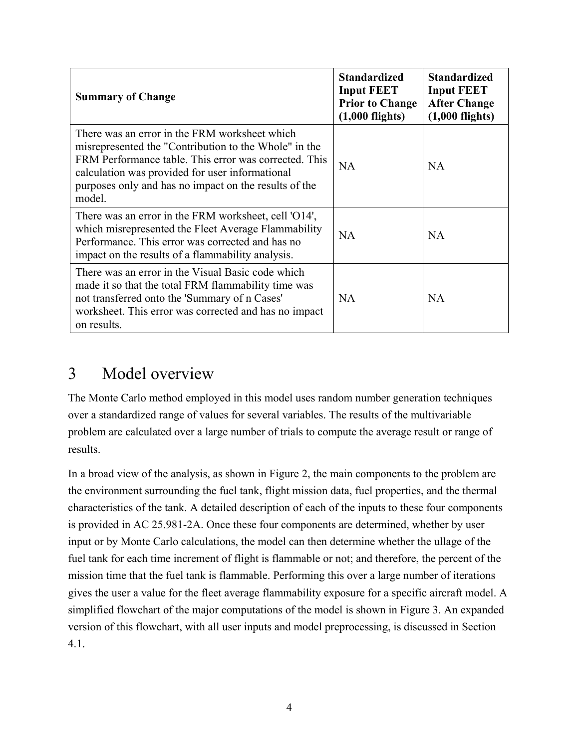| <b>Summary of Change</b>                                                                                                                                                                                                                                                              | <b>Standardized</b><br><b>Input FEET</b><br><b>Prior to Change</b><br>$(1,000$ flights) | <b>Standardized</b><br><b>Input FEET</b><br><b>After Change</b><br>$(1,000$ flights) |
|---------------------------------------------------------------------------------------------------------------------------------------------------------------------------------------------------------------------------------------------------------------------------------------|-----------------------------------------------------------------------------------------|--------------------------------------------------------------------------------------|
| There was an error in the FRM worksheet which<br>misrepresented the "Contribution to the Whole" in the<br>FRM Performance table. This error was corrected. This<br>calculation was provided for user informational<br>purposes only and has no impact on the results of the<br>model. | NA.                                                                                     | NA.                                                                                  |
| There was an error in the FRM worksheet, cell 'O14',<br>which misrepresented the Fleet Average Flammability<br>Performance. This error was corrected and has no<br>impact on the results of a flammability analysis.                                                                  | <b>NA</b>                                                                               | <b>NA</b>                                                                            |
| There was an error in the Visual Basic code which<br>made it so that the total FRM flammability time was<br>not transferred onto the 'Summary of n Cases'<br>worksheet. This error was corrected and has no impact<br>on results.                                                     | <b>NA</b>                                                                               | NA                                                                                   |

# <span id="page-12-0"></span>3 Model overview

The Monte Carlo method employed in this model uses random number generation techniques over a standardized range of values for several variables. The results of the multivariable problem are calculated over a large number of trials to compute the average result or range of results.

In a broad view of the analysis, as shown in [Figure 2,](#page-13-0) the main components to the problem are the environment surrounding the fuel tank, flight mission data, fuel properties, and the thermal characteristics of the tank. A detailed description of each of the inputs to these four components is provided in AC 25.981-2A. Once these four components are determined, whether by user input or by Monte Carlo calculations, the model can then determine whether the ullage of the fuel tank for each time increment of flight is flammable or not; and therefore, the percent of the mission time that the fuel tank is flammable. Performing this over a large number of iterations gives the user a value for the fleet average flammability exposure for a specific aircraft model. A simplified flowchart of the major computations of the model is shown in [Figure 3.](#page-14-0) An expanded version of this flowchart, with all user inputs and model preprocessing, is discussed in Section [4.1.](#page-17-1)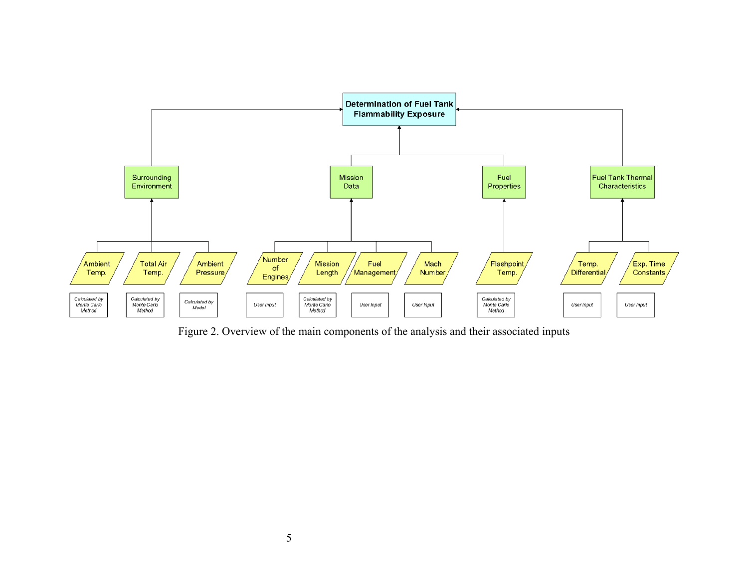

<span id="page-13-0"></span>Figure 2. Overview of the main components of the analysis and their associated inputs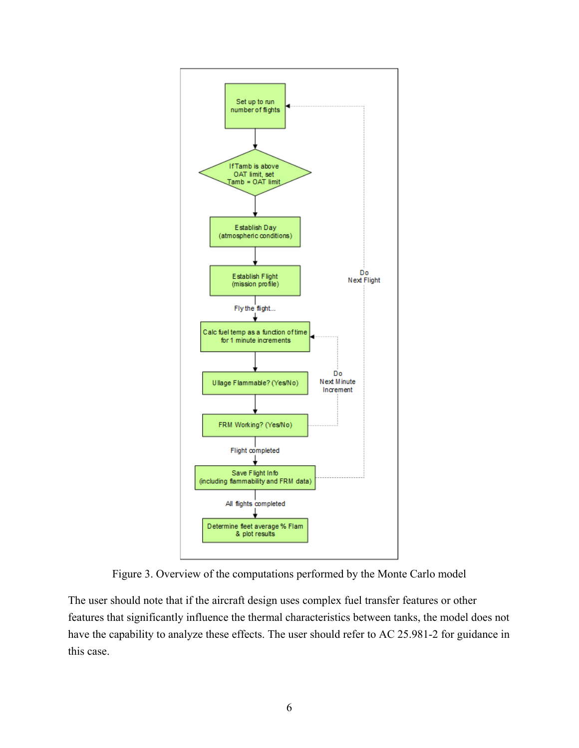



<span id="page-14-0"></span>The user should note that if the aircraft design uses complex fuel transfer features or other features that significantly influence the thermal characteristics between tanks, the model does not have the capability to analyze these effects. The user should refer to AC 25.981-2 for guidance in this case.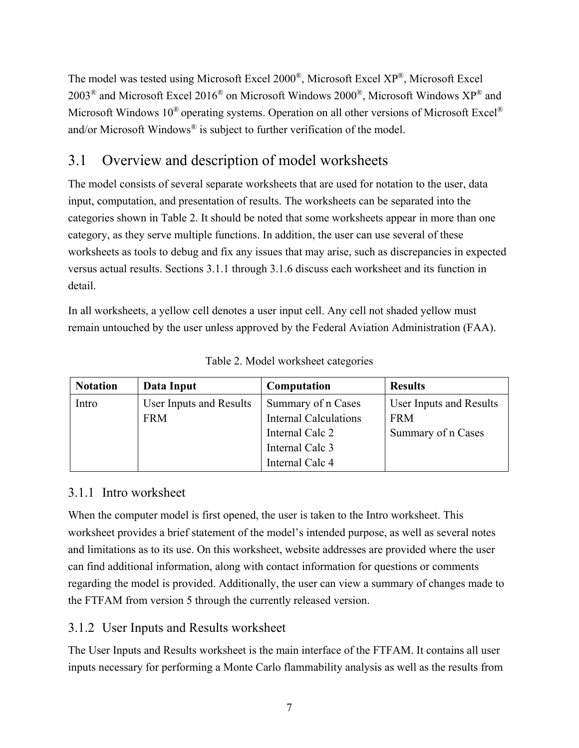The model was tested using Microsoft Excel 2000®, Microsoft Excel XP®, Microsoft Excel 2003<sup>®</sup> and Microsoft Excel 2016<sup>®</sup> on Microsoft Windows 2000<sup>®</sup>, Microsoft Windows  $XP^®$  and Microsoft Windows  $10^{\circledR}$  operating systems. Operation on all other versions of Microsoft Excel<sup>®</sup> and/or Microsoft Windows® is subject to further verification of the model.

# <span id="page-15-0"></span>3.1 Overview and description of model worksheets

The model consists of several separate worksheets that are used for notation to the user, data input, computation, and presentation of results. The worksheets can be separated into the categories shown in [Table 2.](#page-15-3) It should be noted that some worksheets appear in more than one category, as they serve multiple functions. In addition, the user can use several of these worksheets as tools to debug and fix any issues that may arise, such as discrepancies in expected versus actual results. Sections [3.1.1](#page-15-1) through [3.1.6](#page-16-3) discuss each worksheet and its function in detail.

In all worksheets, a yellow cell denotes a user input cell. Any cell not shaded yellow must remain untouched by the user unless approved by the Federal Aviation Administration (FAA).

<span id="page-15-3"></span>

| <b>Notation</b> | Data Input              | Computation                  | <b>Results</b>          |
|-----------------|-------------------------|------------------------------|-------------------------|
| Intro           | User Inputs and Results | Summary of n Cases           | User Inputs and Results |
|                 | <b>FRM</b>              | <b>Internal Calculations</b> | <b>FRM</b>              |
|                 |                         | Internal Calc 2              | Summary of n Cases      |
|                 |                         | Internal Calc 3              |                         |
|                 |                         | Internal Calc 4              |                         |

Table 2. Model worksheet categories

#### <span id="page-15-1"></span>3.1.1 Intro worksheet

When the computer model is first opened, the user is taken to the Intro worksheet. This worksheet provides a brief statement of the model's intended purpose, as well as several notes and limitations as to its use. On this worksheet, website addresses are provided where the user can find additional information, along with contact information for questions or comments regarding the model is provided. Additionally, the user can view a summary of changes made to the FTFAM from version 5 through the currently released version.

#### <span id="page-15-2"></span>3.1.2 User Inputs and Results worksheet

The User Inputs and Results worksheet is the main interface of the FTFAM. It contains all user inputs necessary for performing a Monte Carlo flammability analysis as well as the results from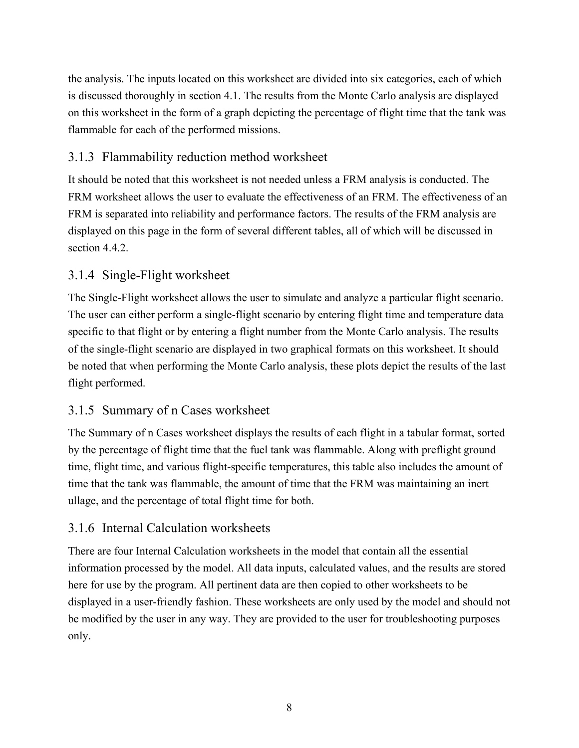the analysis. The inputs located on this worksheet are divided into six categories, each of which is discussed thoroughly in section [4.1.](#page-17-1) The results from the Monte Carlo analysis are displayed on this worksheet in the form of a graph depicting the percentage of flight time that the tank was flammable for each of the performed missions.

## <span id="page-16-0"></span>3.1.3 Flammability reduction method worksheet

It should be noted that this worksheet is not needed unless a FRM analysis is conducted. The FRM worksheet allows the user to evaluate the effectiveness of an FRM. The effectiveness of an FRM is separated into reliability and performance factors. The results of the FRM analysis are displayed on this page in the form of several different tables, all of which will be discussed in section [4.4.2.](#page-34-0)

## <span id="page-16-1"></span>3.1.4 Single-Flight worksheet

The Single-Flight worksheet allows the user to simulate and analyze a particular flight scenario. The user can either perform a single-flight scenario by entering flight time and temperature data specific to that flight or by entering a flight number from the Monte Carlo analysis. The results of the single-flight scenario are displayed in two graphical formats on this worksheet. It should be noted that when performing the Monte Carlo analysis, these plots depict the results of the last flight performed.

## <span id="page-16-2"></span>3.1.5 Summary of n Cases worksheet

The Summary of n Cases worksheet displays the results of each flight in a tabular format, sorted by the percentage of flight time that the fuel tank was flammable. Along with preflight ground time, flight time, and various flight-specific temperatures, this table also includes the amount of time that the tank was flammable, the amount of time that the FRM was maintaining an inert ullage, and the percentage of total flight time for both.

## <span id="page-16-3"></span>3.1.6 Internal Calculation worksheets

There are four Internal Calculation worksheets in the model that contain all the essential information processed by the model. All data inputs, calculated values, and the results are stored here for use by the program. All pertinent data are then copied to other worksheets to be displayed in a user-friendly fashion. These worksheets are only used by the model and should not be modified by the user in any way. They are provided to the user for troubleshooting purposes only.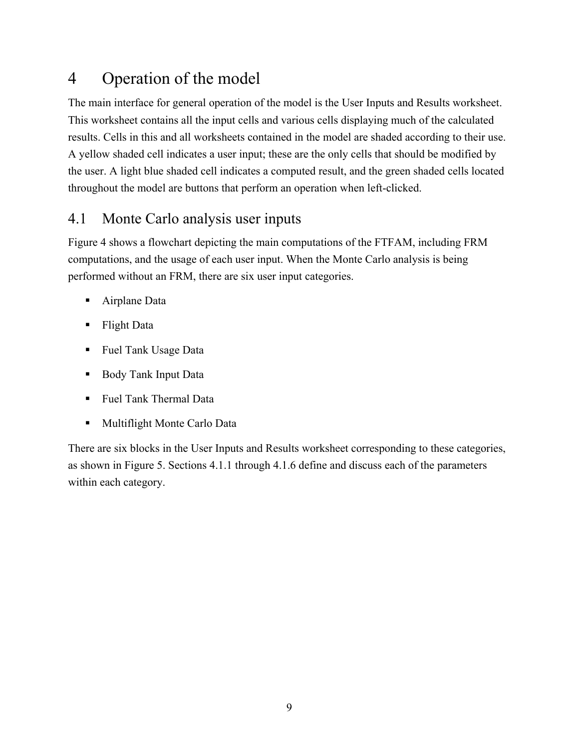# <span id="page-17-0"></span>4 Operation of the model

The main interface for general operation of the model is the User Inputs and Results worksheet. This worksheet contains all the input cells and various cells displaying much of the calculated results. Cells in this and all worksheets contained in the model are shaded according to their use. A yellow shaded cell indicates a user input; these are the only cells that should be modified by the user. A light blue shaded cell indicates a computed result, and the green shaded cells located throughout the model are buttons that perform an operation when left-clicked.

# <span id="page-17-1"></span>4.1 Monte Carlo analysis user inputs

[Figure 4](#page-18-0) shows a flowchart depicting the main computations of the FTFAM, including FRM computations, and the usage of each user input. When the Monte Carlo analysis is being performed without an FRM, there are six user input categories.

- Airplane Data
- **Flight Data**
- **Fuel Tank Usage Data**
- Body Tank Input Data
- Fuel Tank Thermal Data
- **Multiflight Monte Carlo Data**

There are six blocks in the User Inputs and Results worksheet corresponding to these categories, as shown in [Figure 5.](#page-19-1) Sections [4.1.1](#page-19-0) through [4.1.6](#page-28-0) define and discuss each of the parameters within each category.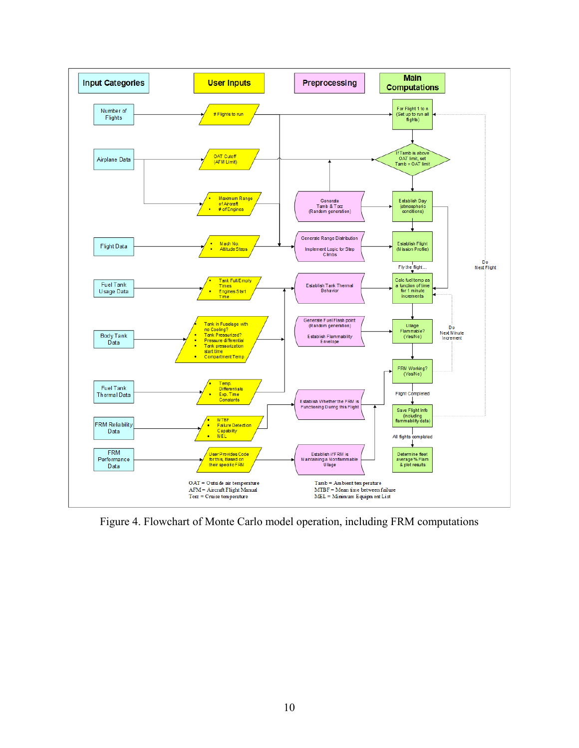

<span id="page-18-0"></span>Figure 4. Flowchart of Monte Carlo model operation, including FRM computations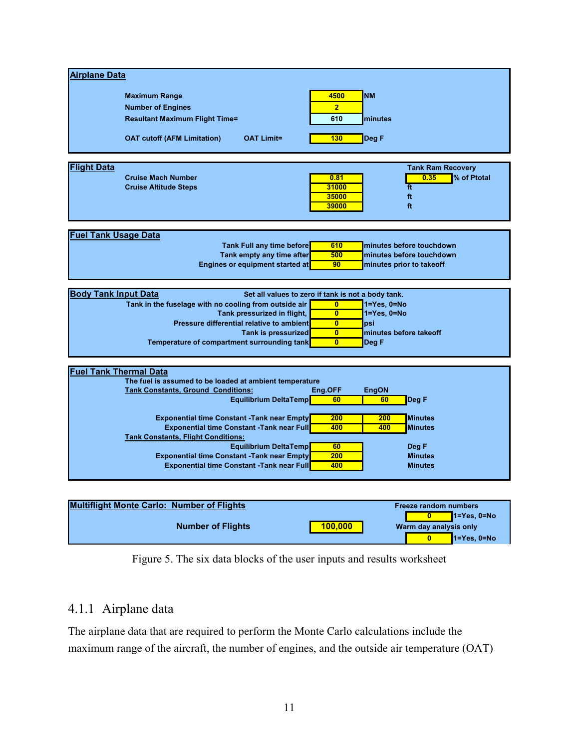| <b>Airplane Data</b>          |                                                         |                         |                          |
|-------------------------------|---------------------------------------------------------|-------------------------|--------------------------|
|                               |                                                         |                         | <b>NM</b>                |
|                               | <b>Maximum Range</b>                                    | 4500                    |                          |
|                               | <b>Number of Engines</b>                                | $\overline{2}$          |                          |
|                               | <b>Resultant Maximum Flight Time=</b>                   | 610                     | minutes                  |
|                               |                                                         |                         |                          |
|                               | <b>OAT Limit=</b><br><b>OAT cutoff (AFM Limitation)</b> | 130                     | Deg F                    |
|                               |                                                         |                         |                          |
|                               |                                                         |                         |                          |
| <b>Flight Data</b>            |                                                         |                         | <b>Tank Ram Recovery</b> |
|                               | <b>Cruise Mach Number</b>                               | 0.81                    | % of Ptotal<br>0.35      |
|                               | <b>Cruise Altitude Steps</b>                            | 31000                   | ft                       |
|                               |                                                         | 35000                   | ft                       |
|                               |                                                         | 39000                   | ft.                      |
|                               |                                                         |                         |                          |
|                               |                                                         |                         |                          |
| <b>Fuel Tank Usage Data</b>   |                                                         |                         |                          |
|                               | <b>Tank Full any time before</b>                        | 610                     | minutes before touchdown |
|                               | Tank empty any time after                               | 500                     | minutes before touchdown |
|                               | <b>Engines or equipment started at</b>                  | 90                      | minutes prior to takeoff |
|                               |                                                         |                         |                          |
|                               |                                                         |                         |                          |
|                               |                                                         |                         |                          |
| <b>Body Tank Input Data</b>   | Set all values to zero if tank is not a body tank.      |                         |                          |
|                               | Tank in the fuselage with no cooling from outside air   | $\mathbf{0}$            | $1 = Yes$ , $0 = No$     |
|                               | Tank pressurized in flight,                             | $\mathbf{0}$            | $1 = Yes, 0 = No$        |
|                               | Pressure differential relative to ambient               | $\mathbf{0}$            | psi                      |
|                               | Tank is pressurized                                     | $\overline{\mathbf{0}}$ | minutes before takeoff   |
|                               | Temperature of compartment surrounding tank             | $\mathbf{0}$            | Deg F                    |
|                               |                                                         |                         |                          |
|                               |                                                         |                         |                          |
| <b>Fuel Tank Thermal Data</b> |                                                         |                         |                          |
|                               | The fuel is assumed to be loaded at ambient temperature |                         |                          |
|                               | <b>Tank Constants, Ground Conditions:</b>               | Eng.OFF                 | <b>EngON</b>             |
|                               | <b>Equilibrium DeltaTemp</b>                            | 60                      | Deg F<br>60              |
|                               |                                                         |                         |                          |
|                               | <b>Exponential time Constant -Tank near Empty</b>       | 200                     | <b>Minutes</b><br>200    |
|                               | <b>Exponential time Constant -Tank near Full</b>        | 400                     | 400<br><b>Minutes</b>    |
|                               | <b>Tank Constants, Flight Conditions:</b>               |                         |                          |
|                               | <b>Equilibrium DeltaTemp</b>                            | 60                      | Deg F                    |
|                               | <b>Exponential time Constant -Tank near Empty</b>       | 200                     | <b>Minutes</b>           |
|                               | <b>Exponential time Constant -Tank near Full</b>        | 400                     | <b>Minutes</b>           |
|                               |                                                         |                         |                          |

| <b>Multiflight Monte Carlo: Number of Flights</b> |         | <b>Freeze random numbers</b> |
|---------------------------------------------------|---------|------------------------------|
|                                                   |         | <u>I</u> 1=Yes. 0=No         |
| <b>Number of Flights</b>                          | 100.000 | Warm day analysis only       |
|                                                   |         | 1=Yes. 0=No                  |

Figure 5. The six data blocks of the user inputs and results worksheet

## <span id="page-19-1"></span><span id="page-19-0"></span>4.1.1 Airplane data

The airplane data that are required to perform the Monte Carlo calculations include the maximum range of the aircraft, the number of engines, and the outside air temperature (OAT)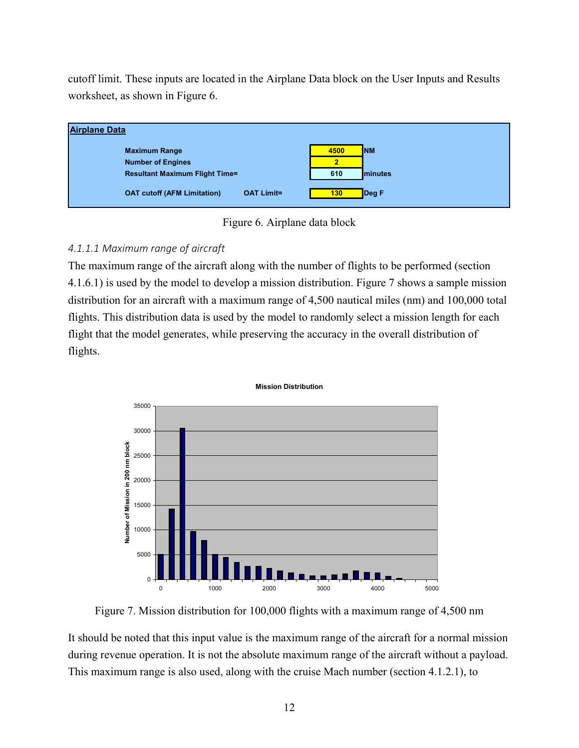cutoff limit. These inputs are located in the Airplane Data block on the User Inputs and Results worksheet, as shown in [Figure 6.](#page-20-0)



Figure 6. Airplane data block

#### <span id="page-20-2"></span><span id="page-20-0"></span>*4.1.1.1 Maximum range of aircraft*

The maximum range of the aircraft along with the number of flights to be performed (section [4.1.6.1\)](#page-29-2) is used by the model to develop a mission distribution. [Figure 7](#page-20-1) shows a sample mission distribution for an aircraft with a maximum range of 4,500 nautical miles (nm) and 100,000 total flights. This distribution data is used by the model to randomly select a mission length for each flight that the model generates, while preserving the accuracy in the overall distribution of flights.



Figure 7. Mission distribution for 100,000 flights with a maximum range of 4,500 nm

<span id="page-20-1"></span>It should be noted that this input value is the maximum range of the aircraft for a normal mission during revenue operation. It is not the absolute maximum range of the aircraft without a payload. This maximum range is also used, along with the cruise Mach number (section [4.1.2.1\)](#page-22-2), to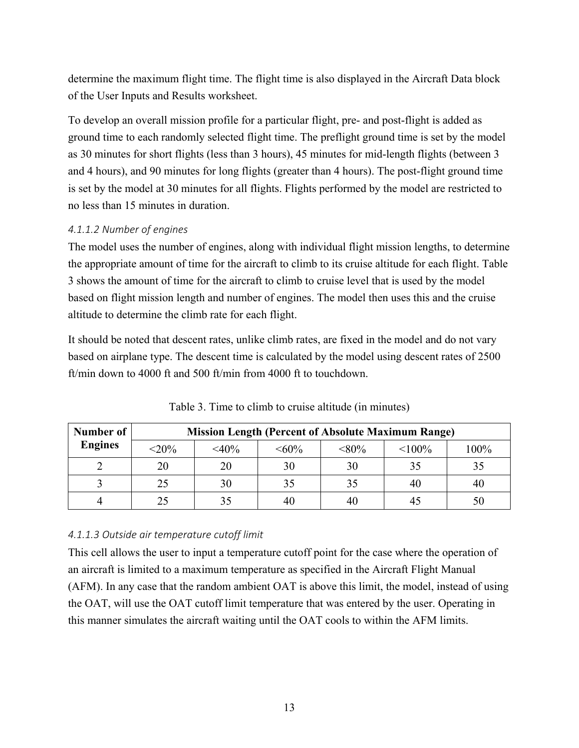determine the maximum flight time. The flight time is also displayed in the Aircraft Data block of the User Inputs and Results worksheet.

To develop an overall mission profile for a particular flight, pre- and post-flight is added as ground time to each randomly selected flight time. The preflight ground time is set by the model as 30 minutes for short flights (less than 3 hours), 45 minutes for mid-length flights (between 3 and 4 hours), and 90 minutes for long flights (greater than 4 hours). The post-flight ground time is set by the model at 30 minutes for all flights. Flights performed by the model are restricted to no less than 15 minutes in duration.

#### <span id="page-21-1"></span>*4.1.1.2 Number of engines*

The model uses the number of engines, along with individual flight mission lengths, to determine the appropriate amount of time for the aircraft to climb to its cruise altitude for each flight. [Table](#page-21-0)  [3](#page-21-0) shows the amount of time for the aircraft to climb to cruise level that is used by the model based on flight mission length and number of engines. The model then uses this and the cruise altitude to determine the climb rate for each flight.

It should be noted that descent rates, unlike climb rates, are fixed in the model and do not vary based on airplane type. The descent time is calculated by the model using descent rates of 2500 ft/min down to 4000 ft and 500 ft/min from 4000 ft to touchdown.

<span id="page-21-0"></span>

| Number of      | <b>Mission Length (Percent of Absolute Maximum Range)</b> |         |         |          |           |      |  |
|----------------|-----------------------------------------------------------|---------|---------|----------|-----------|------|--|
| <b>Engines</b> | $<$ 20%                                                   | $<$ 40% | $<60\%$ | $< 80\%$ | $< 100\%$ | 100% |  |
|                | 20                                                        | 20      | 30      | 30       | 35        | 35   |  |
|                | 25                                                        | 30      | 35      | 35       | 40        | 40   |  |
|                | 25                                                        |         |         | 40       | 4:        | 50   |  |

Table 3. Time to climb to cruise altitude (in minutes)

#### *4.1.1.3 Outside air temperature cutoff limit*

This cell allows the user to input a temperature cutoff point for the case where the operation of an aircraft is limited to a maximum temperature as specified in the Aircraft Flight Manual (AFM). In any case that the random ambient OAT is above this limit, the model, instead of using the OAT, will use the OAT cutoff limit temperature that was entered by the user. Operating in this manner simulates the aircraft waiting until the OAT cools to within the AFM limits.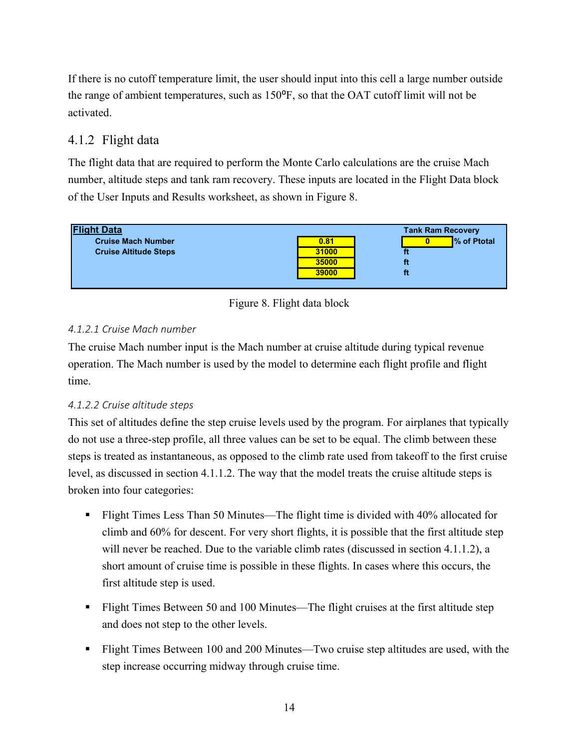If there is no cutoff temperature limit, the user should input into this cell a large number outside the range of ambient temperatures, such as  $150^{\circ}$ F, so that the OAT cutoff limit will not be activated.

### <span id="page-22-0"></span>4.1.2 Flight data

The flight data that are required to perform the Monte Carlo calculations are the cruise Mach number, altitude steps and tank ram recovery. These inputs are located in the Flight Data block of the User Inputs and Results worksheet, as shown in [Figure 8.](#page-22-1)





#### <span id="page-22-2"></span><span id="page-22-1"></span>*4.1.2.1 Cruise Mach number*

The cruise Mach number input is the Mach number at cruise altitude during typical revenue operation. The Mach number is used by the model to determine each flight profile and flight time.

#### *4.1.2.2 Cruise altitude steps*

This set of altitudes define the step cruise levels used by the program. For airplanes that typically do not use a three-step profile, all three values can be set to be equal. The climb between these steps is treated as instantaneous, as opposed to the climb rate used from takeoff to the first cruise level, as discussed in section [4.1.1.2.](#page-21-1) The way that the model treats the cruise altitude steps is broken into four categories:

- Flight Times Less Than 50 Minutes—The flight time is divided with 40% allocated for climb and 60% for descent. For very short flights, it is possible that the first altitude step will never be reached. Due to the variable climb rates (discussed in section [4.1.1.2\)](#page-21-1), a short amount of cruise time is possible in these flights. In cases where this occurs, the first altitude step is used.
- Flight Times Between 50 and 100 Minutes—The flight cruises at the first altitude step and does not step to the other levels.
- Flight Times Between 100 and 200 Minutes—Two cruise step altitudes are used, with the step increase occurring midway through cruise time.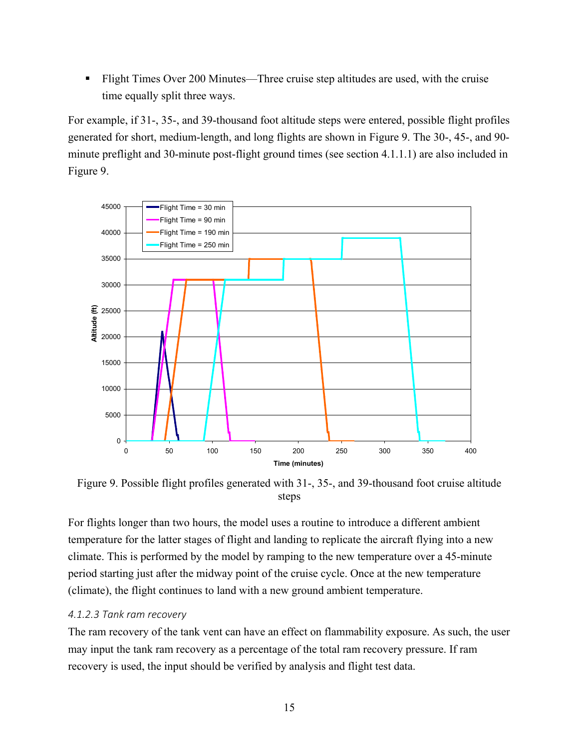Flight Times Over 200 Minutes—Three cruise step altitudes are used, with the cruise time equally split three ways.

For example, if 31-, 35-, and 39-thousand foot altitude steps were entered, possible flight profiles generated for short, medium-length, and long flights are shown in [Figure 9.](#page-23-0) The 30-, 45-, and 90 minute preflight and 30-minute post-flight ground times (see section [4.1.1.1\)](#page-20-2) are also included in [Figure 9.](#page-23-0)



<span id="page-23-0"></span>Figure 9. Possible flight profiles generated with 31-, 35-, and 39-thousand foot cruise altitude steps

For flights longer than two hours, the model uses a routine to introduce a different ambient temperature for the latter stages of flight and landing to replicate the aircraft flying into a new climate. This is performed by the model by ramping to the new temperature over a 45-minute period starting just after the midway point of the cruise cycle. Once at the new temperature (climate), the flight continues to land with a new ground ambient temperature.

#### *4.1.2.3 Tank ram recovery*

The ram recovery of the tank vent can have an effect on flammability exposure. As such, the user may input the tank ram recovery as a percentage of the total ram recovery pressure. If ram recovery is used, the input should be verified by analysis and flight test data.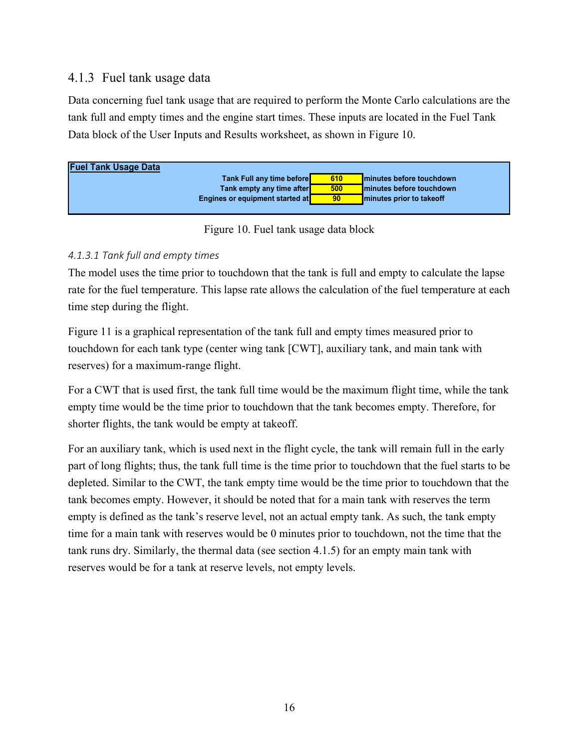### <span id="page-24-0"></span>4.1.3 Fuel tank usage data

Data concerning fuel tank usage that are required to perform the Monte Carlo calculations are the tank full and empty times and the engine start times. These inputs are located in the Fuel Tank Data block of the User Inputs and Results worksheet, as shown in [Figure 10.](#page-24-1)

| <b>Fuel Tank Usage Data</b> |                                  |                 |                           |
|-----------------------------|----------------------------------|-----------------|---------------------------|
|                             | <b>Tank Full any time before</b> | 610             | Iminutes before touchdown |
|                             | Tank empty any time after        | 500             | Iminutes before touchdown |
|                             | Engines or equipment started at  | 90 <sub>o</sub> | minutes prior to take off |

Figure 10. Fuel tank usage data block

#### <span id="page-24-1"></span>*4.1.3.1 Tank full and empty times*

The model uses the time prior to touchdown that the tank is full and empty to calculate the lapse rate for the fuel temperature. This lapse rate allows the calculation of the fuel temperature at each time step during the flight.

[Figure 11](#page-25-1) is a graphical representation of the tank full and empty times measured prior to touchdown for each tank type (center wing tank [CWT], auxiliary tank, and main tank with reserves) for a maximum-range flight.

For a CWT that is used first, the tank full time would be the maximum flight time, while the tank empty time would be the time prior to touchdown that the tank becomes empty. Therefore, for shorter flights, the tank would be empty at takeoff.

For an auxiliary tank, which is used next in the flight cycle, the tank will remain full in the early part of long flights; thus, the tank full time is the time prior to touchdown that the fuel starts to be depleted. Similar to the CWT, the tank empty time would be the time prior to touchdown that the tank becomes empty. However, it should be noted that for a main tank with reserves the term empty is defined as the tank's reserve level, not an actual empty tank. As such, the tank empty time for a main tank with reserves would be 0 minutes prior to touchdown, not the time that the tank runs dry. Similarly, the thermal data (see section [4.1.5\)](#page-26-0) for an empty main tank with reserves would be for a tank at reserve levels, not empty levels.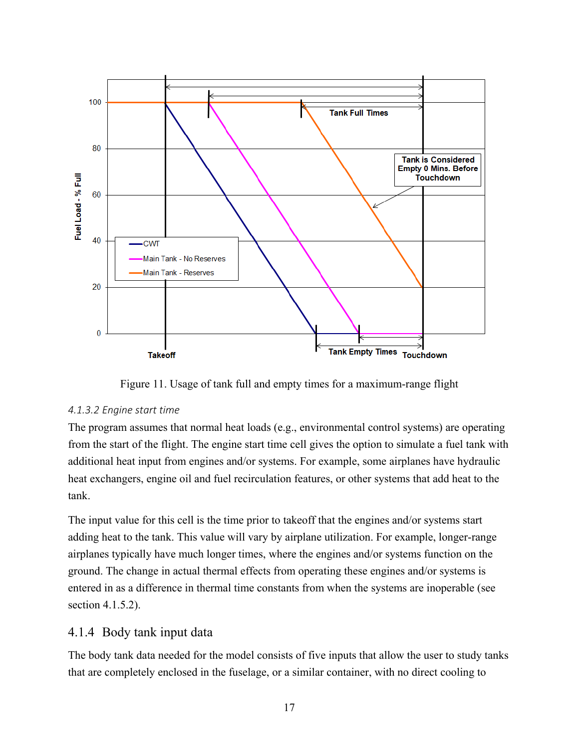

Figure 11. Usage of tank full and empty times for a maximum-range flight

#### <span id="page-25-1"></span>*4.1.3.2 Engine start time*

The program assumes that normal heat loads (e.g., environmental control systems) are operating from the start of the flight. The engine start time cell gives the option to simulate a fuel tank with additional heat input from engines and/or systems. For example, some airplanes have hydraulic heat exchangers, engine oil and fuel recirculation features, or other systems that add heat to the tank.

The input value for this cell is the time prior to takeoff that the engines and/or systems start adding heat to the tank. This value will vary by airplane utilization. For example, longer-range airplanes typically have much longer times, where the engines and/or systems function on the ground. The change in actual thermal effects from operating these engines and/or systems is entered in as a difference in thermal time constants from when the systems are inoperable (see section [4.1.5.2\)](#page-28-1).

#### <span id="page-25-0"></span>4.1.4 Body tank input data

The body tank data needed for the model consists of five inputs that allow the user to study tanks that are completely enclosed in the fuselage, or a similar container, with no direct cooling to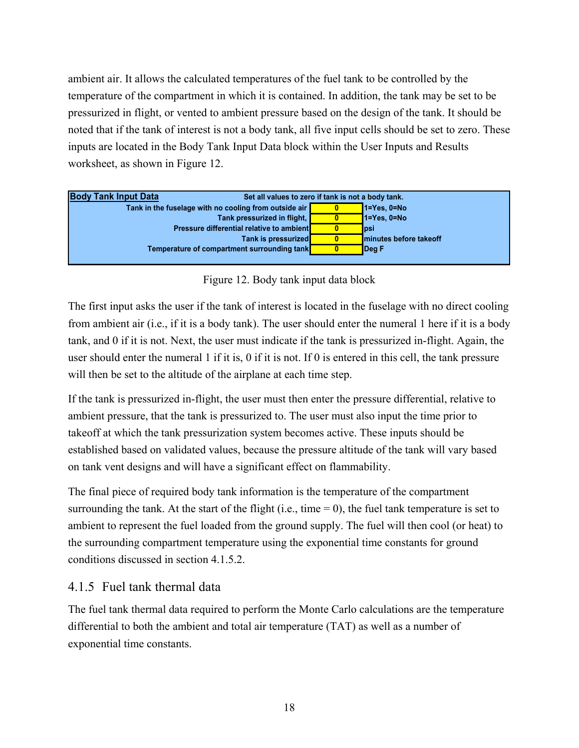ambient air. It allows the calculated temperatures of the fuel tank to be controlled by the temperature of the compartment in which it is contained. In addition, the tank may be set to be pressurized in flight, or vented to ambient pressure based on the design of the tank. It should be noted that if the tank of interest is not a body tank, all five input cells should be set to zero. These inputs are located in the Body Tank Input Data block within the User Inputs and Results worksheet, as shown in [Figure 12.](#page-26-1)



Figure 12. Body tank input data block

<span id="page-26-1"></span>The first input asks the user if the tank of interest is located in the fuselage with no direct cooling from ambient air (i.e., if it is a body tank). The user should enter the numeral 1 here if it is a body tank, and 0 if it is not. Next, the user must indicate if the tank is pressurized in-flight. Again, the user should enter the numeral 1 if it is, 0 if it is not. If 0 is entered in this cell, the tank pressure will then be set to the altitude of the airplane at each time step.

If the tank is pressurized in-flight, the user must then enter the pressure differential, relative to ambient pressure, that the tank is pressurized to. The user must also input the time prior to takeoff at which the tank pressurization system becomes active. These inputs should be established based on validated values, because the pressure altitude of the tank will vary based on tank vent designs and will have a significant effect on flammability.

The final piece of required body tank information is the temperature of the compartment surrounding the tank. At the start of the flight (i.e., time  $= 0$ ), the fuel tank temperature is set to ambient to represent the fuel loaded from the ground supply. The fuel will then cool (or heat) to the surrounding compartment temperature using the exponential time constants for ground conditions discussed in section [4.1.5.2.](#page-28-1)

## <span id="page-26-0"></span>4.1.5 Fuel tank thermal data

The fuel tank thermal data required to perform the Monte Carlo calculations are the temperature differential to both the ambient and total air temperature (TAT) as well as a number of exponential time constants.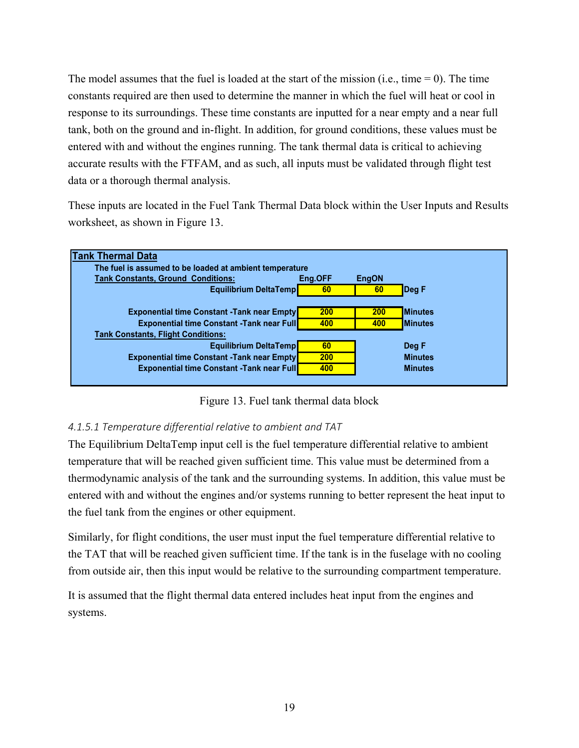The model assumes that the fuel is loaded at the start of the mission (i.e., time  $= 0$ ). The time constants required are then used to determine the manner in which the fuel will heat or cool in response to its surroundings. These time constants are inputted for a near empty and a near full tank, both on the ground and in-flight. In addition, for ground conditions, these values must be entered with and without the engines running. The tank thermal data is critical to achieving accurate results with the FTFAM, and as such, all inputs must be validated through flight test data or a thorough thermal analysis.

These inputs are located in the Fuel Tank Thermal Data block within the User Inputs and Results worksheet, as shown in [Figure 13.](#page-27-0)



Figure 13. Fuel tank thermal data block

#### <span id="page-27-1"></span><span id="page-27-0"></span>*4.1.5.1 Temperature differential relative to ambient and TAT*

The Equilibrium DeltaTemp input cell is the fuel temperature differential relative to ambient temperature that will be reached given sufficient time. This value must be determined from a thermodynamic analysis of the tank and the surrounding systems. In addition, this value must be entered with and without the engines and/or systems running to better represent the heat input to the fuel tank from the engines or other equipment.

Similarly, for flight conditions, the user must input the fuel temperature differential relative to the TAT that will be reached given sufficient time. If the tank is in the fuselage with no cooling from outside air, then this input would be relative to the surrounding compartment temperature.

It is assumed that the flight thermal data entered includes heat input from the engines and systems.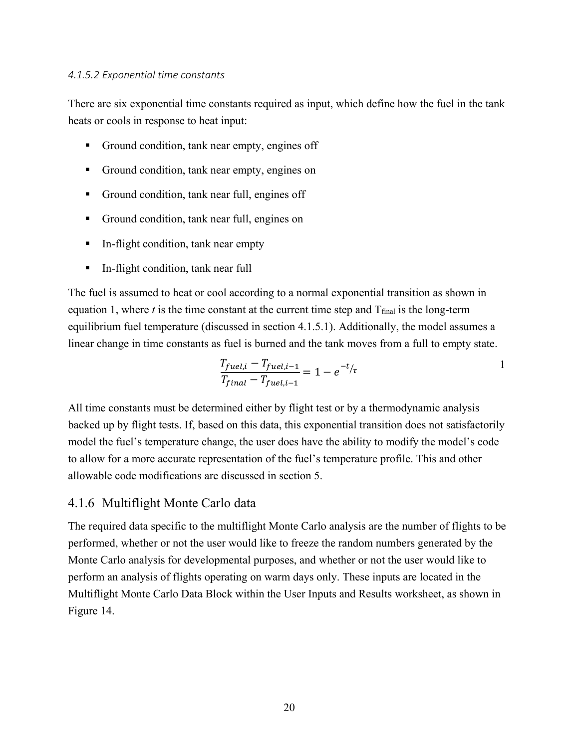#### <span id="page-28-1"></span>*4.1.5.2 Exponential time constants*

There are six exponential time constants required as input, which define how the fuel in the tank heats or cools in response to heat input:

- Ground condition, tank near empty, engines off
- Ground condition, tank near empty, engines on
- Ground condition, tank near full, engines off
- Ground condition, tank near full, engines on
- In-flight condition, tank near empty
- In-flight condition, tank near full

The fuel is assumed to heat or cool according to a normal exponential transition as shown in equation 1, where  $t$  is the time constant at the current time step and  $T_{final}$  is the long-term equilibrium fuel temperature (discussed in section [4.1.5.1\)](#page-27-1). Additionally, the model assumes a linear change in time constants as fuel is burned and the tank moves from a full to empty state.

$$
\frac{T_{fuel,i} - T_{fuel,i-1}}{T_{final} - T_{fuel,i-1}} = 1 - e^{-t/\tau}
$$

All time constants must be determined either by flight test or by a thermodynamic analysis backed up by flight tests. If, based on this data, this exponential transition does not satisfactorily model the fuel's temperature change, the user does have the ability to modify the model's code to allow for a more accurate representation of the fuel's temperature profile. This and other allowable code modifications are discussed in section [5.](#page-37-0)

#### <span id="page-28-0"></span>4.1.6 Multiflight Monte Carlo data

The required data specific to the multiflight Monte Carlo analysis are the number of flights to be performed, whether or not the user would like to freeze the random numbers generated by the Monte Carlo analysis for developmental purposes, and whether or not the user would like to perform an analysis of flights operating on warm days only. These inputs are located in the Multiflight Monte Carlo Data Block within the User Inputs and Results worksheet, as shown in [Figure 14.](#page-29-0)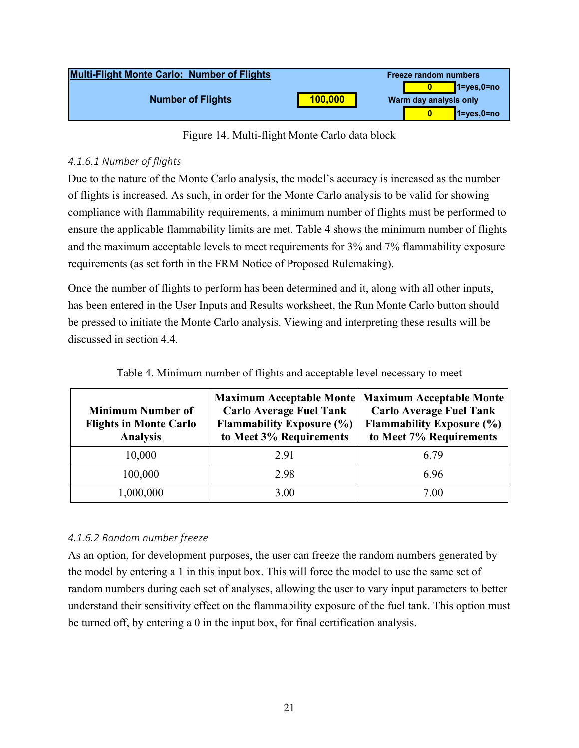| <b>Multi-Flight Monte Carlo: Number of Flights</b> |         | <b>Freeze random numbers</b> |
|----------------------------------------------------|---------|------------------------------|
|                                                    |         | $\blacksquare$ 1=yes,0=no    |
| <b>Number of Flights</b>                           | 100,000 | Warm day analysis only       |
|                                                    |         | $V1 = yes, 0 = no$           |

Figure 14. Multi-flight Monte Carlo data block

### <span id="page-29-2"></span><span id="page-29-0"></span>*4.1.6.1 Number of flights*

Due to the nature of the Monte Carlo analysis, the model's accuracy is increased as the number of flights is increased. As such, in order for the Monte Carlo analysis to be valid for showing compliance with flammability requirements, a minimum number of flights must be performed to ensure the applicable flammability limits are met. [Table 4](#page-29-1) shows the minimum number of flights and the maximum acceptable levels to meet requirements for 3% and 7% flammability exposure requirements (as set forth in the FRM Notice of Proposed Rulemaking).

Once the number of flights to perform has been determined and it, along with all other inputs, has been entered in the User Inputs and Results worksheet, the Run Monte Carlo button should be pressed to initiate the Monte Carlo analysis. Viewing and interpreting these results will be discussed in section [4.4.](#page-32-0)

<span id="page-29-1"></span>

| <b>Minimum Number of</b><br><b>Flights in Monte Carlo</b><br><b>Analysis</b> | <b>Maximum Acceptable Monte</b><br><b>Carlo Average Fuel Tank</b><br><b>Flammability Exposure (%)</b><br>to Meet 3% Requirements | <b>Maximum Acceptable Monte</b><br><b>Carlo Average Fuel Tank</b><br><b>Flammability Exposure (%)</b><br>to Meet 7% Requirements |
|------------------------------------------------------------------------------|----------------------------------------------------------------------------------------------------------------------------------|----------------------------------------------------------------------------------------------------------------------------------|
| 10,000                                                                       | 2.91                                                                                                                             | 6.79                                                                                                                             |
| 100,000                                                                      | 2.98                                                                                                                             | 6.96                                                                                                                             |
| 1,000,000                                                                    | 3.00                                                                                                                             | 7.00                                                                                                                             |

Table 4. Minimum number of flights and acceptable level necessary to meet

## *4.1.6.2 Random number freeze*

As an option, for development purposes, the user can freeze the random numbers generated by the model by entering a 1 in this input box. This will force the model to use the same set of random numbers during each set of analyses, allowing the user to vary input parameters to better understand their sensitivity effect on the flammability exposure of the fuel tank. This option must be turned off, by entering a 0 in the input box, for final certification analysis.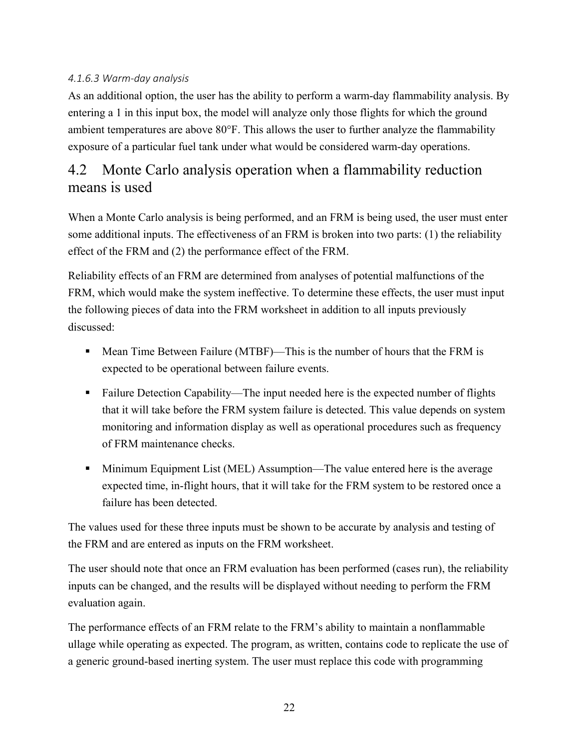#### *4.1.6.3 Warm-day analysis*

As an additional option, the user has the ability to perform a warm-day flammability analysis. By entering a 1 in this input box, the model will analyze only those flights for which the ground ambient temperatures are above 80°F. This allows the user to further analyze the flammability exposure of a particular fuel tank under what would be considered warm-day operations.

# <span id="page-30-0"></span>4.2 Monte Carlo analysis operation when a flammability reduction means is used

When a Monte Carlo analysis is being performed, and an FRM is being used, the user must enter some additional inputs. The effectiveness of an FRM is broken into two parts: (1) the reliability effect of the FRM and (2) the performance effect of the FRM.

Reliability effects of an FRM are determined from analyses of potential malfunctions of the FRM, which would make the system ineffective. To determine these effects, the user must input the following pieces of data into the FRM worksheet in addition to all inputs previously discussed:

- **Mean Time Between Failure (MTBF)—This is the number of hours that the FRM is** expected to be operational between failure events.
- Failure Detection Capability—The input needed here is the expected number of flights that it will take before the FRM system failure is detected. This value depends on system monitoring and information display as well as operational procedures such as frequency of FRM maintenance checks.
- Minimum Equipment List (MEL) Assumption—The value entered here is the average expected time, in-flight hours, that it will take for the FRM system to be restored once a failure has been detected.

The values used for these three inputs must be shown to be accurate by analysis and testing of the FRM and are entered as inputs on the FRM worksheet.

The user should note that once an FRM evaluation has been performed (cases run), the reliability inputs can be changed, and the results will be displayed without needing to perform the FRM evaluation again.

The performance effects of an FRM relate to the FRM's ability to maintain a nonflammable ullage while operating as expected. The program, as written, contains code to replicate the use of a generic ground-based inerting system. The user must replace this code with programming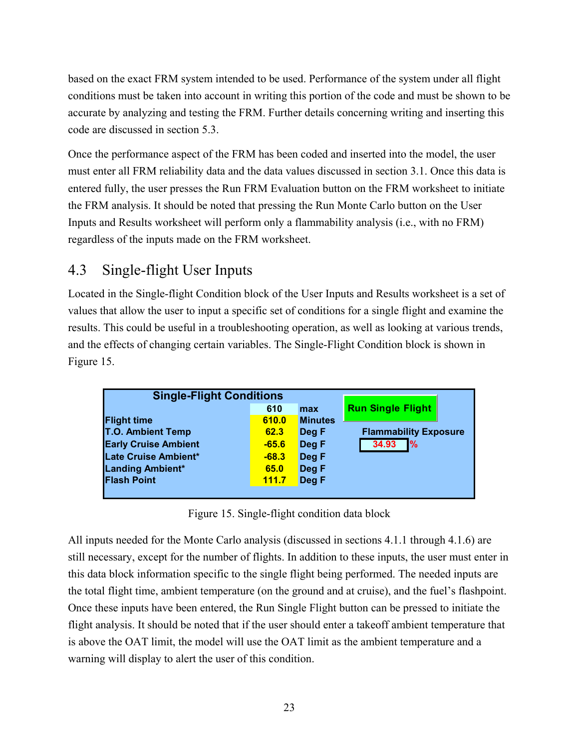based on the exact FRM system intended to be used. Performance of the system under all flight conditions must be taken into account in writing this portion of the code and must be shown to be accurate by analyzing and testing the FRM. Further details concerning writing and inserting this code are discussed in section [5.3.](#page-39-0)

Once the performance aspect of the FRM has been coded and inserted into the model, the user must enter all FRM reliability data and the data values discussed in section 3.1. Once this data is entered fully, the user presses the Run FRM Evaluation button on the FRM worksheet to initiate the FRM analysis. It should be noted that pressing the Run Monte Carlo button on the User Inputs and Results worksheet will perform only a flammability analysis (i.e., with no FRM) regardless of the inputs made on the FRM worksheet.

# <span id="page-31-0"></span>4.3 Single-flight User Inputs

Located in the Single-flight Condition block of the User Inputs and Results worksheet is a set of values that allow the user to input a specific set of conditions for a single flight and examine the results. This could be useful in a troubleshooting operation, as well as looking at various trends, and the effects of changing certain variables. The Single-Flight Condition block is shown in [Figure 15.](#page-31-1)

| <b>Single-Flight Conditions</b> |         |                |                              |
|---------------------------------|---------|----------------|------------------------------|
|                                 | 610     | max            | <b>Run Single Flight</b>     |
| <b>Flight time</b>              | 610.0   | <b>Minutes</b> |                              |
| <b>T.O. Ambient Temp</b>        | 62.3    | Deg F          | <b>Flammability Exposure</b> |
| <b>Early Cruise Ambient</b>     | $-65.6$ | Deg F          | $\frac{9}{6}$<br>34.93       |
| Late Cruise Ambient*            | $-68.3$ | Deg F          |                              |
| Landing Ambient*                | 65.0    | Deg F          |                              |
| <b>Flash Point</b>              | 111.7   | Deg F          |                              |
|                                 |         |                |                              |

Figure 15. Single-flight condition data block

<span id="page-31-1"></span>All inputs needed for the Monte Carlo analysis (discussed in sections [4.1.1](#page-19-0) through [4.1.6\)](#page-28-0) are still necessary, except for the number of flights. In addition to these inputs, the user must enter in this data block information specific to the single flight being performed. The needed inputs are the total flight time, ambient temperature (on the ground and at cruise), and the fuel's flashpoint. Once these inputs have been entered, the Run Single Flight button can be pressed to initiate the flight analysis. It should be noted that if the user should enter a takeoff ambient temperature that is above the OAT limit, the model will use the OAT limit as the ambient temperature and a warning will display to alert the user of this condition.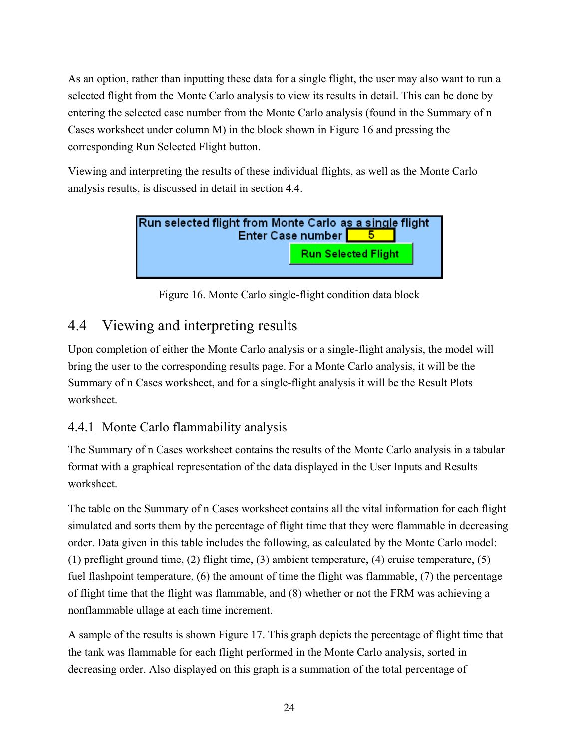As an option, rather than inputting these data for a single flight, the user may also want to run a selected flight from the Monte Carlo analysis to view its results in detail. This can be done by entering the selected case number from the Monte Carlo analysis (found in the Summary of n Cases worksheet under column M) in the block shown in [Figure 16](#page-32-2) and pressing the corresponding Run Selected Flight button.

Viewing and interpreting the results of these individual flights, as well as the Monte Carlo analysis results, is discussed in detail in section [4.4.](#page-32-0)



Figure 16. Monte Carlo single-flight condition data block

# <span id="page-32-2"></span><span id="page-32-0"></span>4.4 Viewing and interpreting results

Upon completion of either the Monte Carlo analysis or a single-flight analysis, the model will bring the user to the corresponding results page. For a Monte Carlo analysis, it will be the Summary of n Cases worksheet, and for a single-flight analysis it will be the Result Plots worksheet.

## <span id="page-32-1"></span>4.4.1 Monte Carlo flammability analysis

The Summary of n Cases worksheet contains the results of the Monte Carlo analysis in a tabular format with a graphical representation of the data displayed in the User Inputs and Results worksheet.

The table on the Summary of n Cases worksheet contains all the vital information for each flight simulated and sorts them by the percentage of flight time that they were flammable in decreasing order. Data given in this table includes the following, as calculated by the Monte Carlo model: (1) preflight ground time, (2) flight time, (3) ambient temperature, (4) cruise temperature, (5) fuel flashpoint temperature, (6) the amount of time the flight was flammable, (7) the percentage of flight time that the flight was flammable, and (8) whether or not the FRM was achieving a nonflammable ullage at each time increment.

A sample of the results is shown [Figure 17.](#page-33-0) This graph depicts the percentage of flight time that the tank was flammable for each flight performed in the Monte Carlo analysis, sorted in decreasing order. Also displayed on this graph is a summation of the total percentage of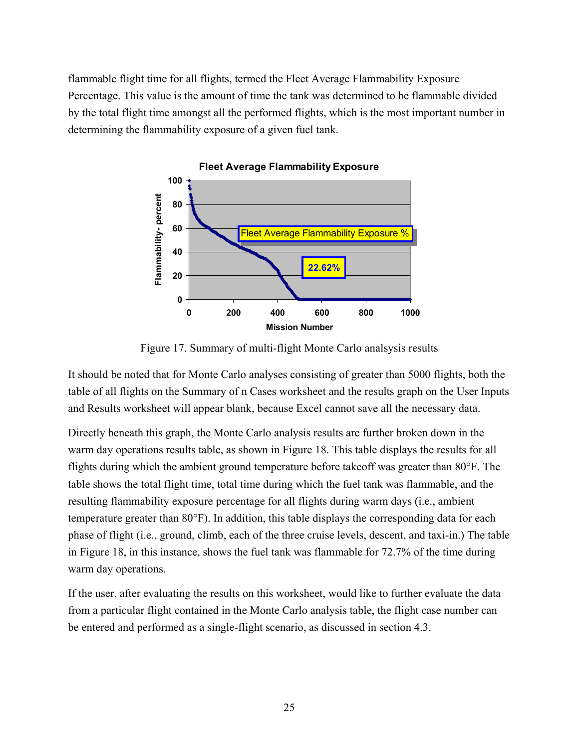flammable flight time for all flights, termed the Fleet Average Flammability Exposure Percentage. This value is the amount of time the tank was determined to be flammable divided by the total flight time amongst all the performed flights, which is the most important number in determining the flammability exposure of a given fuel tank.



**Fleet Average Flammability Exposure**

Figure 17. Summary of multi-flight Monte Carlo analsysis results

<span id="page-33-0"></span>It should be noted that for Monte Carlo analyses consisting of greater than 5000 flights, both the table of all flights on the Summary of n Cases worksheet and the results graph on the User Inputs and Results worksheet will appear blank, because Excel cannot save all the necessary data.

Directly beneath this graph, the Monte Carlo analysis results are further broken down in the warm day operations results table, as shown in [Figure 18.](#page-34-1) This table displays the results for all flights during which the ambient ground temperature before takeoff was greater than 80°F. The table shows the total flight time, total time during which the fuel tank was flammable, and the resulting flammability exposure percentage for all flights during warm days (i.e., ambient temperature greater than 80°F). In addition, this table displays the corresponding data for each phase of flight (i.e., ground, climb, each of the three cruise levels, descent, and taxi-in.) The table in [Figure 18,](#page-34-1) in this instance, shows the fuel tank was flammable for 72.7% of the time during warm day operations.

If the user, after evaluating the results on this worksheet, would like to further evaluate the data from a particular flight contained in the Monte Carlo analysis table, the flight case number can be entered and performed as a single-flight scenario, as discussed in section [4.3.](#page-31-0)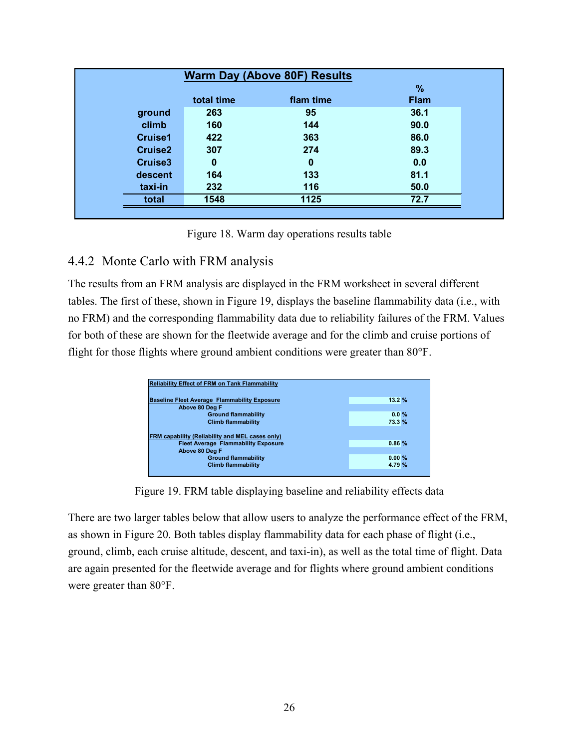|                     |            | <b>Warm Day (Above 80F) Results</b> |             |
|---------------------|------------|-------------------------------------|-------------|
|                     |            |                                     | %           |
|                     | total time | flam time                           | <b>Flam</b> |
| ground              | 263        | 95                                  | 36.1        |
| climb               | 160        | 144                                 | 90.0        |
| <b>Cruise1</b>      | 422        | 363                                 | 86.0        |
| <b>Cruise2</b>      | 307        | 274                                 | 89.3        |
| Cruise <sub>3</sub> | $\bf{0}$   | 0                                   | 0.0         |
| descent             | 164        | 133                                 | 81.1        |
| taxi-in             | 232        | 116                                 | 50.0        |
| total               | 1548       | 1125                                | 72.7        |

Figure 18. Warm day operations results table

### <span id="page-34-1"></span><span id="page-34-0"></span>4.4.2 Monte Carlo with FRM analysis

The results from an FRM analysis are displayed in the FRM worksheet in several different tables. The first of these, shown in [Figure 19,](#page-34-2) displays the baseline flammability data (i.e., with no FRM) and the corresponding flammability data due to reliability failures of the FRM. Values for both of these are shown for the fleetwide average and for the climb and cruise portions of flight for those flights where ground ambient conditions were greater than 80°F.

| <b>Reliability Effect of FRM on Tank Flammability</b>                                                |                 |
|------------------------------------------------------------------------------------------------------|-----------------|
| <b>Baseline Fleet Average Flammability Exposure</b><br>Above 80 Dea F                                | 13.2%           |
| <b>Ground flammability</b>                                                                           | $0.0\%$         |
| <b>Climb flammability</b>                                                                            | 73.3 %          |
| <b>FRM capability (Reliability and MEL cases only)</b><br><b>Fleet Average Flammability Exposure</b> | 0.86%           |
| Above 80 Deg F                                                                                       |                 |
| <b>Ground flammability</b>                                                                           | 0.00%<br>4.79 % |
| <b>Climb flammability</b>                                                                            |                 |

Figure 19. FRM table displaying baseline and reliability effects data

<span id="page-34-2"></span>There are two larger tables below that allow users to analyze the performance effect of the FRM, as shown in [Figure 20.](#page-35-0) Both tables display flammability data for each phase of flight (i.e., ground, climb, each cruise altitude, descent, and taxi-in), as well as the total time of flight. Data are again presented for the fleetwide average and for flights where ground ambient conditions were greater than 80°F.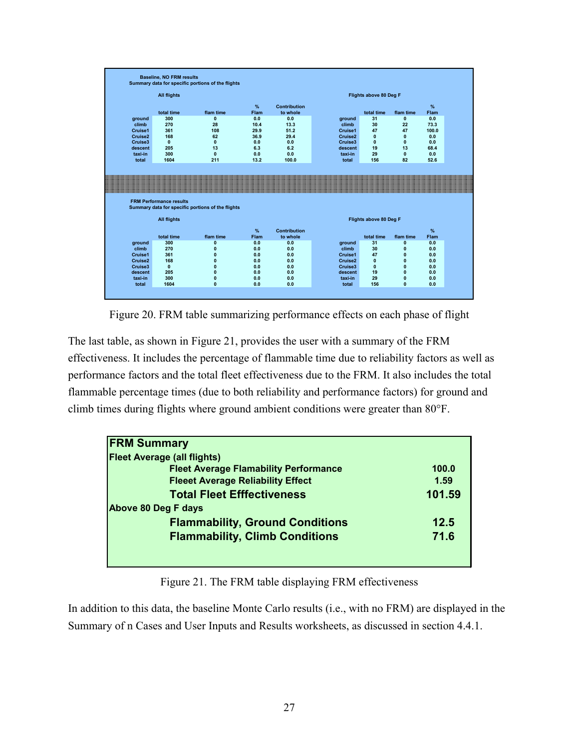|                     | <b>All flights</b>             |                                                   |            |              |                     | Flights above 80 Deg F |                              |            |
|---------------------|--------------------------------|---------------------------------------------------|------------|--------------|---------------------|------------------------|------------------------------|------------|
|                     |                                |                                                   |            |              |                     |                        |                              |            |
|                     |                                |                                                   | $\%$       | Contribution |                     |                        |                              | %          |
|                     | total time                     | flam time                                         | Flam       | to whole     |                     | total time             | flam time                    | Flam       |
| ground              | 300                            | $\mathbf{0}$                                      | 0.0        | 0.0          | ground              | 31                     | $\mathbf{0}$                 | 0.0        |
| climb               | 270                            | 28                                                | 10.4       | 13.3         | climb               | 30                     | 22                           | 73.3       |
| Cruise1             | 361                            | 108                                               | 29.9       | 51.2         | Cruise1             | 47                     | 47                           | 100.0      |
| Cruise <sub>2</sub> | 168                            | 62                                                | 36.9       | 29.4         | Cruise <sub>2</sub> | $\mathbf{0}$           | $\mathbf{0}$                 | 0.0        |
| Cruise3             | $\mathbf{0}$                   | $\mathbf{0}$                                      | 0.0        | 0.0          | Cruise3             | $\mathbf{0}$           | $\mathbf{0}$                 | 0.0        |
| descent             | 205                            | 13                                                | 6.3        | 6.2          | descent             | 19                     | 13                           | 68.4       |
| taxi-in             | 300                            | $\mathbf{0}$                                      | 0.0        | 0.0          | taxi-in             | 29                     | $\mathbf{0}$                 | 0.0        |
| total               | 1604                           | 211                                               | 13.2       | 100.0        | total               | 156                    | 82                           | 52.6       |
|                     |                                |                                                   |            |              |                     |                        |                              |            |
|                     | <b>FRM Performance results</b> | Summary data for specific portions of the flights |            |              |                     |                        |                              |            |
|                     | <b>All flights</b>             |                                                   |            |              |                     | Flights above 80 Deg F |                              |            |
|                     |                                |                                                   | %          | Contribution |                     |                        |                              | %          |
|                     | total time                     | flam time                                         | Flam       | to whole     |                     | total time             | flam time                    | Flam       |
| ground              | 300                            | $\mathbf 0$                                       | 0.0        | 0.0          | ground              | 31                     | $\mathbf{0}$                 | 0.0        |
| climb               | 270                            | $\bf{0}$                                          | 0.0        | 0.0          | climb               | 30                     | $\mathbf{0}$                 | 0.0        |
| Cruise1             | 361                            | $\mathbf 0$                                       | 0.0        | 0.0          | Cruise1             | 47                     | 0                            | 0.0        |
| Cruise <sub>2</sub> | 168                            | $\mathbf 0$                                       | 0.0        | 0.0          | Cruise2             | $\mathbf{0}$           | $\mathbf{0}$                 | 0.0        |
| Cruise3             | $\mathbf{0}$                   | $\bf{0}$                                          | 0.0        | 0.0          | Cruise3             | $\mathbf{0}$           | $\mathbf{0}$                 | 0.0        |
| descent<br>taxi-in  | 205<br>300                     | $\mathbf 0$<br>$\mathbf 0$                        | 0.0<br>0.0 | 0.0<br>0.0   | descent<br>taxi-in  | 19<br>29               | $\mathbf{0}$<br>$\mathbf{0}$ | 0.0<br>0.0 |

Figure 20. FRM table summarizing performance effects on each phase of flight

<span id="page-35-0"></span>The last table, as shown in [Figure 21,](#page-35-1) provides the user with a summary of the FRM effectiveness. It includes the percentage of flammable time due to reliability factors as well as performance factors and the total fleet effectiveness due to the FRM. It also includes the total flammable percentage times (due to both reliability and performance factors) for ground and climb times during flights where ground ambient conditions were greater than 80°F.

| <b>FRM Summary</b>                           |        |
|----------------------------------------------|--------|
| <b>Fleet Average (all flights)</b>           |        |
| <b>Fleet Average Flamability Performance</b> | 100.0  |
| <b>Fleeet Average Reliability Effect</b>     | 1.59   |
| <b>Total Fleet Efffectiveness</b>            | 101.59 |
| Above 80 Deg F days                          |        |
| <b>Flammability, Ground Conditions</b>       | 12.5   |
| <b>Flammability, Climb Conditions</b>        | 71.6   |

Figure 21. The FRM table displaying FRM effectiveness

<span id="page-35-1"></span>In addition to this data, the baseline Monte Carlo results (i.e., with no FRM) are displayed in the Summary of n Cases and User Inputs and Results worksheets, as discussed in section [4.4.1.](#page-32-1)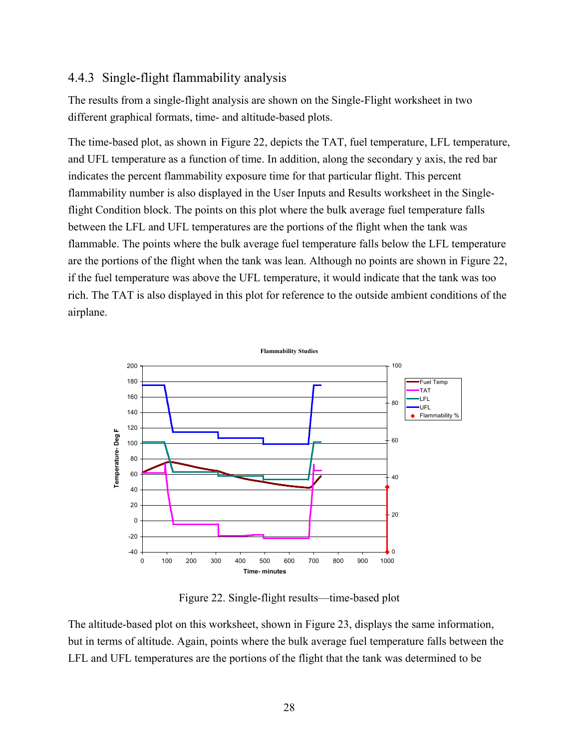### 4.4.3 Single-flight flammability analysis

The results from a single-flight analysis are shown on the Single-Flight worksheet in two different graphical formats, time- and altitude-based plots.

The time-based plot, as shown in [Figure 22,](#page-36-0) depicts the TAT, fuel temperature, LFL temperature, and UFL temperature as a function of time. In addition, along the secondary y axis, the red bar indicates the percent flammability exposure time for that particular flight. This percent flammability number is also displayed in the User Inputs and Results worksheet in the Singleflight Condition block. The points on this plot where the bulk average fuel temperature falls between the LFL and UFL temperatures are the portions of the flight when the tank was flammable. The points where the bulk average fuel temperature falls below the LFL temperature are the portions of the flight when the tank was lean. Although no points are shown in [Figure 22,](#page-36-0) if the fuel temperature was above the UFL temperature, it would indicate that the tank was too rich. The TAT is also displayed in this plot for reference to the outside ambient conditions of the airplane.



Figure 22. Single-flight results—time-based plot

<span id="page-36-0"></span>The altitude-based plot on this worksheet, shown in [Figure 23,](#page-37-0) displays the same information, but in terms of altitude. Again, points where the bulk average fuel temperature falls between the LFL and UFL temperatures are the portions of the flight that the tank was determined to be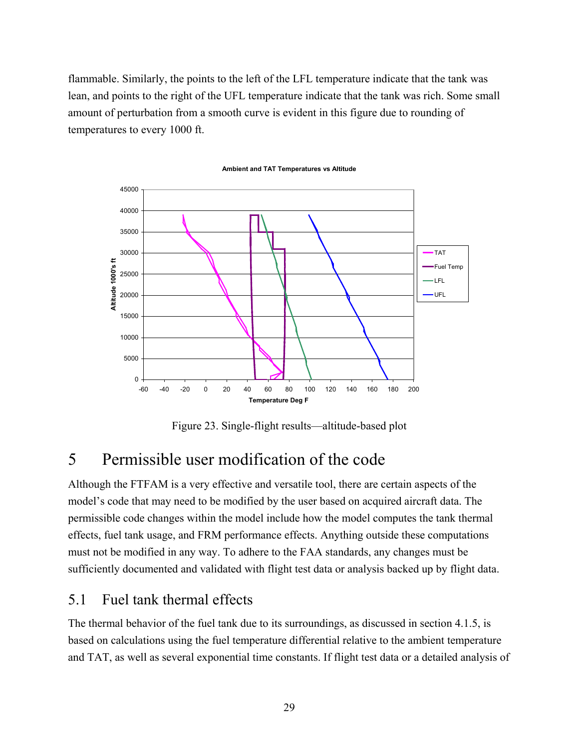flammable. Similarly, the points to the left of the LFL temperature indicate that the tank was lean, and points to the right of the UFL temperature indicate that the tank was rich. Some small amount of perturbation from a smooth curve is evident in this figure due to rounding of temperatures to every 1000 ft.



**Ambient and TAT Temperatures vs Altitude**

Figure 23. Single-flight results—altitude-based plot

## <span id="page-37-0"></span>5 Permissible user modification of the code

Although the FTFAM is a very effective and versatile tool, there are certain aspects of the model's code that may need to be modified by the user based on acquired aircraft data. The permissible code changes within the model include how the model computes the tank thermal effects, fuel tank usage, and FRM performance effects. Anything outside these computations must not be modified in any way. To adhere to the FAA standards, any changes must be sufficiently documented and validated with flight test data or analysis backed up by flight data.

## 5.1 Fuel tank thermal effects

The thermal behavior of the fuel tank due to its surroundings, as discussed in section [4.1.5,](#page-26-0) is based on calculations using the fuel temperature differential relative to the ambient temperature and TAT, as well as several exponential time constants. If flight test data or a detailed analysis of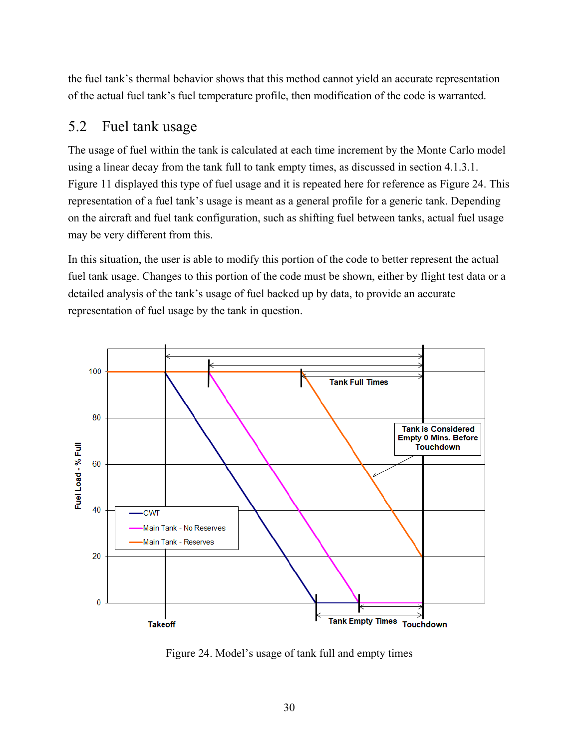the fuel tank's thermal behavior shows that this method cannot yield an accurate representation of the actual fuel tank's fuel temperature profile, then modification of the code is warranted.

## 5.2 Fuel tank usage

The usage of fuel within the tank is calculated at each time increment by the Monte Carlo model using a linear decay from the tank full to tank empty times, as discussed in section [4.1.3.1.](#page-24-0) [Figure 11](#page-25-0) displayed this type of fuel usage and it is repeated here for reference as [Figure 24.](#page-38-0) This representation of a fuel tank's usage is meant as a general profile for a generic tank. Depending on the aircraft and fuel tank configuration, such as shifting fuel between tanks, actual fuel usage may be very different from this.

In this situation, the user is able to modify this portion of the code to better represent the actual fuel tank usage. Changes to this portion of the code must be shown, either by flight test data or a detailed analysis of the tank's usage of fuel backed up by data, to provide an accurate representation of fuel usage by the tank in question.



<span id="page-38-0"></span>Figure 24. Model's usage of tank full and empty times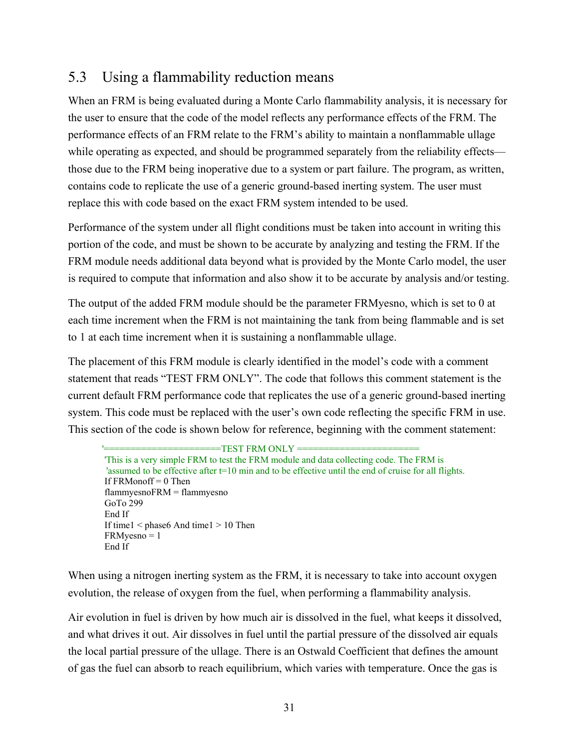## 5.3 Using a flammability reduction means

When an FRM is being evaluated during a Monte Carlo flammability analysis, it is necessary for the user to ensure that the code of the model reflects any performance effects of the FRM. The performance effects of an FRM relate to the FRM's ability to maintain a nonflammable ullage while operating as expected, and should be programmed separately from the reliability effects those due to the FRM being inoperative due to a system or part failure. The program, as written, contains code to replicate the use of a generic ground-based inerting system. The user must replace this with code based on the exact FRM system intended to be used.

Performance of the system under all flight conditions must be taken into account in writing this portion of the code, and must be shown to be accurate by analyzing and testing the FRM. If the FRM module needs additional data beyond what is provided by the Monte Carlo model, the user is required to compute that information and also show it to be accurate by analysis and/or testing.

The output of the added FRM module should be the parameter FRMyesno, which is set to 0 at each time increment when the FRM is not maintaining the tank from being flammable and is set to 1 at each time increment when it is sustaining a nonflammable ullage.

The placement of this FRM module is clearly identified in the model's code with a comment statement that reads "TEST FRM ONLY". The code that follows this comment statement is the current default FRM performance code that replicates the use of a generic ground-based inerting system. This code must be replaced with the user's own code reflecting the specific FRM in use. This section of the code is shown below for reference, beginning with the comment statement:

```
=TEST FRM ONLY ='This is a very simple FRM to test the FRM module and data collecting code. The FRM is 
'assumed to be effective after t=10 min and to be effective until the end of cruise for all flights.
If FRMonoff = 0 Then
flammyesnoFRM = flammyesno
GoTo 299
End If
If time1 < phase6 And time1 > 10 Then
FRMyesno = 1
End If
```
When using a nitrogen inerting system as the FRM, it is necessary to take into account oxygen evolution, the release of oxygen from the fuel, when performing a flammability analysis.

Air evolution in fuel is driven by how much air is dissolved in the fuel, what keeps it dissolved, and what drives it out. Air dissolves in fuel until the partial pressure of the dissolved air equals the local partial pressure of the ullage. There is an Ostwald Coefficient that defines the amount of gas the fuel can absorb to reach equilibrium, which varies with temperature. Once the gas is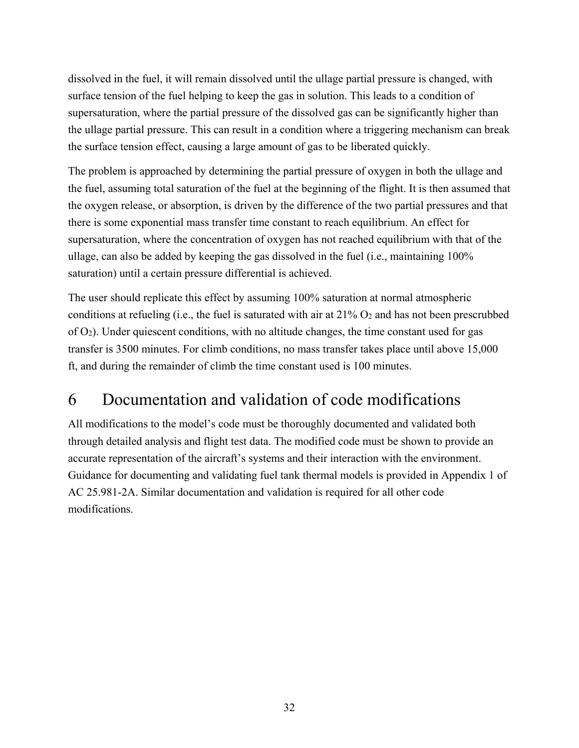dissolved in the fuel, it will remain dissolved until the ullage partial pressure is changed, with surface tension of the fuel helping to keep the gas in solution. This leads to a condition of supersaturation, where the partial pressure of the dissolved gas can be significantly higher than the ullage partial pressure. This can result in a condition where a triggering mechanism can break the surface tension effect, causing a large amount of gas to be liberated quickly.

The problem is approached by determining the partial pressure of oxygen in both the ullage and the fuel, assuming total saturation of the fuel at the beginning of the flight. It is then assumed that the oxygen release, or absorption, is driven by the difference of the two partial pressures and that there is some exponential mass transfer time constant to reach equilibrium. An effect for supersaturation, where the concentration of oxygen has not reached equilibrium with that of the ullage, can also be added by keeping the gas dissolved in the fuel (i.e., maintaining 100% saturation) until a certain pressure differential is achieved.

The user should replicate this effect by assuming 100% saturation at normal atmospheric conditions at refueling (i.e., the fuel is saturated with air at  $21\%$  O<sub>2</sub> and has not been prescrubbed of O2). Under quiescent conditions, with no altitude changes, the time constant used for gas transfer is 3500 minutes. For climb conditions, no mass transfer takes place until above 15,000 ft, and during the remainder of climb the time constant used is 100 minutes.

# 6 Documentation and validation of code modifications

All modifications to the model's code must be thoroughly documented and validated both through detailed analysis and flight test data. The modified code must be shown to provide an accurate representation of the aircraft's systems and their interaction with the environment. Guidance for documenting and validating fuel tank thermal models is provided in Appendix 1 of AC 25.981-2A. Similar documentation and validation is required for all other code modifications.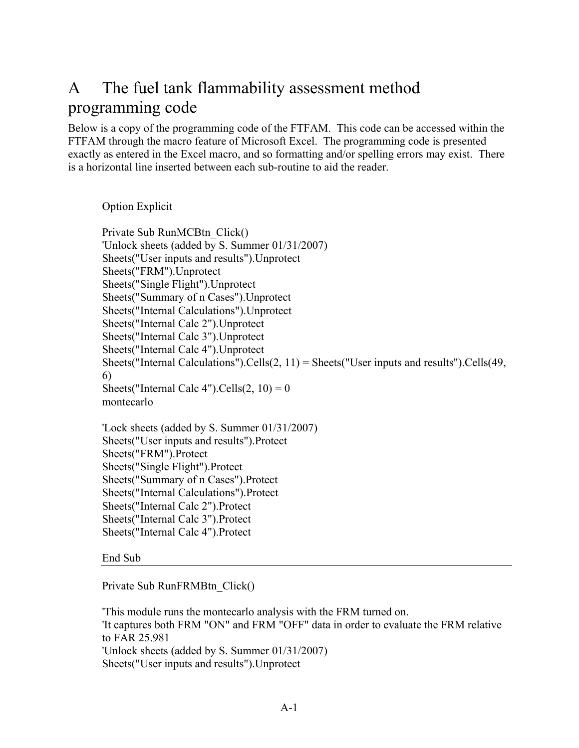# A The fuel tank flammability assessment method programming code

Below is a copy of the programming code of the FTFAM. This code can be accessed within the FTFAM through the macro feature of Microsoft Excel. The programming code is presented exactly as entered in the Excel macro, and so formatting and/or spelling errors may exist. There is a horizontal line inserted between each sub-routine to aid the reader.

Option Explicit

Private Sub RunMCBtn\_Click() 'Unlock sheets (added by S. Summer 01/31/2007) Sheets("User inputs and results").Unprotect Sheets("FRM").Unprotect Sheets("Single Flight").Unprotect Sheets("Summary of n Cases").Unprotect Sheets("Internal Calculations").Unprotect Sheets("Internal Calc 2").Unprotect Sheets("Internal Calc 3").Unprotect Sheets("Internal Calc 4").Unprotect Sheets("Internal Calculations").Cells $(2, 11)$  = Sheets("User inputs and results").Cells $(49, 11)$ 6) Sheets("Internal Calc 4").Cells $(2, 10) = 0$ montecarlo 'Lock sheets (added by S. Summer 01/31/2007)

Sheets("User inputs and results").Protect Sheets("FRM").Protect Sheets("Single Flight").Protect Sheets("Summary of n Cases").Protect Sheets("Internal Calculations").Protect Sheets("Internal Calc 2").Protect Sheets("Internal Calc 3").Protect Sheets("Internal Calc 4").Protect

#### End Sub

Private Sub RunFRMBtn\_Click()

'This module runs the montecarlo analysis with the FRM turned on. 'It captures both FRM "ON" and FRM "OFF" data in order to evaluate the FRM relative to FAR 25.981 'Unlock sheets (added by S. Summer 01/31/2007) Sheets("User inputs and results").Unprotect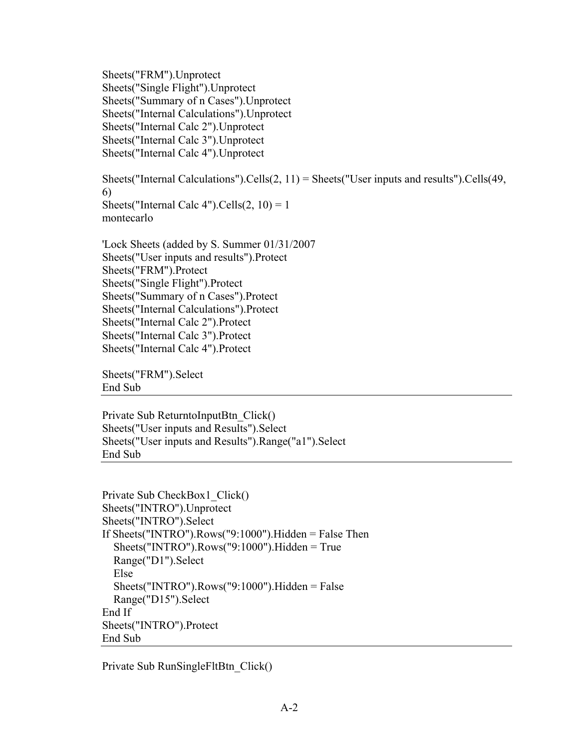Sheets("FRM").Unprotect Sheets("Single Flight").Unprotect Sheets("Summary of n Cases").Unprotect Sheets("Internal Calculations").Unprotect Sheets("Internal Calc 2").Unprotect Sheets("Internal Calc 3").Unprotect Sheets("Internal Calc 4").Unprotect

Sheets("Internal Calculations").Cells $(2, 11)$  = Sheets("User inputs and results").Cells $(49, 11)$ 6) Sheets("Internal Calc 4").Cells $(2, 10) = 1$ montecarlo

'Lock Sheets (added by S. Summer 01/31/2007 Sheets("User inputs and results").Protect Sheets("FRM").Protect Sheets("Single Flight").Protect Sheets("Summary of n Cases").Protect Sheets("Internal Calculations").Protect Sheets("Internal Calc 2").Protect Sheets("Internal Calc 3").Protect Sheets("Internal Calc 4").Protect

Sheets("FRM").Select End Sub

Private Sub ReturntoInputBtn\_Click() Sheets("User inputs and Results").Select Sheets("User inputs and Results").Range("a1").Select End Sub

```
Private Sub CheckBox1_Click()
Sheets("INTRO").Unprotect
Sheets("INTRO").Select
If Sheets("INTRO").Rows("9:1000").Hidden = False Then
   Sheets("INTRO").Rows("9:1000").Hidden = True
   Range("D1").Select
   Else
   Sheets("INTRO").Rows("9:1000").Hidden = False
   Range("D15").Select
End If
Sheets("INTRO").Protect
End Sub
```
Private Sub RunSingleFltBtn\_Click()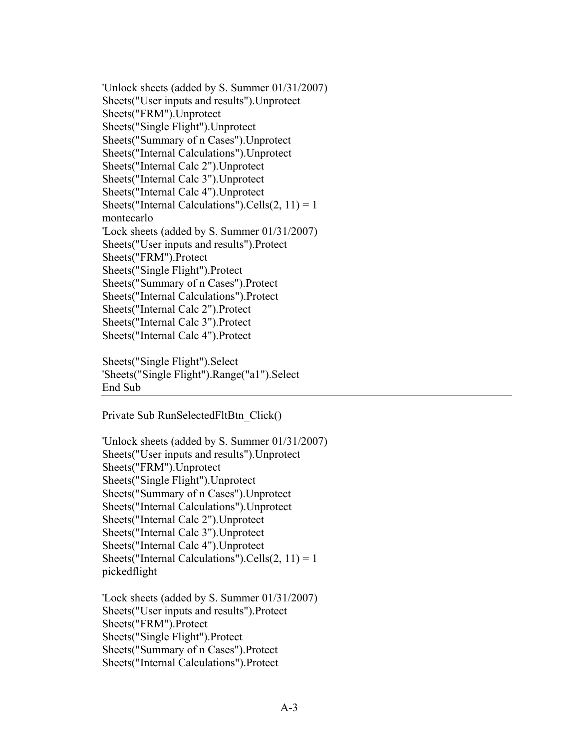'Unlock sheets (added by S. Summer 01/31/2007) Sheets("User inputs and results").Unprotect Sheets("FRM").Unprotect Sheets("Single Flight").Unprotect Sheets("Summary of n Cases").Unprotect Sheets("Internal Calculations").Unprotect Sheets("Internal Calc 2").Unprotect Sheets("Internal Calc 3").Unprotect Sheets("Internal Calc 4").Unprotect Sheets("Internal Calculations").Cells $(2, 11) = 1$ montecarlo 'Lock sheets (added by S. Summer 01/31/2007) Sheets("User inputs and results").Protect Sheets("FRM").Protect Sheets("Single Flight").Protect Sheets("Summary of n Cases").Protect Sheets("Internal Calculations").Protect Sheets("Internal Calc 2").Protect Sheets("Internal Calc 3").Protect Sheets("Internal Calc 4").Protect

Sheets("Single Flight").Select 'Sheets("Single Flight").Range("a1").Select End Sub

Private Sub RunSelectedFltBtn\_Click()

```
'Unlock sheets (added by S. Summer 01/31/2007)
Sheets("User inputs and results").Unprotect
Sheets("FRM").Unprotect
Sheets("Single Flight").Unprotect
Sheets("Summary of n Cases").Unprotect
Sheets("Internal Calculations").Unprotect
Sheets("Internal Calc 2").Unprotect
Sheets("Internal Calc 3").Unprotect
Sheets("Internal Calc 4").Unprotect
Sheets("Internal Calculations").Cells(2, 11) = 1pickedflight
```
'Lock sheets (added by S. Summer 01/31/2007) Sheets("User inputs and results").Protect Sheets("FRM").Protect Sheets("Single Flight").Protect Sheets("Summary of n Cases").Protect Sheets("Internal Calculations").Protect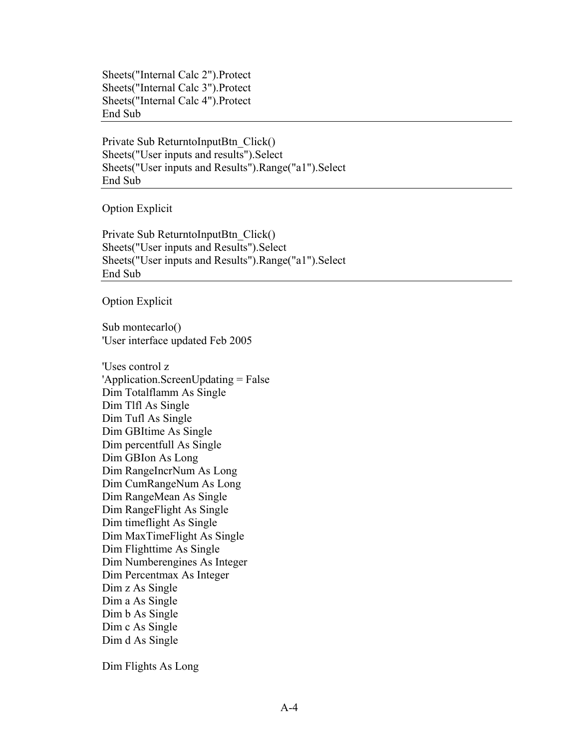Sheets("Internal Calc 2").Protect Sheets("Internal Calc 3").Protect Sheets("Internal Calc 4").Protect End Sub

Private Sub ReturntoInputBtn\_Click() Sheets("User inputs and results").Select Sheets("User inputs and Results").Range("a1").Select End Sub

Option Explicit

Private Sub ReturntoInputBtn\_Click() Sheets("User inputs and Results").Select Sheets("User inputs and Results").Range("a1").Select End Sub

Option Explicit

Sub montecarlo() 'User interface updated Feb 2005

'Uses control z 'Application.ScreenUpdating = False Dim Totalflamm As Single Dim Tlfl As Single Dim Tufl As Single Dim GBItime As Single Dim percentfull As Single Dim GBIon As Long Dim RangeIncrNum As Long Dim CumRangeNum As Long Dim RangeMean As Single Dim RangeFlight As Single Dim timeflight As Single Dim MaxTimeFlight As Single Dim Flighttime As Single Dim Numberengines As Integer Dim Percentmax As Integer Dim z As Single Dim a As Single Dim b As Single Dim c As Single Dim d As Single

Dim Flights As Long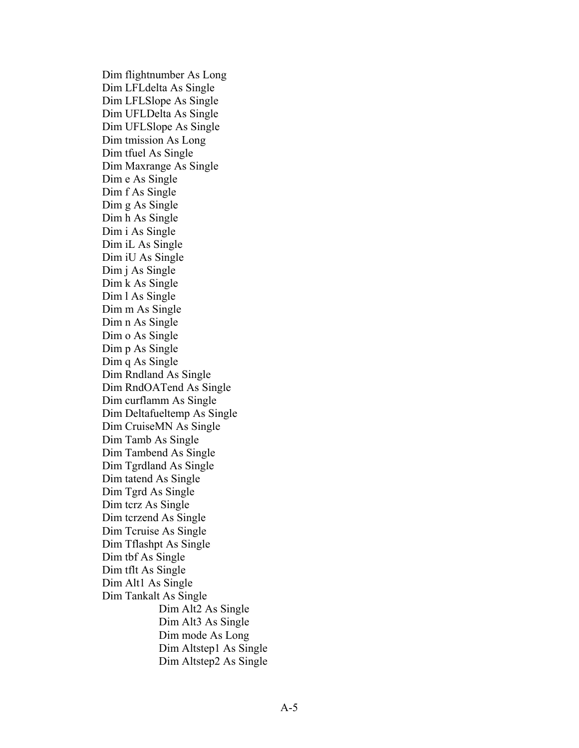Dim flightnumber As Long Dim LFLdelta As Single Dim LFLSlope As Single Dim UFLDelta As Single Dim UFLSlope As Single Dim tmission As Long Dim tfuel As Single Dim Maxrange As Single Dim e As Single Dim f As Single Dim g As Single Dim h As Single Dim i As Single Dim iL As Single Dim iU As Single Dim j As Single Dim k As Single Dim l As Single Dim m As Single Dim n As Single Dim o As Single Dim p As Single Dim q As Single Dim Rndland As Single Dim RndOATend As Single Dim curflamm As Single Dim Deltafueltemp As Single Dim CruiseMN As Single Dim Tamb As Single Dim Tambend As Single Dim Tgrdland As Single Dim tatend As Single Dim Tgrd As Single Dim tcrz As Single Dim tcrzend As Single Dim Tcruise As Single Dim Tflashpt As Single Dim tbf As Single Dim tflt As Single Dim Alt1 As Single Dim Tankalt As Single Dim Alt2 As Single Dim Alt3 As Single Dim mode As Long Dim Altstep1 As Single Dim Altstep2 As Single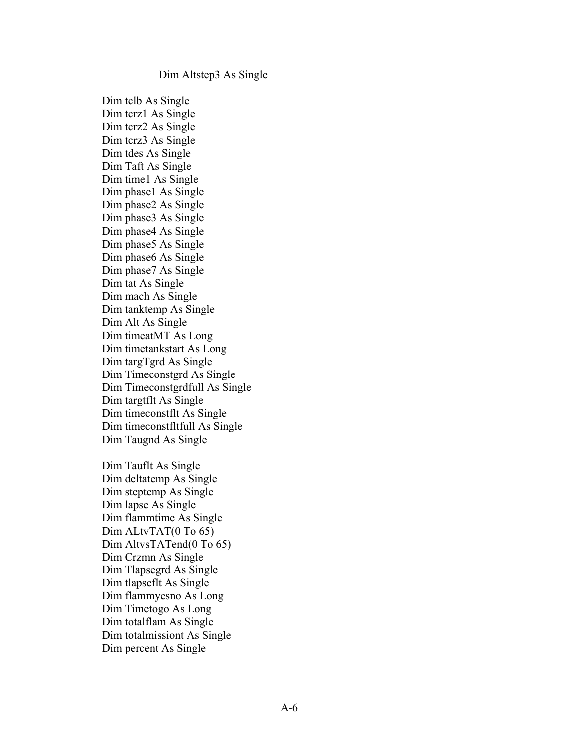#### Dim Altstep3 As Single

Dim tclb As Single Dim tcrz1 As Single Dim tcrz2 As Single Dim tcrz3 As Single Dim tdes As Single Dim Taft As Single Dim time1 As Single Dim phase1 As Single Dim phase2 As Single Dim phase3 As Single Dim phase4 As Single Dim phase5 As Single Dim phase6 As Single Dim phase7 As Single Dim tat As Single Dim mach As Single Dim tanktemp As Single Dim Alt As Single Dim timeatMT As Long Dim timetankstart As Long Dim targTgrd As Single Dim Timeconstgrd As Single Dim Timeconstgrdfull As Single Dim targtflt As Single Dim timeconstflt As Single Dim timeconstfltfull As Single Dim Taugnd As Single

Dim Tauflt As Single Dim deltatemp As Single Dim steptemp As Single Dim lapse As Single Dim flammtime As Single Dim ALtvTAT(0 To 65) Dim AltvsTATend(0 To 65) Dim Crzmn As Single Dim Tlapsegrd As Single Dim tlapseflt As Single Dim flammyesno As Long Dim Timetogo As Long Dim totalflam As Single Dim totalmissiont As Single Dim percent As Single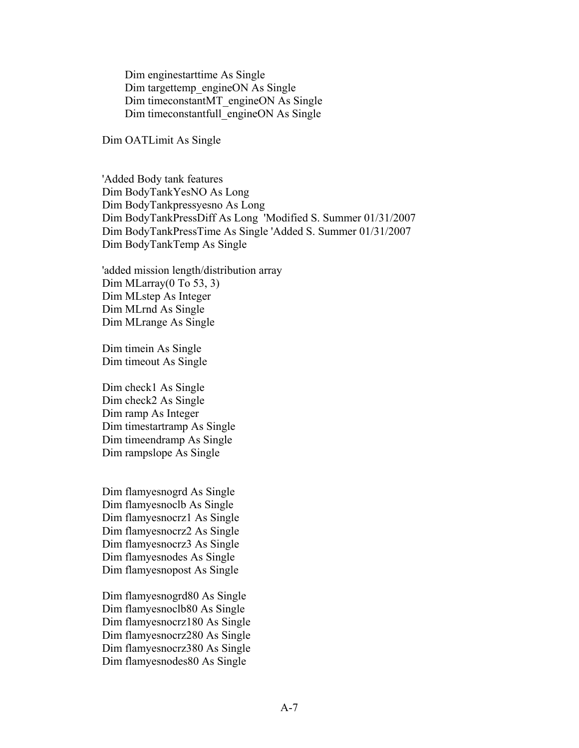Dim enginestarttime As Single Dim targettemp\_engineON As Single Dim timeconstantMT\_engineON As Single Dim timeconstantfull\_engineON As Single

Dim OATLimit As Single

'Added Body tank features Dim BodyTankYesNO As Long Dim BodyTankpressyesno As Long Dim BodyTankPressDiff As Long 'Modified S. Summer 01/31/2007 Dim BodyTankPressTime As Single 'Added S. Summer 01/31/2007 Dim BodyTankTemp As Single

'added mission length/distribution array Dim MLarray(0 To 53, 3) Dim MLstep As Integer Dim MLrnd As Single Dim MLrange As Single

Dim timein As Single Dim timeout As Single

Dim check1 As Single Dim check2 As Single Dim ramp As Integer Dim timestartramp As Single Dim timeendramp As Single Dim rampslope As Single

Dim flamyesnogrd As Single Dim flamyesnoclb As Single Dim flamyesnocrz1 As Single Dim flamyesnocrz2 As Single Dim flamyesnocrz3 As Single Dim flamyesnodes As Single Dim flamyesnopost As Single

Dim flamyesnogrd80 As Single Dim flamyesnoclb80 As Single Dim flamyesnocrz180 As Single Dim flamyesnocrz280 As Single Dim flamyesnocrz380 As Single Dim flamyesnodes80 As Single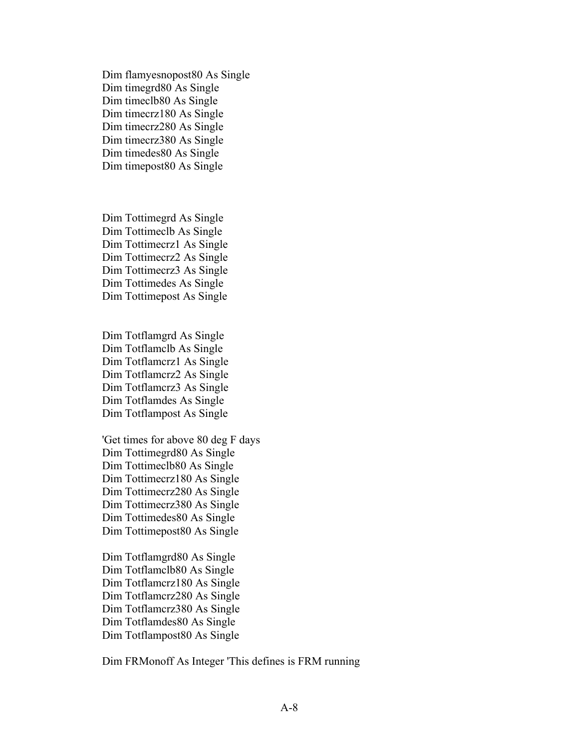Dim flamyesnopost80 As Single Dim timegrd80 As Single Dim timeclb80 As Single Dim timecrz180 As Single Dim timecrz280 As Single Dim timecrz380 As Single Dim timedes80 As Single Dim timepost80 As Single

Dim Tottimegrd As Single Dim Tottimeclb As Single Dim Tottimecrz1 As Single Dim Tottimecrz2 As Single Dim Tottimecrz3 As Single Dim Tottimedes As Single Dim Tottimepost As Single

Dim Totflamgrd As Single Dim Totflamclb As Single Dim Totflamcrz1 As Single Dim Totflamcrz2 As Single Dim Totflamcrz3 As Single Dim Totflamdes As Single Dim Totflampost As Single

'Get times for above 80 deg F days Dim Tottimegrd80 As Single Dim Tottimeclb80 As Single Dim Tottimecrz180 As Single Dim Tottimecrz280 As Single Dim Tottimecrz380 As Single Dim Tottimedes80 As Single Dim Tottimepost80 As Single

Dim Totflamgrd80 As Single Dim Totflamclb80 As Single Dim Totflamcrz180 As Single Dim Totflamcrz280 As Single Dim Totflamcrz380 As Single Dim Totflamdes80 As Single Dim Totflampost80 As Single

Dim FRMonoff As Integer 'This defines is FRM running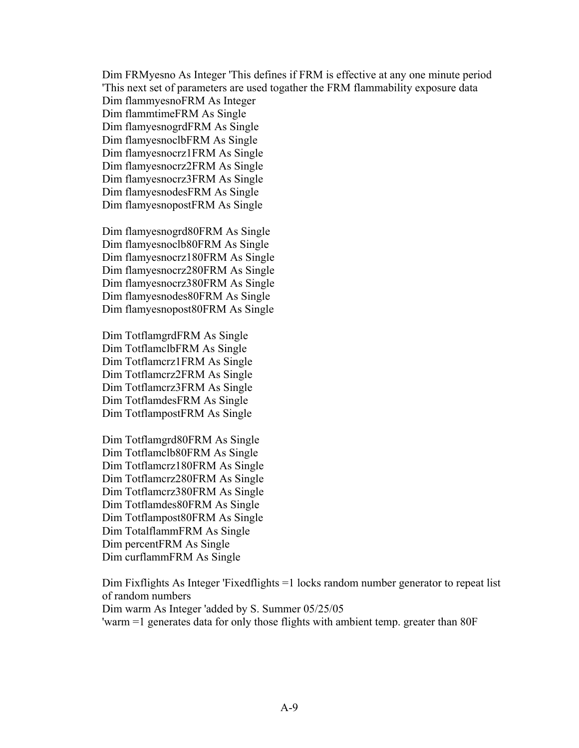Dim FRMyesno As Integer 'This defines if FRM is effective at any one minute period 'This next set of parameters are used togather the FRM flammability exposure data

Dim flammyesnoFRM As Integer Dim flammtimeFRM As Single Dim flamyesnogrdFRM As Single Dim flamyesnoclbFRM As Single Dim flamyesnocrz1FRM As Single Dim flamyesnocrz2FRM As Single Dim flamyesnocrz3FRM As Single Dim flamyesnodesFRM As Single Dim flamyesnopostFRM As Single

Dim flamyesnogrd80FRM As Single Dim flamyesnoclb80FRM As Single Dim flamyesnocrz180FRM As Single Dim flamyesnocrz280FRM As Single Dim flamyesnocrz380FRM As Single Dim flamyesnodes80FRM As Single Dim flamyesnopost80FRM As Single

Dim TotflamgrdFRM As Single Dim TotflamclbFRM As Single Dim Totflamcrz1FRM As Single Dim Totflamcrz2FRM As Single Dim Totflamcrz3FRM As Single Dim TotflamdesFRM As Single Dim TotflampostFRM As Single

Dim Totflamgrd80FRM As Single Dim Totflamclb80FRM As Single Dim Totflamcrz180FRM As Single Dim Totflamcrz280FRM As Single Dim Totflamcrz380FRM As Single Dim Totflamdes80FRM As Single Dim Totflampost80FRM As Single Dim TotalflammFRM As Single Dim percentFRM As Single Dim curflammFRM As Single

Dim Fixflights As Integer 'Fixedflights =1 locks random number generator to repeat list of random numbers

Dim warm As Integer 'added by S. Summer 05/25/05

'warm =1 generates data for only those flights with ambient temp. greater than 80F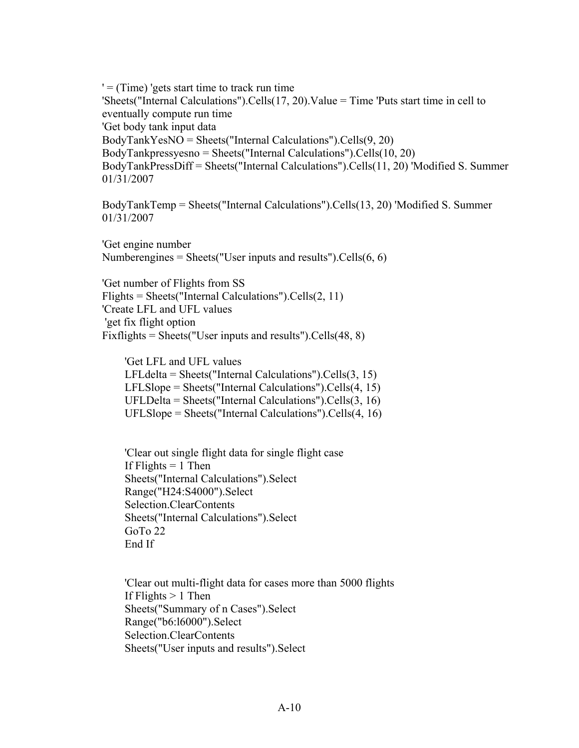$' =$  (Time) 'gets start time to track run time 'Sheets("Internal Calculations").Cells(17, 20).Value = Time 'Puts start time in cell to eventually compute run time 'Get body tank input data BodyTankYesNO = Sheets("Internal Calculations").Cells(9, 20) BodyTankpressyesno = Sheets("Internal Calculations").Cells(10, 20) BodyTankPressDiff = Sheets("Internal Calculations").Cells(11, 20) 'Modified S. Summer 01/31/2007

BodyTankTemp = Sheets("Internal Calculations").Cells(13, 20) 'Modified S. Summer 01/31/2007

'Get engine number Numberengines = Sheets("User inputs and results"). Cells $(6, 6)$ 

'Get number of Flights from SS Flights = Sheets("Internal Calculations").Cells(2, 11) 'Create LFL and UFL values 'get fix flight option Fixflights = Sheets("User inputs and results").Cells(48, 8)

 'Get LFL and UFL values LFLdelta = Sheets("Internal Calculations").Cells(3, 15) LFLSlope = Sheets("Internal Calculations").Cells(4, 15) UFLDelta = Sheets("Internal Calculations").Cells(3, 16) UFLSlope = Sheets("Internal Calculations").Cells(4, 16)

 'Clear out single flight data for single flight case If Flights  $= 1$  Then Sheets("Internal Calculations").Select Range("H24:S4000").Select Selection.ClearContents Sheets("Internal Calculations").Select GoTo 22 End If

 'Clear out multi-flight data for cases more than 5000 flights If Flights  $> 1$  Then Sheets("Summary of n Cases").Select Range("b6:l6000").Select Selection.ClearContents Sheets("User inputs and results").Select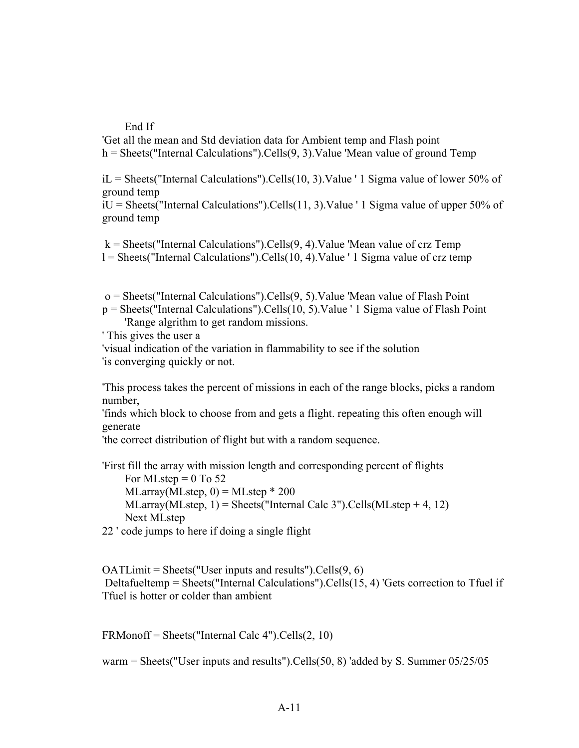#### End If

'Get all the mean and Std deviation data for Ambient temp and Flash point  $h =$  Sheets("Internal Calculations").Cells(9, 3). Value 'Mean value of ground Temp

 $iL =$  Sheets("Internal Calculations").Cells(10, 3).Value ' 1 Sigma value of lower 50% of ground temp

iU = Sheets("Internal Calculations").Cells(11, 3).Value ' 1 Sigma value of upper 50% of ground temp

 $k =$  Sheets("Internal Calculations").Cells(9, 4). Value 'Mean value of crz Temp l = Sheets("Internal Calculations").Cells(10, 4).Value ' 1 Sigma value of crz temp

 $o = \text{Sheets}$  ("Internal Calculations"). Cells $(9, 5)$ . Value 'Mean value of Flash Point

p = Sheets("Internal Calculations").Cells(10, 5).Value ' 1 Sigma value of Flash Point 'Range algrithm to get random missions.

' This gives the user a

'visual indication of the variation in flammability to see if the solution 'is converging quickly or not.

'This process takes the percent of missions in each of the range blocks, picks a random number,

'finds which block to choose from and gets a flight. repeating this often enough will generate

'the correct distribution of flight but with a random sequence.

- 'First fill the array with mission length and corresponding percent of flights For MLstep =  $0$  To 52  $MLarray(MLstep, 0) = MLstep * 200$  $MLarray(MLstep, 1) = \text{Sheets}("Internal Calc 3").Cells(MLstep + 4, 12)$ Next MLstep
- 22 ' code jumps to here if doing a single flight

 $OATLimit = sheets("User inputs and results").Cells(9, 6)$ Deltafueltemp = Sheets("Internal Calculations").Cells(15, 4) 'Gets correction to Tfuel if Tfuel is hotter or colder than ambient

FRMonoff = Sheets("Internal Calc 4").Cells(2, 10)

warm = Sheets("User inputs and results").Cells(50, 8) 'added by S. Summer  $05/25/05$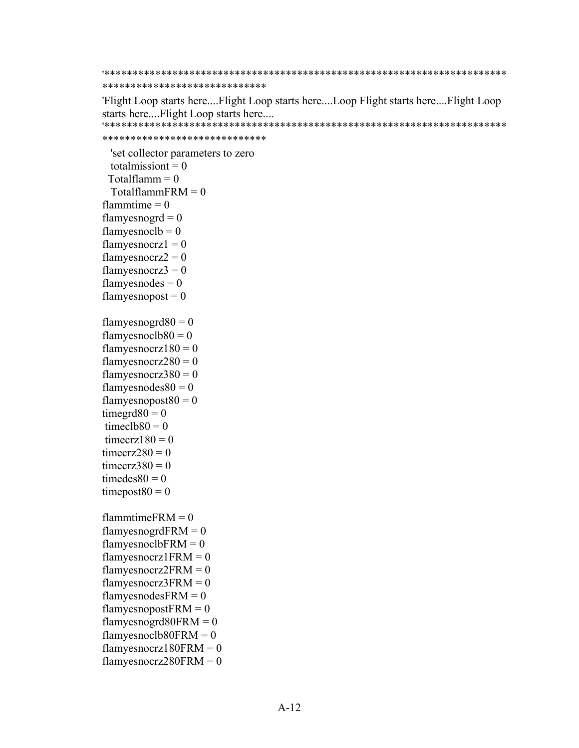#### \*\*\*\*\*\*\*\*\*\*\*\*\*\*\*\*\*\*\*\*\*\*\*\*\*\*\* \*\*\*\*\*\*\*\*\*\*\*\*\*\*\*\*\*\*\*\*\*\*\*\*\*\*\*\*\*

'Flight Loop starts here....Flight Loop starts here....Loop Flight starts here....Flight Loop starts here....Flight Loop starts here.... '\*\*\*\*\*\*\*\*\*\*\*\*\*\*\*\*\*\*\*\*\*\*\*\*\*\*\*\*\*\*\*\*\*\*\*\*\*\*\*\*\*\*\*\*\*\*\*\*\*\*\*\*\*\*\*\*\*\*\*\*\*\*\*\*\*\*\*\*\*\*\*

```
*****************************
```
 'set collector parameters to zero totalmission $t = 0$  $Totalflamm = 0$  $TotalflammFRM = 0$ flammtime  $= 0$ flamyesnogr $d = 0$ flamyesnocl $b = 0$ flamyesnocrz $1 = 0$ flamyesnocrz $2 = 0$ flamyesnocrz $3 = 0$ flamyes nodes  $= 0$ flamyesnopost  $= 0$ flamyesnogrd $80 = 0$ flamyesnocl $b80 = 0$ flamyesnocrz $180 = 0$ flamyesnocrz $280 = 0$ flamyesnocrz $380 = 0$ flamyes nodes  $80 = 0$ flamyesnopost $80 = 0$ timegrd $80 = 0$ timecl $b80 = 0$ timecrz $180 = 0$ timecrz $280 = 0$ timecrz $380 = 0$ timedes $80 = 0$ timepost $80 = 0$ flammtime $FRM = 0$ flamyesnogrd $FRM = 0$ flamyesnoclb $FRM = 0$ flamyesnocrz $1$ FRM = 0 flamyesnocrz $2FRM = 0$ flamyesnocrz $3FRM = 0$ flamyesnodes $FRM = 0$ flamyesnopost $FRM = 0$ flamyesnogrd $80$ FRM = 0 flamyesnoclb $80$ FRM = 0 flamyesnocrz $180$ FRM = 0 flamyesnocrz $280$ FRM = 0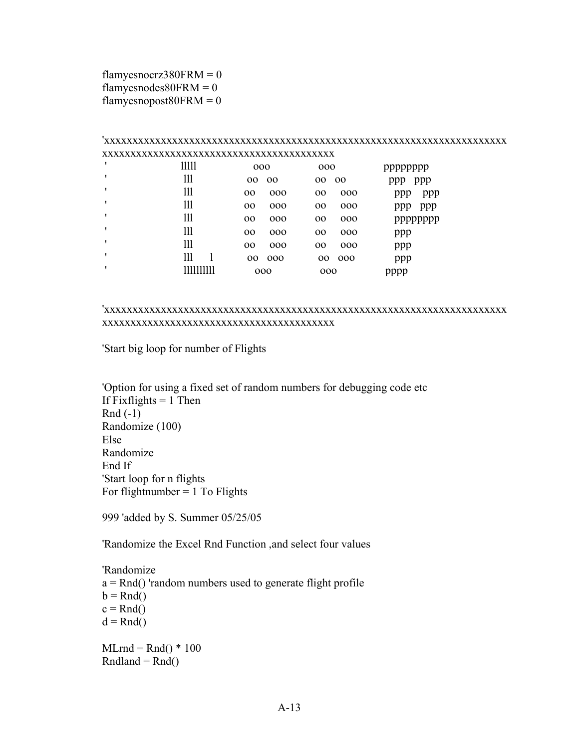flamyesnocrz $380$ FRM = 0 flamyesnodes $80$ FRM = 0 flamyesnopost $80$ FRM = 0

#### 'xxxxxxxxxxxxxxxxxxxxxxxxxxxxxxxxxxxxxxxxxxxxxxxxxxxxxxxxxxxxxxxxxxxxxxx xxxxxxxxxxxxxxxxxxxxxxxxxxxxxxxxxxxxxxxxx ' lllll ooo ooo pppppppp ' lll oo oo oo oo ppp ppp ' lll oo ooo oo ooo ppp ppp ' lll oo ooo oo ooo ppp ppp ' lll oo ooo oo ooo pppppppp ' lll oo ooo oo ooo ppp ' lll oo ooo oo ooo ppp ' lll l oo ooo oo ooo ppp ' llllllllll ooo ooo pppp

#### 'xxxxxxxxxxxxxxxxxxxxxxxxxxxxxxxxxxxxxxxxxxxxxxxxxxxxxxxxxxxxxxxxxxxxxxx xxxxxxxxxxxxxxxxxxxxxxxxxxxxxxxxxxxxxxxxx

'Start big loop for number of Flights

'Option for using a fixed set of random numbers for debugging code etc If Fixflights  $= 1$  Then Rnd (-1) Randomize (100) Else Randomize End If 'Start loop for n flights For flightnumber  $= 1$  To Flights

999 'added by S. Summer 05/25/05

'Randomize the Excel Rnd Function ,and select four values

'Randomize  $a = \text{Rnd}$ ) 'random numbers used to generate flight profile  $b = Rnd()$  $c = Rnd()$  $d = \text{Rnd}()$ 

 $MLrnd = Rnd() * 100$  $Rndland = Rnd()$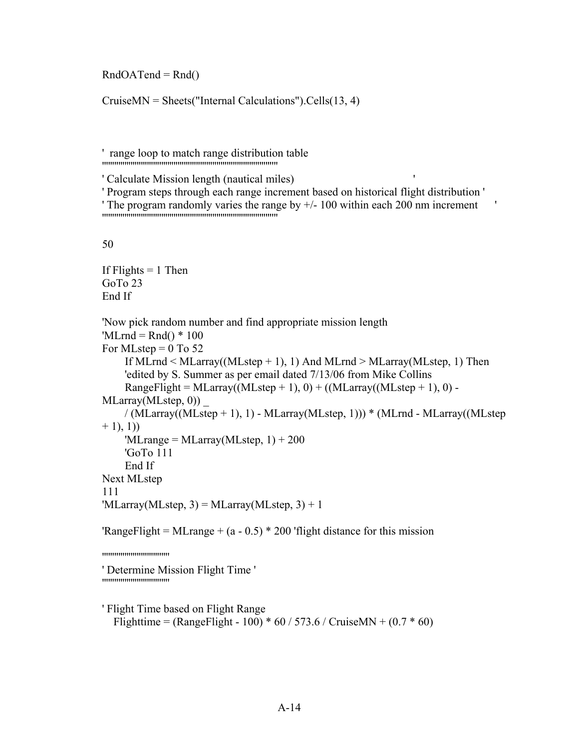$RndOATend = Rnd()$ 

CruiseMN = Sheets("Internal Calculations").Cells(13, 4)

' range loop to match range distribution table ''''''''''''''''''''''''''''''''''''''''''''''''''''''''''''''''''''''''''''''''''''''

' Program steps through each range increment based on historical flight distribution '

```
' The program randomly varies the range by +/- 100 within each 200 nm increment \blacksquare
```
50

If Flights  $= 1$  Then GoTo 23 End If

```
'Now pick random number and find appropriate mission length
'MLrnd = Rnd() * 100For MLstep = 0 To 52
     If MLrnd < MLarray((MLstep + 1), 1) And MLrnd > MLarray(MLstep, 1) Then
     'edited by S. Summer as per email dated 7/13/06 from Mike Collins
    RangeFlight = MLarray((MLstep + 1), 0) + ((MLarray((MLstep + 1), 0) -
MLarray(MLstep, 0))
    / (MLarray((MLstep + 1), 1) - MLarray(MLstep, 1))) * (MLrnd - MLarray((MLstep)
+ 1), 1))
    'MLrange = MLarray(MLstep, 1) + 200
     'GoTo 111
     End If
Next MLstep
111
MLarray(MLstep, 3) = MLarray(MLstep, 3) + 1
```
'RangeFlight = MLrange +  $(a - 0.5)$  \* 200 'flight distance for this mission

'''''''''''''''''''''''''''''''''

' Determine Mission Flight Time ' '''''''''''''''''''''''''''''''''

' Flight Time based on Flight Range Flighttime = (RangeFlight - 100) \*  $60 / 573.6 /$  CruiseMN +  $(0.7 * 60)$ 

<sup>&#</sup>x27; Calculate Mission length (nautical miles) '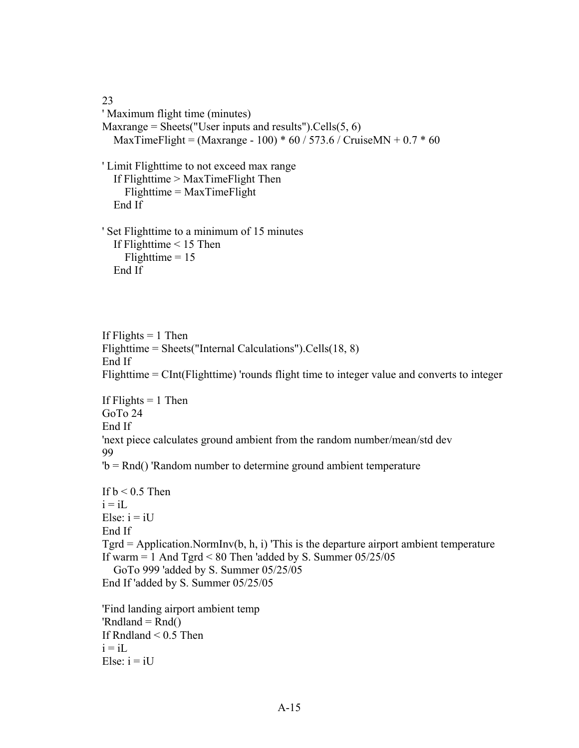23 ' Maximum flight time (minutes) Maxrange = Sheets("User inputs and results"). Cells $(5, 6)$ MaxTimeFlight = (Maxrange - 100)  $*$  60 / 573.6 / CruiseMN + 0.7  $*$  60 ' Limit Flighttime to not exceed max range If Flighttime > MaxTimeFlight Then Flighttime = MaxTimeFlight End If ' Set Flighttime to a minimum of 15 minutes If Flighttime < 15 Then Flighttime  $= 15$ 

If Flights  $= 1$  Then Flighttime = Sheets("Internal Calculations").Cells(18, 8) End If Flighttime = CInt(Flighttime) 'rounds flight time to integer value and converts to integer If Flights  $= 1$  Then GoTo 24 End If 'next piece calculates ground ambient from the random number/mean/std dev 99 'b = Rnd() 'Random number to determine ground ambient temperature If  $b < 0.5$  Then

```
i = iLElse: i = iUEnd If
Tgrd = Application.NormInv(b, h, i) This is the departure airport ambient temperature
If warm = 1 And Tgrd < 80 Then 'added by S. Summer 05/25/05
   GoTo 999 'added by S. Summer 05/25/05
End If 'added by S. Summer 05/25/05
```
'Find landing airport ambient temp 'Rndland =  $Rnd()$ If Rndland  $\leq 0.5$  Then  $i = iL$ Else:  $i = iU$ 

End If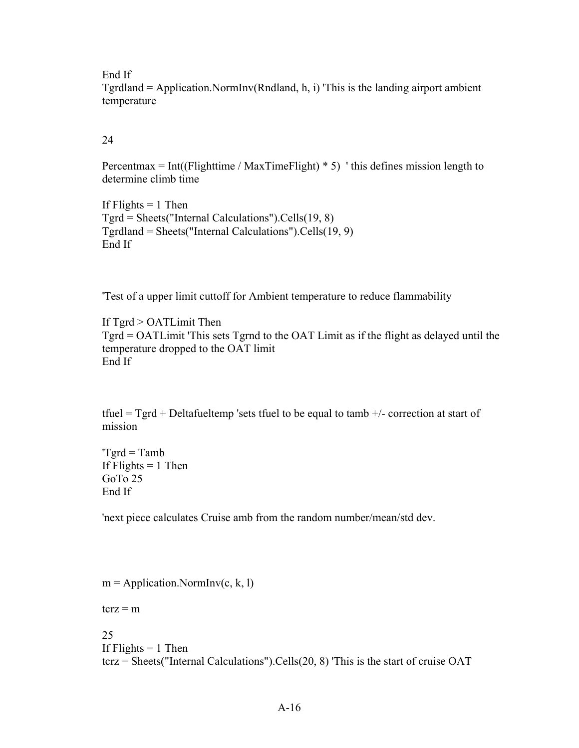End If

Tgrdland = Application.NormInv(Rndland, h, i) 'This is the landing airport ambient temperature

24

Percentmax = Int((Flighttime / MaxTimeFlight)  $*$  5) 'this defines mission length to determine climb time

If Flights  $= 1$  Then Tgrd = Sheets("Internal Calculations").Cells(19, 8) Tgrdland = Sheets("Internal Calculations").Cells(19, 9) End If

'Test of a upper limit cuttoff for Ambient temperature to reduce flammability

If Tgrd > OATLimit Then Tgrd = OATLimit 'This sets Tgrnd to the OAT Limit as if the flight as delayed until the temperature dropped to the OAT limit End If

tfuel = Tgrd + Deltafueltemp 'sets tfuel to be equal to tamb  $+/-$  correction at start of mission

 $Tgrd = Tamb$ If Flights  $= 1$  Then GoTo 25 End If

'next piece calculates Cruise amb from the random number/mean/std dev.

 $m =$  Application. NormInv(c, k, 1)

 $t$ crz = m

25 If Flights  $= 1$  Then tcrz = Sheets("Internal Calculations").Cells(20, 8) 'This is the start of cruise OAT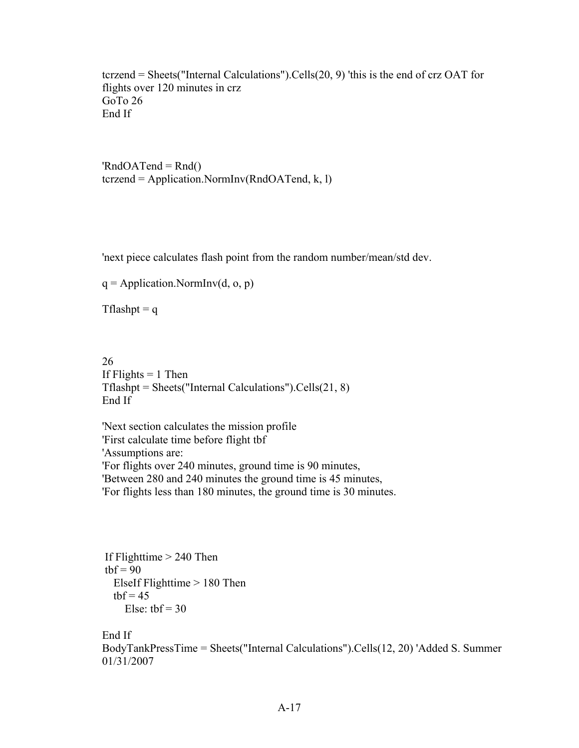tcrzend = Sheets("Internal Calculations").Cells(20, 9) 'this is the end of crz OAT for flights over 120 minutes in crz GoTo 26 End If

' $RndOATend = Rnd()$ tcrzend = Application.NormInv(RndOATend, k, l)

'next piece calculates flash point from the random number/mean/std dev.

 $q =$  Application.NormInv(d, o, p)

Tflashpt  $= q$ 

26 If Flights  $= 1$  Then Tflashpt = Sheets("Internal Calculations").Cells(21, 8) End If

'Next section calculates the mission profile 'First calculate time before flight tbf 'Assumptions are: 'For flights over 240 minutes, ground time is 90 minutes, 'Between 280 and 240 minutes the ground time is 45 minutes, 'For flights less than 180 minutes, the ground time is 30 minutes.

```
If Flighttime > 240 Then
tbf = 90 ElseIf Flighttime > 180 Then
 tbf = 45Else: tbf = 30
```
#### End If

BodyTankPressTime = Sheets("Internal Calculations").Cells(12, 20) 'Added S. Summer 01/31/2007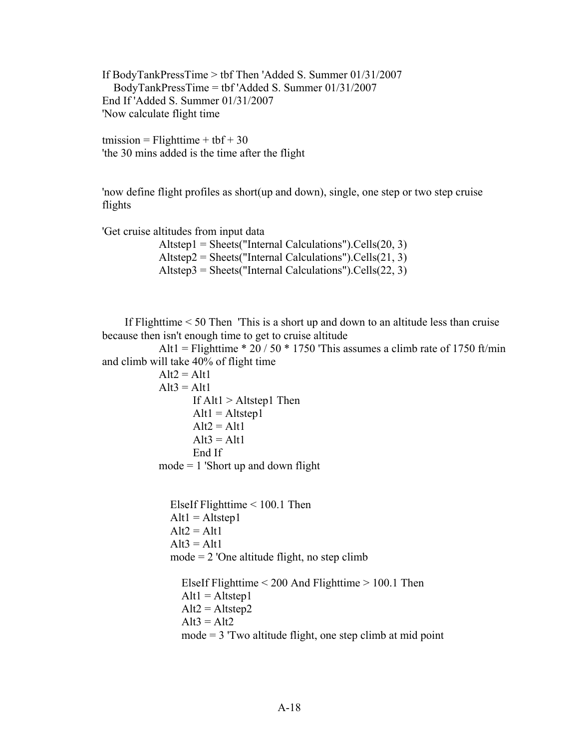If BodyTankPressTime > tbf Then 'Added S. Summer 01/31/2007 BodyTankPressTime = tbf 'Added S. Summer 01/31/2007 End If 'Added S. Summer 01/31/2007 'Now calculate flight time

tmission = Flighttime + tbf + 30 'the 30 mins added is the time after the flight

'now define flight profiles as short(up and down), single, one step or two step cruise flights

'Get cruise altitudes from input data

 Altstep1 = Sheets("Internal Calculations").Cells(20, 3)  $Altstep2 = Sheets("Internal Calculations").Cells(21, 3)$  $Altstep3 = Sheets("Internal Calculations").Cells(22, 3)$ 

 If Flighttime < 50 Then 'This is a short up and down to an altitude less than cruise because then isn't enough time to get to cruise altitude

Alt1 = Flighttime  $*$  20 / 50  $*$  1750 'This assumes a climb rate of 1750 ft/min and climb will take 40% of flight time

```
Alt2 = Alt1Alt3 = Alt1If Alt1 > Altstep1 Then
       Alt1 = Altstep1Alt2 = Alt1Alt3 = Alt1 End If
mode = 1 'Short up and down flight
```
 ElseIf Flighttime < 100.1 Then  $Alt1 = Altstep1$  $Alt2 = Alt1$  $Alt3 = Alt1$  $mode = 2$  'One altitude flight, no step climb

 ElseIf Flighttime < 200 And Flighttime > 100.1 Then  $Alt1 = Altstep1$  $Alt2 = Altstep2$  $Alt3 = Alt2$  $mode = 3$  Two altitude flight, one step climb at mid point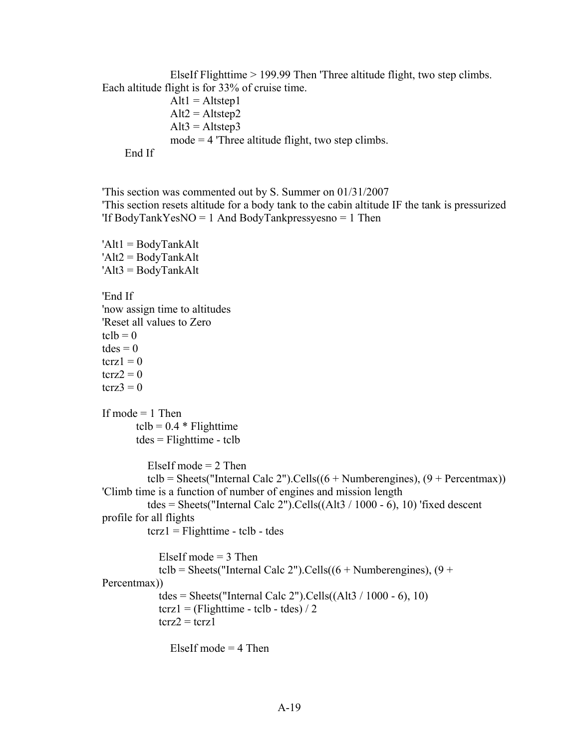ElseIf Flighttime > 199.99 Then 'Three altitude flight, two step climbs. Each altitude flight is for 33% of cruise time.

 $Alt1 = Altstep1$  $Alt2 = Altstep2$  $Alt3 = Altstep3$  mode = 4 'Three altitude flight, two step climbs. End If

'This section was commented out by S. Summer on 01/31/2007 'This section resets altitude for a body tank to the cabin altitude IF the tank is pressurized 'If BodyTankYesNO = 1 And BodyTankpressyesno = 1 Then

```
'Alt1 = BodyTankAlt
'Alt2 = BodyTankAlt
'Alt3 = BodyTankAlt
'End If
'now assign time to altitudes
'Reset all values to Zero
tclb = 0tdes = 0terz1 = 0\text{terz2} = 0terz3 = 0If mode = 1 Then
       tclb = 0.4 * Flighttime
         tdes = Flighttime - tclb
          ElseIf mode = 2 Then
          tclb = Sheets("Internal Calc 2").Cells((6 +Numberengines), (9 + Percentmax))
'Climb time is a function of number of engines and mission length
          tdes = Sheets("Internal Calc 2").Cells((Alt3 / 1000 - 6), 10) 'fixed descent
profile for all flights
          \text{terz1} = \text{Flighttime} - \text{tclb} - \text{tdes}ElseIf mode = 3 Then
             tclb = Sheets("Internal Calc 2").Cells((6 +Numberengines), (9 +Percentmax))
             tdes = Sheets("Internal Calc 2").Cells((Alt3 / 1000 - 6), 10)
             \text{terz1} = (\text{Flighttime - tclb - tdes}) / 2\text{terz2} = \text{terz1}ElseIf mode = 4 Then
```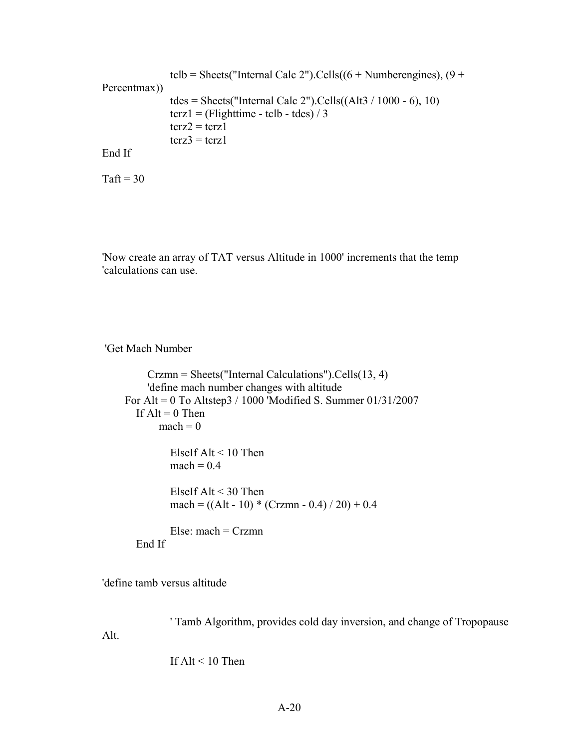```
tclb = Sheets("Internal Calc 2").Cells((6 +Numberengines), (9 +Percentmax))
                 tdes = Sheets("Internal Calc 2").Cells((Alt3 / 1000 - 6), 10)
                 \text{terz1} = (\text{Flighttime - tclb - tdes}) / 3\text{terz2} = \text{terz1}\text{terz3} = \text{terz1}End If
```

```
Taft = 30
```
'Now create an array of TAT versus Altitude in 1000' increments that the temp 'calculations can use.

'Get Mach Number

```
 Crzmn = Sheets("Internal Calculations").Cells(13, 4)
      'define mach number changes with altitude
 For Alt = 0 To Altstep3 / 1000 'Modified S. Summer 01/31/2007
  If Alt = 0 Then
       mach = 0 ElseIf Alt < 10 Then
         mach = 0.4 ElseIf Alt < 30 Then
         mach = ((Alt - 10) * (Crzmn - 0.4) / 20) + 0.4Else: mach = Crzmn End If
```
'define tamb versus altitude

 ' Tamb Algorithm, provides cold day inversion, and change of Tropopause Alt.

If  $Alt < 10$  Then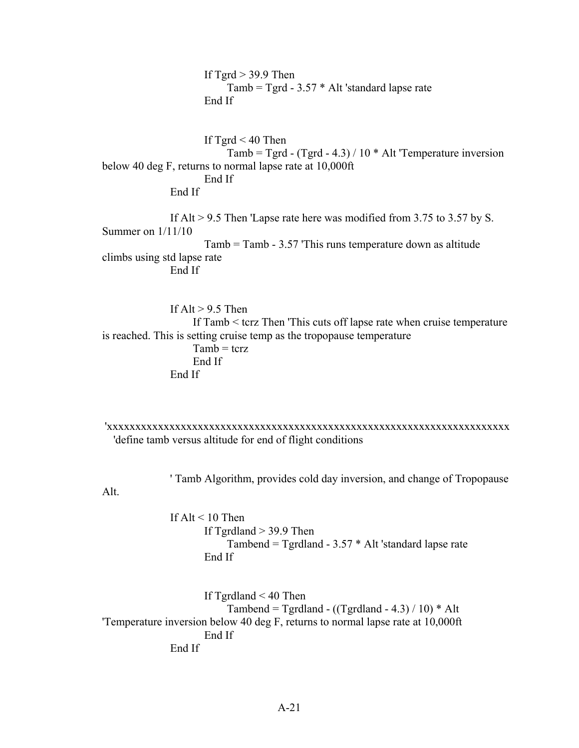If  $Tgrd > 39.9$  Then Tamb = Tgrd - 3.57 \* Alt 'standard lapse rate End If If  $Tgrd < 40$  Then Tamb = Tgrd -  $(Tgrd - 4.3) / 10 * Alt$  Temperature inversion below 40 deg F, returns to normal lapse rate at 10,000ft End If End If If Alt > 9.5 Then 'Lapse rate here was modified from 3.75 to 3.57 by S. Summer on 1/11/10 Tamb = Tamb - 3.57 'This runs temperature down as altitude climbs using std lapse rate End If If Alt  $> 9.5$  Then

 If Tamb < tcrz Then 'This cuts off lapse rate when cruise temperature is reached. This is setting cruise temp as the tropopause temperature  $Tamb = tcrz$  End If End If

'xxxxxxxxxxxxxxxxxxxxxxxxxxxxxxxxxxxxxxxxxxxxxxxxxxxxxxxxxxxxxxxxxxxxxxx 'define tamb versus altitude for end of flight conditions

' Tamb Algorithm, provides cold day inversion, and change of Tropopause

Alt.

If  $Alt < 10$  Then If  $T$ grdland  $>$  39.9 Then Tambend = Tgrdland - 3.57 \* Alt 'standard lapse rate End If

 If Tgrdland < 40 Then Tambend = Tgrdland -  $((Tgrdland - 4.3) / 10) * Alt$ 'Temperature inversion below 40 deg F, returns to normal lapse rate at 10,000ft End If End If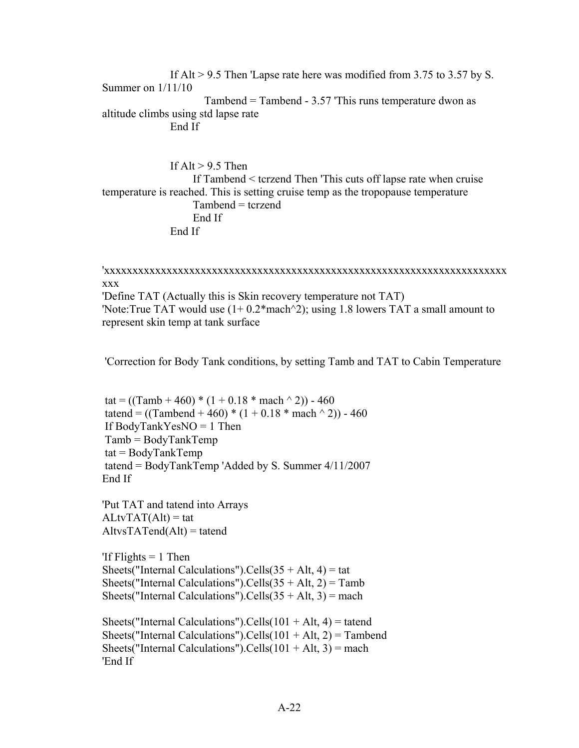If Alt > 9.5 Then 'Lapse rate here was modified from 3.75 to 3.57 by S. Summer on 1/11/10 Tambend = Tambend - 3.57 'This runs temperature dwon as altitude climbs using std lapse rate End If

If  $Alt > 9.5$  Then If Tambend < tcrzend Then 'This cuts off lapse rate when cruise temperature is reached. This is setting cruise temp as the tropopause temperature Tambend = tcrzend End If End If

'xxxxxxxxxxxxxxxxxxxxxxxxxxxxxxxxxxxxxxxxxxxxxxxxxxxxxxxxxxxxxxxxxxxxxxx xxx 'Define TAT (Actually this is Skin recovery temperature not TAT) 'Note:True TAT would use  $(1+ 0.2*$ mach $\textdegree$ 2); using 1.8 lowers TAT a small amount to represent skin temp at tank surface

'Correction for Body Tank conditions, by setting Tamb and TAT to Cabin Temperature

tat =  $((Tamb + 460) * (1 + 0.18 * mach \cdot 2)) - 460$ tatend =  $((Tambend + 460) * (1 + 0.18 * mach \cdot 2)) - 460$ If BodyTankYesNO = 1 Then Tamb = BodyTankTemp  $tat = BodyTankTemp$ tatend = BodyTankTemp 'Added by S. Summer 4/11/2007 End If

'Put TAT and tatend into Arrays  $ALtvTAT(Alt) = tat$  $AltvsTATend(Alt) = tatend$ 

'If  $F$ lights  $= 1$  Then Sheets("Internal Calculations").Cells $(35 + Alt, 4) = \text{tat}$ Sheets("Internal Calculations").Cells $(35 + Alt, 2) = Tamb$ Sheets("Internal Calculations").Cells $(35 + Alt, 3)$  = mach

Sheets("Internal Calculations").Cells( $101 + Alt$ , 4) = tatend Sheets("Internal Calculations").Cells( $101 + Alt$ , 2) = Tambend Sheets("Internal Calculations").Cells( $101 + Alt$ , 3) = mach 'End If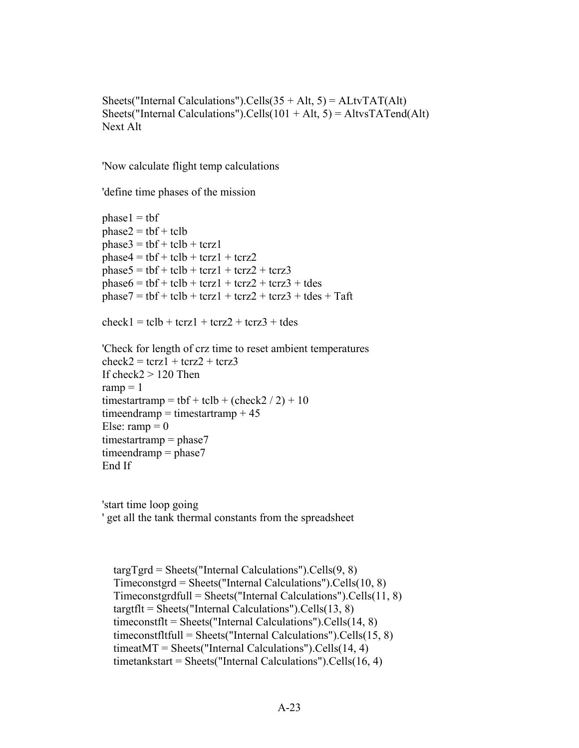Sheets("Internal Calculations").Cells $(35 + Alt, 5) = ALtvTAT(Alt)$ Sheets("Internal Calculations").Cells( $101 + Alt$ ,  $5$ ) = AltvsTATend(Alt) Next Alt

'Now calculate flight temp calculations

'define time phases of the mission

```
phase1 = tbfphase2 = tbf + tclbphase3 = tbf + tclb + tcrz1phase4 = tbf + tclb + tcrz1 + tcrz2phase5 = tbf + tclb + tcrz1 + tcrz2 + tcrz3phase6 = tbf + tclb + tcrz1 + tcrz2 + tcrz3 + tdesphase7 = tbf + tclb + tcrz1 + tcrz2 + tcrz3 + tdes + Taftcheck1 = tclb + tcrz1 + tcrz2 + tcrz3 + tdes'Check for length of crz time to reset ambient temperatures
check2 = \text{terz1} + \text{terz2} + \text{terz3}If check2 > 120 Then
ramp = 1
```

```
timestartramp = tbf + tclb + (check2 / 2) + 10
timeendramp = timestartramp +45Else: ramp = 0timestartramp = phase7timeendramp = phase7End If
```
'start time loop going ' get all the tank thermal constants from the spreadsheet

```
\text{targTgrd} = \text{Sheets}(\text{''Internal Calculations''}).\text{Cells}(9, 8) Timeconstgrd = Sheets("Internal Calculations").Cells(10, 8)
 Timeconstgrdfull = Sheets("Internal Calculations").Cells(11, 8)
 targtflt = Sheets("Internal Calculations").Cells(13, 8)
 timeconstflt = Sheets("Internal Calculations").Cells(14, 8)
 timeconstfltfull = Sheets("Internal Calculations").Cells(15, 8)
 timeatMT = Sheets("Internal Calculations").Cells(14, 4)
 timetankstart = Sheets("Internal Calculations").Cells(16, 4)
```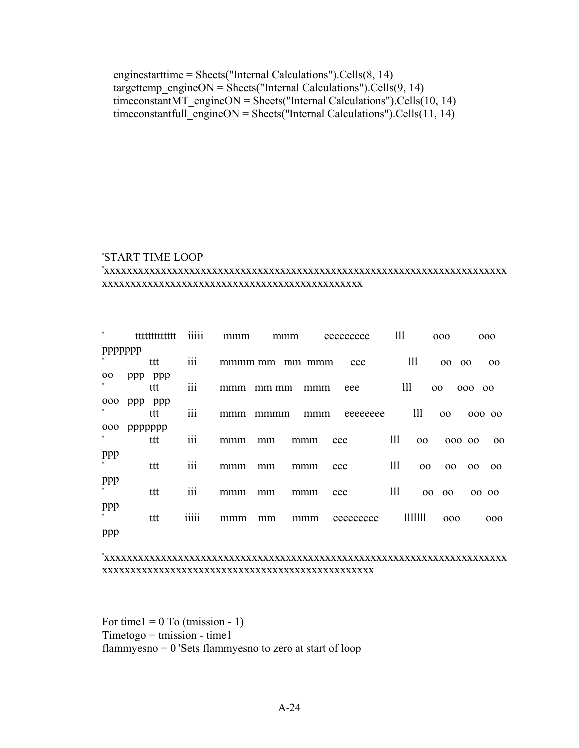enginestarttime = Sheets("Internal Calculations").Cells(8, 14) targettemp\_engineON = Sheets("Internal Calculations").Cells(9, 14) timeconstantMT\_engineON = Sheets("Internal Calculations").Cells(10, 14) timeconstantfull  $\overline{eqneneON}$  = Sheets("Internal Calculations").Cells(11, 14)

#### 'START TIME LOOP

#### 'xxxxxxxxxxxxxxxxxxxxxxxxxxxxxxxxxxxxxxxxxxxxxxxxxxxxxxxxxxxxxxxxxxxxxxx xxxxxxxxxxxxxxxxxxxxxxxxxxxxxxxxxxxxxxxxxxxxxx

| $\mathbf{r}$    | tttttttttttt | .<br>11111       | mmm     | mmm   |        | eeeeeeee  | 111 |                 | 000             |                 | 000    |
|-----------------|--------------|------------------|---------|-------|--------|-----------|-----|-----------------|-----------------|-----------------|--------|
| ppppppp         |              |                  |         |       |        |           |     |                 |                 |                 |        |
|                 | ttt          | $\cdots$<br>111  | mmmm mm |       | mm mmm | eee       |     | 111             | 00 00           |                 | 00     |
| 00 <sub>o</sub> | ppp ppp      |                  |         |       |        |           |     |                 |                 |                 |        |
|                 | ttt          | $\cdots$<br>111  | mmm     | mm mm | mmm    | eee       | 111 |                 | 00              | 000             | 00     |
| 000             | ppp<br>ppp   |                  |         |       |        |           |     |                 |                 |                 |        |
| ,               | ttt          | $\cdots$<br>111  | mmm     | mmmm  | mmm    | eeeeeeee  |     | 111             | 00 <sub>o</sub> |                 | 000 00 |
| 000             | ppppppp      |                  |         |       |        |           |     |                 |                 |                 |        |
| ,               | ttt          | $\cdots$<br>111  | mmm     | mm    | mmm    | eee       | 111 | 00              | 000 00          |                 | 00     |
| ppp             |              |                  |         |       |        |           |     |                 |                 |                 |        |
| ,               | ttt          | $\overline{111}$ | mmm     | mm    | mmm    | eee       | 111 | 00              | 00              | 00 <sub>o</sub> | 00     |
| ppp             |              |                  |         |       |        |           |     |                 |                 |                 |        |
| $\mathbf{r}$    | ttt          | $\overline{111}$ | mmm     | mm    | mmm    | eee       | 111 | 00 <sub>o</sub> | 00              |                 | 00 00  |
| ppp             |              |                  |         |       |        |           |     |                 |                 |                 |        |
|                 | ttt          | 11111            | mmm     | mm    | mmm    | eeeeeeeee |     | 1111111         | 000             |                 | 000    |
| ppp             |              |                  |         |       |        |           |     |                 |                 |                 |        |

#### 'xxxxxxxxxxxxxxxxxxxxxxxxxxxxxxxxxxxxxxxxxxxxxxxxxxxxxxxxxxxxxxxxxxxxxxx xxxxxxxxxxxxxxxxxxxxxxxxxxxxxxxxxxxxxxxxxxxxxxxx

For time $1 = 0$  To (tmission - 1)  $T$ imetogo = tmission - time1 flammyesno = 0 'Sets flammyesno to zero at start of loop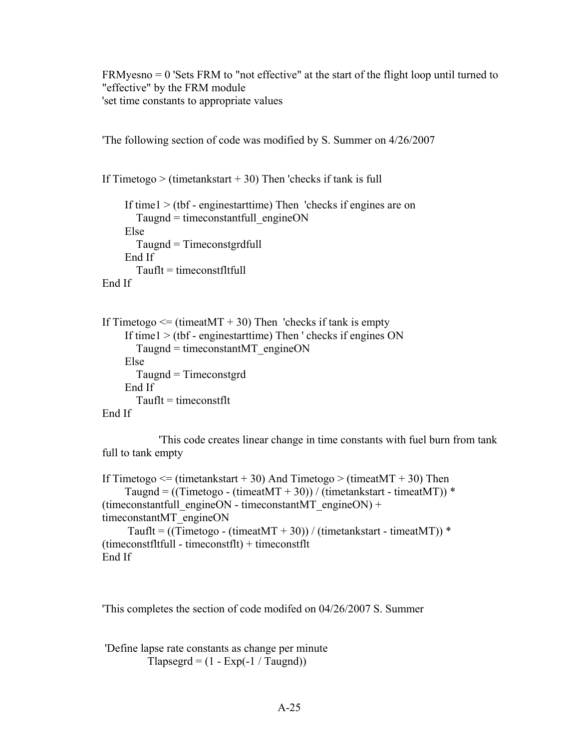FRMyesno = 0 'Sets FRM to "not effective" at the start of the flight loop until turned to "effective" by the FRM module 'set time constants to appropriate values

'The following section of code was modified by S. Summer on 4/26/2007

If Timetogo  $>$  (timetankstart  $+30$ ) Then 'checks if tank is full

```
 If time1 > (tbf - enginestarttime) Then 'checks if engines are on
       Taugnd = timeconstantfull engineON
     Else
        Taugnd = Timeconstgrdfull
     End If
       Tauft = timeconstftftullEnd If
```

```
If Timetogo \leq (timeatMT + 30) Then 'checks if tank is empty
     If time1 > (tbf - enginestarttime) Then ' checks if engines ON
       Taugnd = timeconstantMT engineON
     Else
        Taugnd = Timeconstgrd
     End If
       Tauft = timeconstfttEnd If
```
 'This code creates linear change in time constants with fuel burn from tank full to tank empty

```
If Timetogo \leq (timetankstart + 30) And Timetogo > (timeatMT + 30) Then
    Taugnd = ((Timetogo - (timeatMT + 30)) / (time tankstart - timeatMT)) *
(timeconstantfull_engineON - timeconstantMT_engineON) +
timeconstantMT_engineON
     Tauflt = ((Timetogo - (timeatMT + 30)) / (timetankstart - timeatMT)) *
(timeconstfltfull - timeconstflt) + timeconstflt
End If
```
'This completes the section of code modifed on 04/26/2007 S. Summer

'Define lapse rate constants as change per minute Tlapsegrd =  $(1 - Exp(-1 / Taugnd))$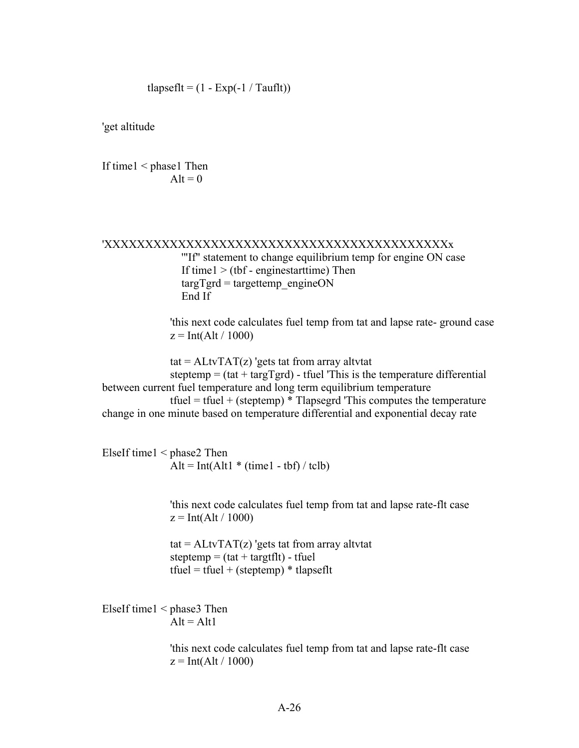tlapseflt =  $(1 - Exp(-1 / Tauflt))$ 

'get altitude

If time1 < phase1 Then  $Alt = 0$ 

#### 'XXXXXXXXXXXXXXXXXXXXXXXXXXXXXXXXXXXXXXXXXXx '"If" statement to change equilibrium temp for engine ON case If time $1 > (tbf - engineering)$  Then  $\text{targTgrd} = \text{targettemp}$  engineON End If

 'this next code calculates fuel temp from tat and lapse rate- ground case  $z = Int(Alt / 1000)$ 

tat =  $\text{ALtvTAT}(z)$  'gets tat from array altvtat steptemp  $=$  (tat  $+$  targTgrd) - tfuel 'This is the temperature differential between current fuel temperature and long term equilibrium temperature tfuel = tfuel + (steptemp)  $*$  Tlapsegrd 'This computes the temperature change in one minute based on temperature differential and exponential decay rate

ElseIf time1 < phase2 Then Alt = Int(Alt1  $*$  (time1 - tbf) / tclb)

> 'this next code calculates fuel temp from tat and lapse rate-flt case  $z = Int(Alt / 1000)$

 $\text{tat} = \text{ALtvTAT}(z)$  'gets tat from array altytat steptemp =  $(tat + targetft)$  - tfuel tfuel = tfuel + (steptemp)  $*$  tlapseflt

ElseIf time1 < phase3 Then  $Alt = Alt1$ 

> 'this next code calculates fuel temp from tat and lapse rate-flt case  $z = Int(Alt / 1000)$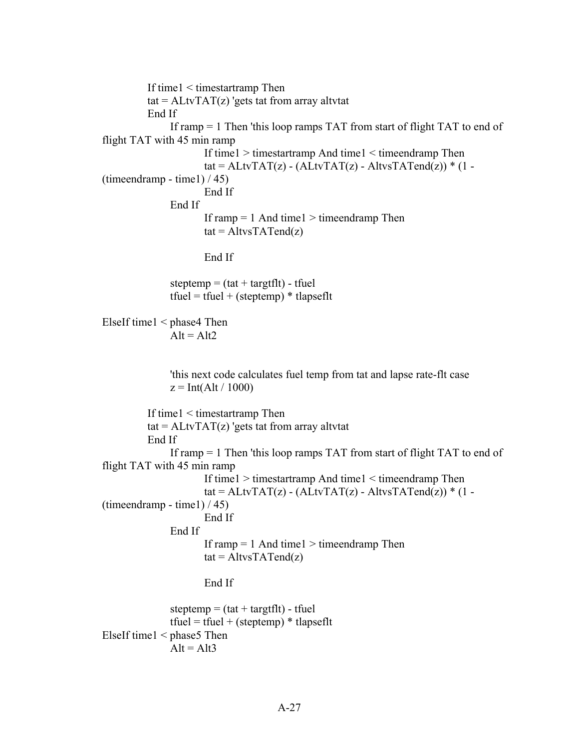```
 If time1 < timestartramp Then
         tat = ALtvTAT(z) 'gets tat from array altvtat
          End If
              If ramp = 1 Then 'this loop ramps TAT from start of flight TAT to end of
flight TAT with 45 min ramp
                       If time1 > timestartramp And time1 < timeendramp Then
                      tat = ALtvTAT(z) - (ALtvTAT(z) - AltvsTATend(z)) * (1 -
(timeendramp - time1) / 45) End If
               End If
                      If ramp = 1 And time1 > time endramp Then
                      tat = AltvsTATend(z) End If
              steptemp = (tat + targtflt) - tfuel
              tfuel = tfuel + (steptemp) * tlapseflt
ElseIf time1 < phase4 Then
              Alt = Alt2 'this next code calculates fuel temp from tat and lapse rate-flt case
              z = Int(Alt / 1000) If time1 < timestartramp Then
         tat = ALtvTAT(z) 'gets tat from array altvtat
          End If
               If ramp = 1 Then 'this loop ramps TAT from start of flight TAT to end of 
flight TAT with 45 min ramp
                       If time1 > timestartramp And time1 < timeendramp Then
                      tat = ALtvTAT(z) - (ALtvTAT(z) - AltvsTATend(z)) * (1 -
(timeendramp - time1) / 45)
                       End If
               End If
                      If ramp = 1 And time1 > time endramp Then
                      tat = AltvsTATend(z) End If
              steptemp = (tat + targtflt) - tfuel
              tfuel = tfuel + (steptemp) * tlapseflt
ElseIf time1 \leq phase5 Then
              Alt = Alt3
```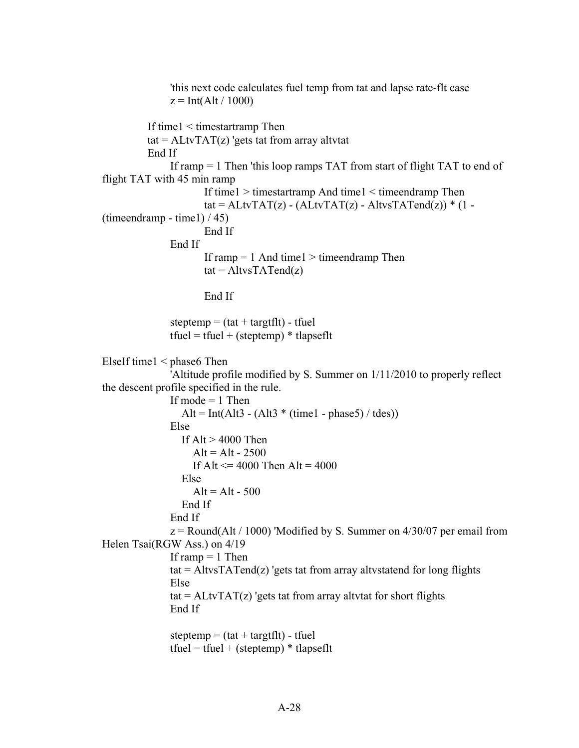```
 'this next code calculates fuel temp from tat and lapse rate-flt case
               z = Int(Alt / 1000) If time1 < timestartramp Then
          tat = ALtvTAT(z) 'gets tat from array altvtat
           End If
                If ramp = 1 Then 'this loop ramps TAT from start of flight TAT to end of 
flight TAT with 45 min ramp
                       If time1 > timestartramp And time1 < timeendramp Then
                      tat = ALtvTAT(z) - (ALtvTAT(z) - AltvsTATend(z))* (1 -
(timeendramp - time1) / 45) End If
                End If
                      If ramp = 1 And time1 > time endramp Then
                      tat = AltvsTATend(z) End If
               steptemp = (tat + targetft) - tfuel
               tfuel = tfuel + (steptemp) * tlapseflt
ElseIf time1 < phase6 Then
                'Altitude profile modified by S. Summer on 1/11/2010 to properly reflect 
the descent profile specified in the rule.
               If mode = 1 Then
                 Alt = Int(Alt3 - (Alt3 * (time1 - phase5) / tdes))
                Else
                 If Alt > 4000 Then
                   Alt = Alt - 2500If Alt \leq 4000 Then Alt = 4000
                  Else
                    Alt = Alt - 500 End If
                End If
               z =Round(Alt / 1000) 'Modified by S. Summer on 4/30/07 per email from
Helen Tsai(RGW Ass.) on 4/19
               If ramp = 1 Then
               tat = AltvsTATend(z) 'gets tat from array altystatend for long flights
                Else
               tat = ALtvTAT(z) 'gets tat from array altvtat for short flights
                End If
               steptemp = (tat + targtflt) - tfuel
               tfuel = tfuel + (steptemp) * tlapseflt
```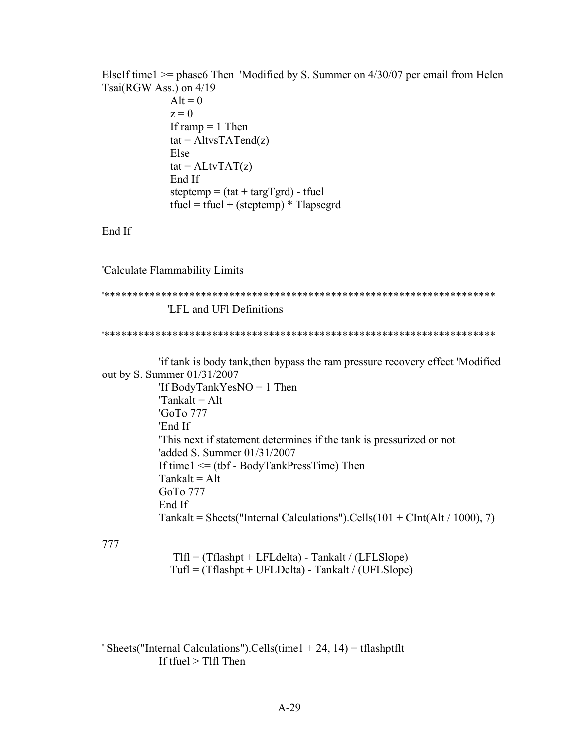ElseIf time1  $>$ = phase6 Then 'Modified by S. Summer on 4/30/07 per email from Helen Tsai(RGW Ass.) on 4/19

 $Alt = 0$  $z = 0$ If ramp  $= 1$  Then  $tat = AltvsTATend(z)$  Else  $tat = ALtvTAT(z)$  End If steptemp =  $(tat + targTgrd)$  - tfuel tfuel = tfuel + (steptemp)  $*$  Tlapsegrd

End If

'Calculate Flammability Limits

```
'*********************************************************************
             'LFL and UFl Definitions
```
'\*\*\*\*\*\*\*\*\*\*\*\*\*\*\*\*\*\*\*\*\*\*\*\*\*\*\*\*\*\*\*\*\*\*\*\*\*\*\*\*\*\*\*\*\*\*\*\*\*\*\*\*\*\*\*\*\*\*\*\*\*\*\*\*\*\*\*\*\*

 'if tank is body tank,then bypass the ram pressure recovery effect 'Modified out by S. Summer 01/31/2007 'If BodyTankYesNO = 1 Then  $\text{Y}\text{Tankalt} = \text{Alt}$  'GoTo 777 'End If 'This next if statement determines if the tank is pressurized or not 'added S. Summer 01/31/2007 If time  $1 \leq$  (tbf - BodyTankPressTime) Then  $Tankalt = Alt$  GoTo 777 End If Tankalt = Sheets("Internal Calculations").Cells( $101 + \text{CInt}(Alt / 1000)$ , 7)

777

 $T1f1 = (Tflashpt + LFLdelta) - Tankalt / (LFLSlope)$  $Tuff = (Tflashpt + UFLDelta) - Tankalt / (UFLSlope)$ 

' Sheets("Internal Calculations").Cells(time1 + 24, 14) = tflashptflt If tfuel  $>$  Tlfl Then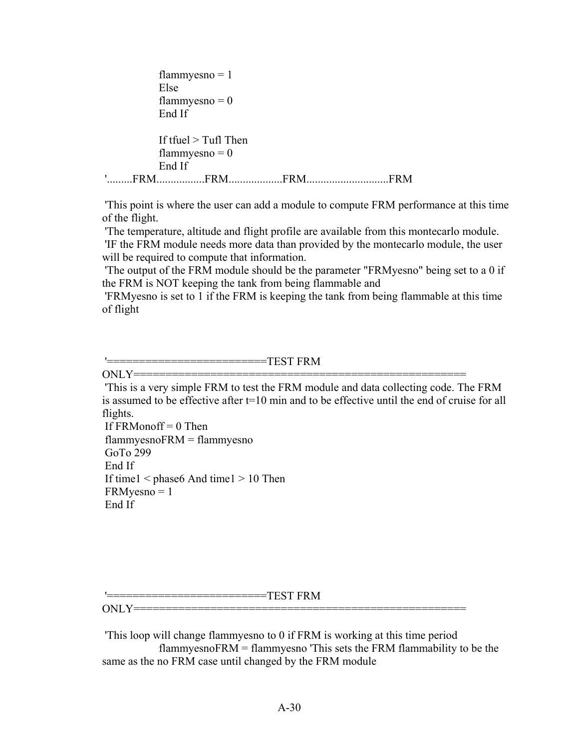```
flammyesno = 1 Else
            flammyesno = 0 End If
            If tfuel > Tufl Then
            flammyesno = 0 End If
'.........FRM.................FRM...................FRM.............................FRM
```
'This point is where the user can add a module to compute FRM performance at this time of the flight.

'The temperature, altitude and flight profile are available from this montecarlo module. 'IF the FRM module needs more data than provided by the montecarlo module, the user will be required to compute that information.

'The output of the FRM module should be the parameter "FRMyesno" being set to a 0 if the FRM is NOT keeping the tank from being flammable and

'FRMyesno is set to 1 if the FRM is keeping the tank from being flammable at this time of flight

'=========================TEST FRM

 $ONLY = = = = = = = = =$ 

'This is a very simple FRM to test the FRM module and data collecting code. The FRM is assumed to be effective after t=10 min and to be effective until the end of cruise for all flights.

If  $FRMonoff = 0$  Then flammyesnoFRM = flammyesno GoTo 299 End If If time1 < phase6 And time1 > 10 Then FRMyesno = 1 End If

 $=\! \mathrm{TEST}\:\mathrm{FRM}$ 

ONLY====================================================

'This loop will change flammyesno to 0 if FRM is working at this time period flammyesnoFRM = flammyesno 'This sets the FRM flammability to be the same as the no FRM case until changed by the FRM module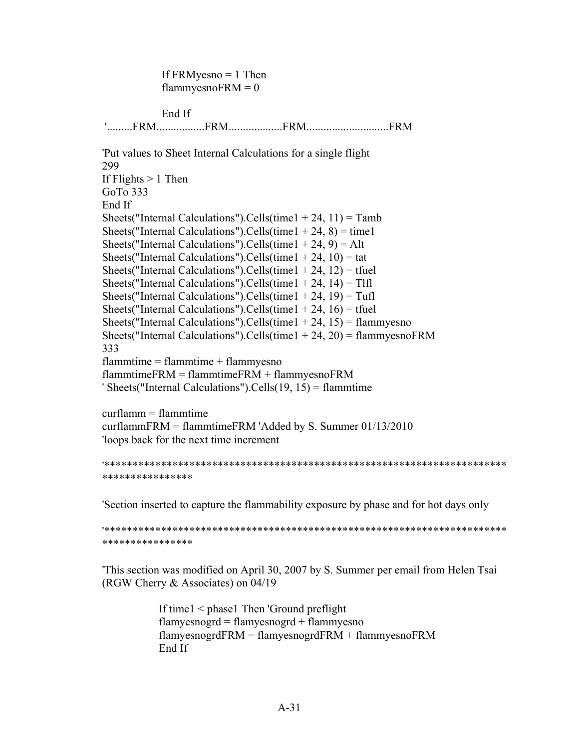If  $FRMyesno = 1$  Then flammyesno $FRM = 0$  End If '.........FRM.................FRM...................FRM.............................FRM 'Put values to Sheet Internal Calculations for a single flight 299 If Flights  $> 1$  Then GoTo 333 End If Sheets("Internal Calculations").Cells(time1 + 24, 11) = Tamb Sheets("Internal Calculations").Cells(time1 + 24, 8) = time1 Sheets("Internal Calculations").Cells(time1 + 24,  $9$ ) = Alt Sheets("Internal Calculations").Cells(time1 + 24, 10) = tat Sheets("Internal Calculations").Cells(time1 + 24, 12) = tfuel Sheets("Internal Calculations").Cells(time1 + 24, 14) = Tlfl Sheets("Internal Calculations").Cells(time1 + 24, 19) = Tufl Sheets("Internal Calculations").Cells(time1 + 24, 16) = tfuel Sheets("Internal Calculations").Cells(time1 + 24, 15) = flammyesno Sheets("Internal Calculations").Cells(time1 + 24, 20) = flammyesno $FRM$ 333  $flammtime = flammtime + flammyesno$ flammtimeFRM = flammtimeFRM + flammyesnoFRM ' Sheets("Internal Calculations").Cells(19, 15) = flammtime curflamm = flammtime

curflammFRM = flammtimeFRM 'Added by S. Summer 01/13/2010 'loops back for the next time increment

```
'***********************************************************************
***************
```
'Section inserted to capture the flammability exposure by phase and for hot days only

'\*\*\*\*\*\*\*\*\*\*\*\*\*\*\*\*\*\*\*\*\*\*\*\*\*\*\*\*\*\*\*\*\*\*\*\*\*\*\*\*\*\*\*\*\*\*\*\*\*\*\*\*\*\*\*\*\*\*\*\*\*\*\*\*\*\*\*\*\*\*\* \*\*\*\*\*\*\*\*\*\*\*\*\*\*\*\*

'This section was modified on April 30, 2007 by S. Summer per email from Helen Tsai (RGW Cherry & Associates) on 04/19

> If time1 < phase1 Then 'Ground preflight flamyesnogrd = flamyesnogrd + flammyesno flamyesnogrdFRM = flamyesnogrdFRM + flammyesnoFRM End If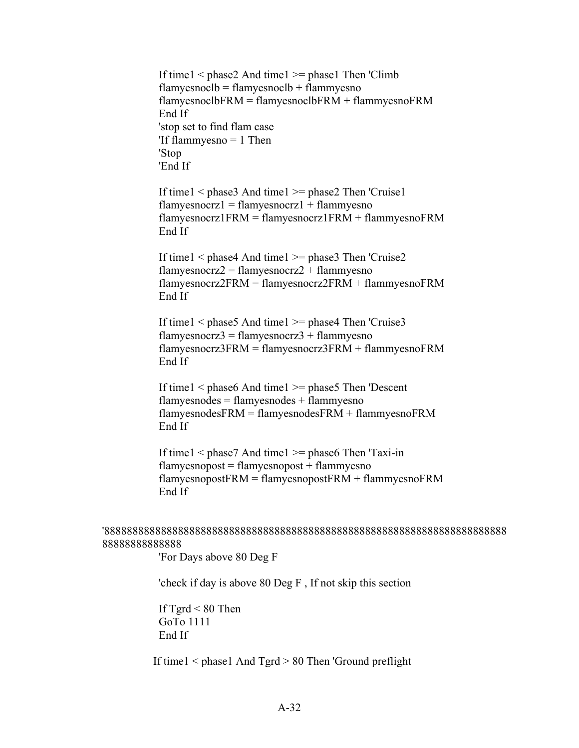If time1  $\leq$  phase2 And time1  $\geq$ = phase1 Then 'Climb  $flamyesnoclb = flamyesnoclb + flammyesno$  $flamyesnoclbFRM = flamyesnoclbFRM + flammyesnoFRM$  End If 'stop set to find flam case 'If flammyesno = 1 Then 'Stop 'End If

If time1  $\leq$  phase3 And time1  $\geq$ = phase2 Then 'Cruise1 flamyesnocrz $1 =$ flamyesnocrz $1 +$ flammyesno flamyesnocrz1FRM = flamyesnocrz1FRM + flammyesnoFRM End If

If time1  $\leq$  phase4 And time1  $\geq$ = phase3 Then 'Cruise2 flamyesnocrz $2 =$ flamyesnocrz $2 +$ flammyesno flamyesnocrz2FRM = flamyesnocrz2FRM + flammyesnoFRM End If

If time1  $\leq$  phase5 And time1  $\geq$ = phase4 Then 'Cruise3 flamyesnocrz $3 =$ flamyesnocrz $3 +$ flammyesno flamyesnocrz3FRM = flamyesnocrz3FRM + flammyesnoFRM End If

If time1  $\leq$  phase6 And time1  $\geq$ = phase5 Then 'Descent  $flamves nodes = flamyes nodes + flammyes no$  flamyesnodesFRM = flamyesnodesFRM + flammyesnoFRM End If

 If time1 < phase7 And time1 >= phase6 Then 'Taxi-in  $flamyesnopost = flamyesnopost + flammyesno$  $flamyesnopostFRM = flamyesnopostFRM + flammyesnoFRM$ End If

## '88888888888888888888888888888888888888888888888888888888888888888888888 88888888888888

'For Days above 80 Deg F

'check if day is above 80 Deg F , If not skip this section

If  $Tgrd < 80$  Then GoTo 1111 End If

If time1 < phase1 And Tgrd > 80 Then 'Ground preflight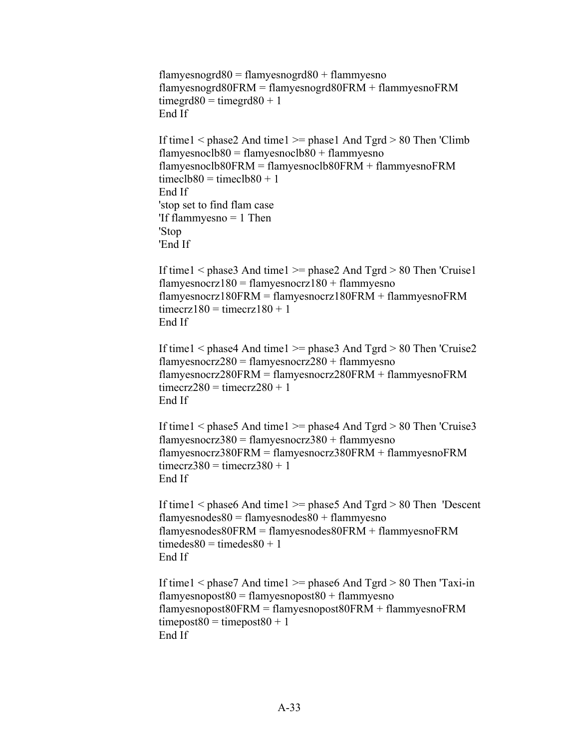```
flamyesnogrd80 =flamyesnogrd80 +flammyesno
 flamyesnogrd80FRM = flamyesnogrd80FRM + flammyesnoFRM
timegrd80 = timegrd80 + 1 End If
```
If time1  $\leq$  phase2 And time1  $\geq$  phase1 And Tgrd  $>$  80 Then 'Climb flamyesnoclb $80 =$ flamyesnoclb $80 +$ flammyesno flamyesnoclb80FRM = flamyesnoclb80FRM + flammyesnoFRM timecl $b80 =$ timecl $b80 + 1$  End If 'stop set to find flam case 'If flammyesno = 1 Then 'Stop 'End If

If time1  $\leq$  phase3 And time1  $\geq$  phase2 And Tgrd  $>$  80 Then 'Cruise1 flamyesnocrz $180$  = flamyesnocrz $180$  + flammyesno flamyesnocrz180FRM = flamyesnocrz180FRM + flammyesnoFRM  $timecrz180 = timecrz180 + 1$ End If

```
If time1 \leq phase4 And time1 \geq= phase3 And Tgrd > 80 Then 'Cruise2
flamyesnocrz280 = flamyesnocrz280 + flammyesno
 flamyesnocrz280FRM = flamyesnocrz280FRM + flammyesnoFRM
timecrz280 = timecrz280 + 1 End If
```

```
If time1 \leq phase5 And time1 \geq= phase4 And Tgrd > 80 Then 'Cruise3
flamyesnocrz380 = flamyesnocrz380 + flammyesno
 flamyesnocrz380FRM = flamyesnocrz380FRM + flammyesnoFRM
timecrz380 = timecrz380 + 1 End If
```

```
 If time1 < phase6 And time1 >= phase5 And Tgrd > 80 Then 'Descent
flamyesnodes80 =flamyesnodes80 +flammyesno
 flamyesnodes80FRM = flamyesnodes80FRM + flammyesnoFRM
timedes80 = timedes80 + 1 End If
```
If time1  $\leq$  phase7 And time1  $\geq$ = phase6 And Tgrd  $>$  80 Then 'Taxi-in flamyesnopost $80 =$ flamyesnopost $80 +$ flammyesno flamyesnopost80FRM = flamyesnopost80FRM + flammyesnoFRM  $timepost80 = timepost80 + 1$ End If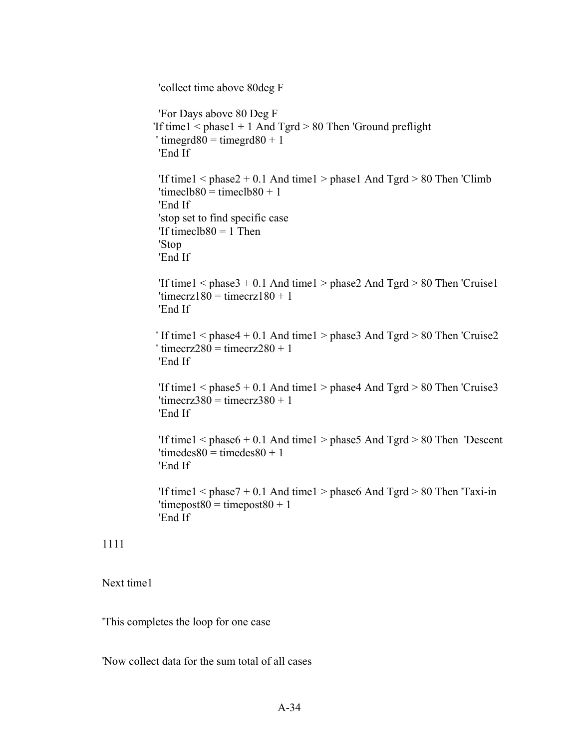'collect time above 80deg F 'For Days above 80 Deg F 'If time $1 <$  phase $1 + 1$  And Tgrd  $> 80$  Then 'Ground preflight ' timegrd $80 =$  timegrd $80 + 1$  'End If 'If time1 <  $phase2 + 0.1$  And time1 >  $phase1$  And Tgrd > 80 Then 'Climb 'timecl $b80 =$ timecl $b80 + 1$  'End If 'stop set to find specific case 'If timecl $b80 = 1$  Then 'Stop 'End If 'If time1 <  $phase3 + 0.1$  And time1 >  $phase2$  And Tgrd > 80 Then 'Cruise1 'timecrz $180 =$ timecrz $180 + 1$  'End If ' If time1  $\leq$  phase4 + 0.1 And time1  $>$  phase3 And Tgrd  $>$  80 Then 'Cruise2  $'$  timecrz $280 =$ timecrz $280 + 1$  'End If 'If time1 <  $phase5 + 0.1$  And time1 >  $phase4$  And Tgrd > 80 Then 'Cruise3 'timecrz $380 =$ timecrz $380 + 1$  'End If 'If time1  $\leq$  phase6 + 0.1 And time1  $>$  phase5 And Tgrd  $>$  80 Then 'Descent 'timedes $80 =$ timedes $80 + 1$ 'End If

'If time1  $\leq$  phase7 + 0.1 And time1  $>$  phase6 And Tgrd  $>$  80 Then 'Taxi-in 'timepost $80 =$ timepost $80 + 1$ 'End If

## 1111

Next time1

'This completes the loop for one case

'Now collect data for the sum total of all cases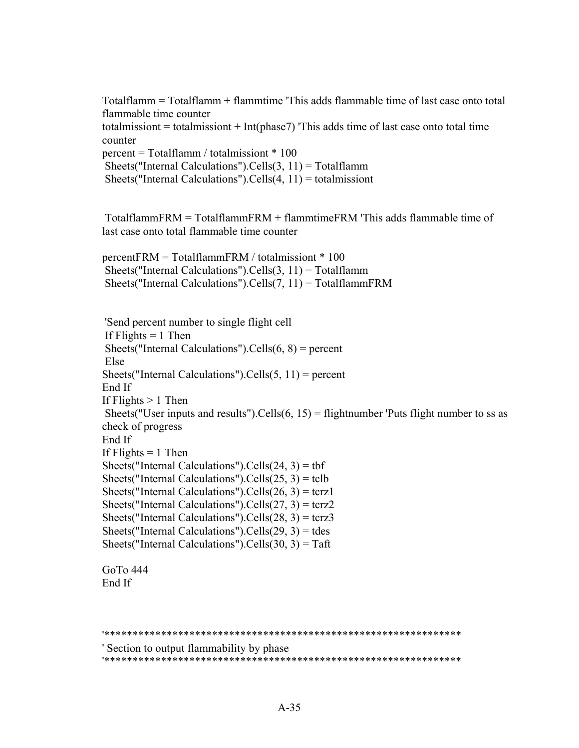Totalflamm = Totalflamm + flammtime 'This adds flammable time of last case onto total flammable time counter totalmissiont = totalmissiont + Int( $\beta$ hase) This adds time of last case onto total time counter percent = Totalflamm / totalmissiont \* 100 Sheets("Internal Calculations").Cells $(3, 11)$  = Totalflamm Sheets("Internal Calculations").Cells $(4, 11)$  = totalmissiont

TotalflammFRM = TotalflammFRM + flammtimeFRM 'This adds flammable time of last case onto total flammable time counter

percentFRM = TotalflammFRM / totalmissiont \* 100 Sheets("Internal Calculations").Cells $(3, 11)$  = Totalflamm Sheets("Internal Calculations").Cells $(7, 11)$  = TotalflammFRM

'Send percent number to single flight cell If Flights  $= 1$  Then Sheets("Internal Calculations").Cells $(6, 8)$  = percent Else Sheets("Internal Calculations").Cells $(5, 11)$  = percent End If If Flights  $> 1$  Then Sheets("User inputs and results"). Cells $(6, 15)$  = flightnumber 'Puts flight number to ss as check of progress End If If Flights  $= 1$  Then Sheets("Internal Calculations").Cells $(24, 3)$  = tbf Sheets("Internal Calculations").Cells $(25, 3)$  = tclb Sheets("Internal Calculations").Cells $(26, 3)$  = tcrz1 Sheets("Internal Calculations").Cells $(27, 3)$  = tcrz2 Sheets("Internal Calculations").Cells $(28, 3)$  = tcrz3 Sheets("Internal Calculations").Cells $(29, 3)$  = tdes Sheets("Internal Calculations").Cells $(30, 3)$  = Taft

GoTo 444 End If

```
'***************************************************************
' Section to output flammability by phase
'***************************************************************
```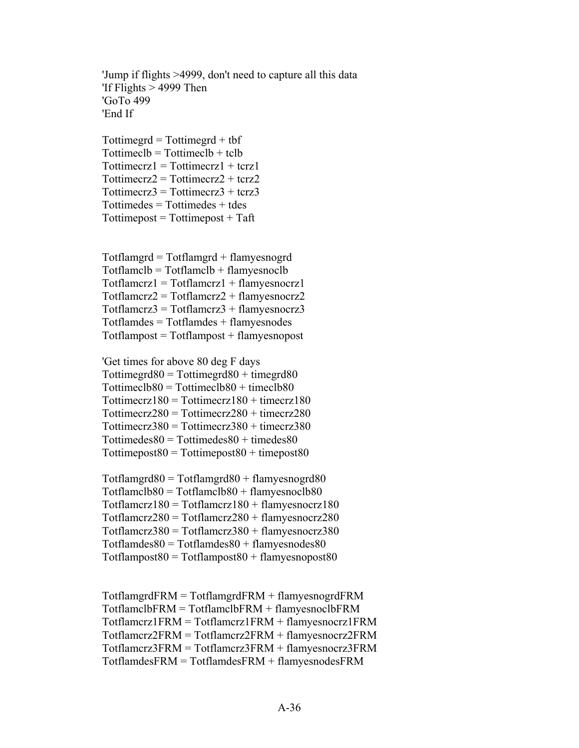'Jump if flights >4999, don't need to capture all this data 'If Flights  $> 4999$  Then 'GoTo 499 'End If

 $Tottingerd = Tottingerd + tbf$  $Tottimeclb = Tottimeclb + tclb$  $Tottimeerz1 = Tottimeerz1 + terz1$  $Tottimeerz2 = Tottimeerz2 + terz2$  $Tottimeerz3 = Tottimeerz3 + terz3$  $Tottimedes = Tottimedes + tdes$  $Tottimepost = Tottimepost + Taft$ 

Totflamgrd = Totflamgrd + flamyesnogrd  $Totflamclb = Totflamclb + flamvesnoclb$  $Totflamerz1 = Totflamerz1 + flamyesnoerz1$  $Totflamerz2 = Totflamerz2 + flamyesnoerz2$  $Totflamerz3 = Totflamerz3 + flamyesnoerz3$ Totflamdes = Totflamdes + flamyesnodes  $Totflampost = Totflampost + flampesnopost$ 

'Get times for above 80 deg F days  $Tottinged80 = Tottinged80 + timegrd80$  $Tottimec1b80 = Tottimec1b80 + timec1b80$  $Tottimerz180 = Tottimerz180 + timecz180$  $Tottimeerz280 = Tottimeerz280 + timeerz280$  $Tottimeerz380 = Tottimeerz380 + timeerz380$  $Tottimedes80 = Tottimedes80 + timedes80$  $Tottimepost80 = Tottimepost80 + timepost80$ 

 $Totflamgrd80 = Totflamgrd80 + flamyesnogrd80$  $Totflamelb80 = Totflamelb80 + flamyesnoelb80$  $Totflamerz180 = Totflamerz180 + flamyesnoerz180$  $Totflamerz280 = Totflamerz280 + flamyesnoerz280$  $Totflamerz380 = Totflamerz380 + flamyesnoerz380$  $Totflamdes80 = Totflamdes80 + flamyesnodes80$  $Totflampost80 = Totflampost80 + flampesnopost80$ 

TotflamgrdFRM = TotflamgrdFRM + flamyesnogrdFRM TotflamclbFRM = TotflamclbFRM + flamyesnoclbFRM Totflamcrz1FRM = Totflamcrz1FRM + flamyesnocrz1FRM Totflamcrz2FRM = Totflamcrz2FRM + flamyesnocrz2FRM Totflamcrz3FRM = Totflamcrz3FRM + flamyesnocrz3FRM TotflamdesFRM = TotflamdesFRM + flamyesnodesFRM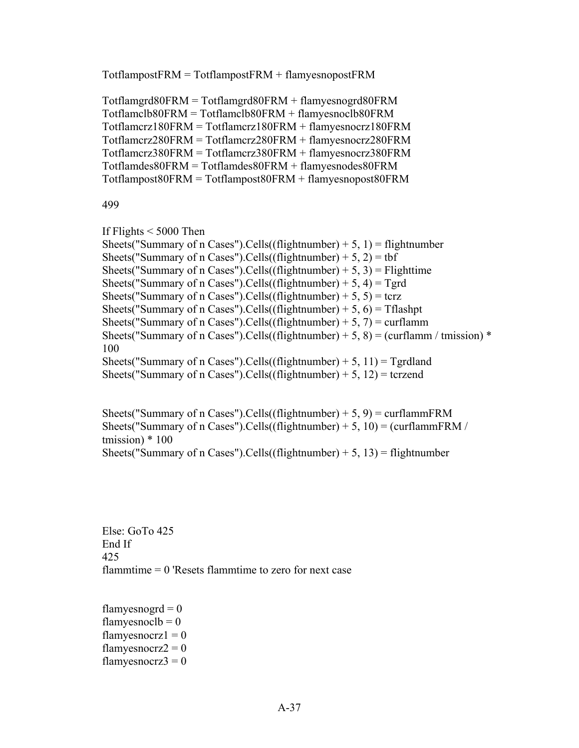```
TotflampostFRM = TotflampostFRM + flamyesnopostFRM
```
Totflamgrd80FRM = Totflamgrd80FRM + flamyesnogrd80FRM Totflamclb80FRM = Totflamclb80FRM + flamyesnoclb80FRM Totflamcrz180FRM = Totflamcrz180FRM + flamyesnocrz180FRM Totflamcrz280FRM = Totflamcrz280FRM + flamyesnocrz280FRM Totflamcrz380FRM = Totflamcrz380FRM + flamyesnocrz380FRM Totflamdes80FRM = Totflamdes80FRM + flamyesnodes80FRM Totflampost80FRM = Totflampost80FRM + flamyesnopost80FRM

499

If Flights  $<$  5000 Then

Sheets("Summary of n Cases").Cells((flightnumber) + 5, 1) = flightnumber Sheets("Summary of n Cases").Cells((flightnumber) + 5, 2) = tbf Sheets("Summary of n Cases").Cells((flightnumber) + 5, 3) = Flighttime Sheets("Summary of n Cases").Cells((flightnumber) + 5, 4) =  $Tgrd$ Sheets("Summary of n Cases").Cells((flightnumber) + 5, 5) = tcrz Sheets("Summary of n Cases").Cells((flightnumber) + 5, 6) = Tflashpt Sheets("Summary of n Cases").Cells((flightnumber) + 5, 7) = curflamm Sheets("Summary of n Cases").Cells((flightnumber) + 5, 8) = (curflamm / tmission)  $*$ 100 Sheets("Summary of n Cases").Cells((flightnumber) + 5, 11) = Tgrdland Sheets("Summary of n Cases").Cells((flightnumber) + 5, 12) = tcrzend

Sheets("Summary of n Cases").Cells((flightnumber) + 5, 9) = curflammFRM Sheets("Summary of n Cases").Cells((flightnumber) + 5, 10) = (curflammFRM / tmission)  $*100$ Sheets("Summary of n Cases").Cells((flightnumber) + 5, 13) = flightnumber

Else: GoTo 425 End If 425 flammtime  $= 0$  'Resets flammtime to zero for next case

flamyesnogrd  $= 0$ flamyesnocl $b = 0$ flamyesnocrz $1 = 0$ flamyesnocrz $2 = 0$ flamyesnocrz $3 = 0$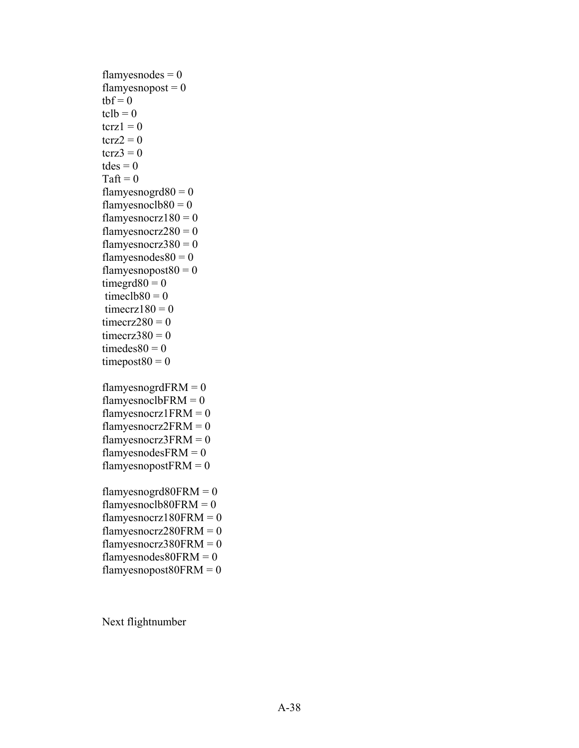```
flamyes nodes = 0flamyesnopost = 0tbf = 0tclb = 0\text{terz1} = 0\text{terz2} = 0\text{terz3} = 0tdes = 0Taft = 0
flamyesnogrd80 = 0flamyesnoclb80 = 0flamyesnocrz180 = 0flamyesnocrz280 = 0flamyesnocrz380 = 0flamyes nodes 80 = 0flamyesnopost80 = 0timegrd80 = 0timeclb80 = 0timecrz180 = 0timecrz280 = 0timecrz380 = 0timedes80 = 0timepost80 = 0flamyesnogrdFRM = 0flamyesnoclbFRM = 0flamyesnocrz1FRM = 0
flamyesnocrz2FRM = 0flamyesnocrz3FRM = 0flamyesnodesFRM = 0flamyesnopostFRM = 0flamyesnogrd80FRM = 0
flamyesnoclb80FRM = 0
flamyesnocrz180FRM = 0
flamyesnocrz280FRM = 0
flamyesnocrz380FRM = 0
flamyesnodes80FRM = 0
flamyesnopost80FRM = 0
```
Next flightnumber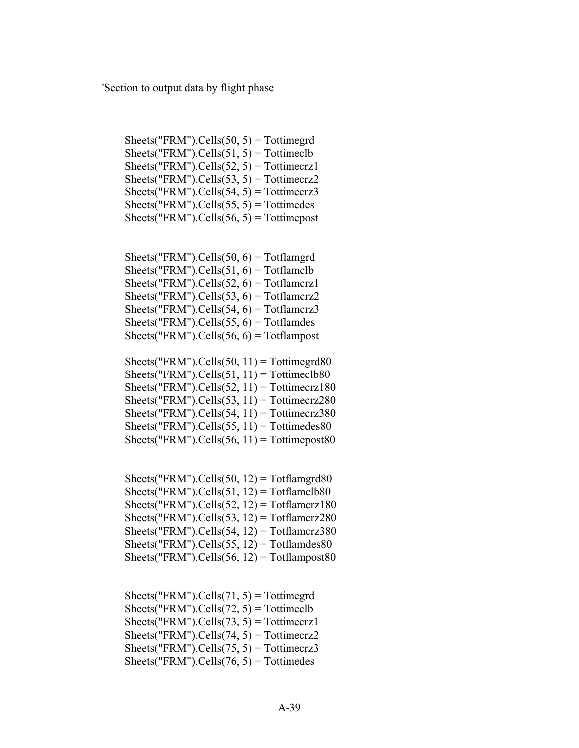'Section to output data by flight phase

Sheets("FRM").Cells $(50, 5)$  = Tottimegrd Sheets("FRM").Cells $(51, 5)$  = Tottimeclb  $Sheets("FRM").Cells(52, 5) = Tottimeerz1$  $Sheets("FRM").Cells(53, 5) = Tottimeerz2$  $Sheets("FRM").Cells(54, 5) = Tottimeerz3$ Sheets("FRM").Cells $(55, 5)$  = Tottimedes Sheets("FRM").Cells $(56, 5)$  = Tottimepost

Sheets("FRM").Cells $(50, 6)$  = Totflamgrd Sheets("FRM").Cells $(51, 6)$  = Totflamclb Sheets("FRM").Cells $(52, 6)$  = Totflamcrz1  $Sheets("FRM").Cells(53, 6) = Totflamerz2$ Sheets("FRM").Cells $(54, 6)$  = Totflamcrz3 Sheets("FRM").Cells $(55, 6)$  = Totflamdes Sheets("FRM").Cells $(56, 6)$  = Totflampost

Sheets("FRM").Cells(50, 11) = Tottimegrd80  $Sheets("FRM").Cells(51, 11) = Tottimeelb80$ Sheets("FRM").Cells(52, 11) = Tottimecrz180 Sheets("FRM").Cells $(53, 11)$  = Tottimecrz280  $Sheets("FRM").Cells(54, 11) = Tottimecrz380$ Sheets("FRM").Cells $(55, 11)$  = Tottimedes80 Sheets("FRM").Cells $(56, 11)$  = Tottimepost80

Sheets("FRM").Cells(50, 12) = Totflamgrd80 Sheets("FRM").Cells $(51, 12)$  = Totflamclb80 Sheets("FRM").Cells $(52, 12)$  = Totflamcrz180 Sheets("FRM").Cells $(53, 12)$  = Totflamcrz280  $Sheets("FRM").Cells(54, 12) = Totflamerz380$ Sheets("FRM").Cells $(55, 12)$  = Totflamdes80 Sheets("FRM").Cells $(56, 12)$  = Totflampost80

Sheets("FRM").Cells $(71, 5)$  = Tottimegrd Sheets("FRM").Cells(72, 5) = Tottimeclb Sheets("FRM").Cells(73, 5) = Tottimecrz1  $Sheets("FRM").Cells(74, 5) = Tottimecrz2$  $Sheets("FRM").Cells(75, 5) = Tottimeerz3$ Sheets("FRM").Cells $(76, 5)$  = Tottimedes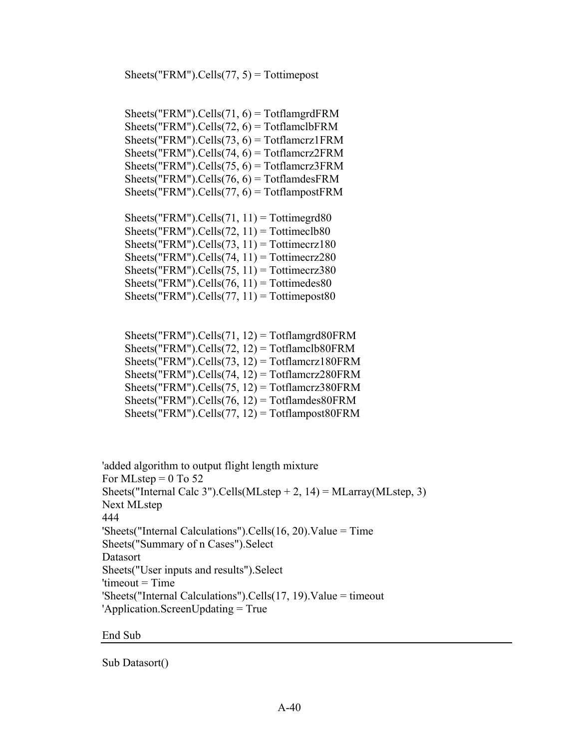$Sheets("FRM").Cells(77, 5) = Tottimepost$ 

Sheets("FRM").Cells(71,  $6$ ) = TotflamgrdFRM Sheets("FRM").Cells(72,  $6$ ) = TotflamclbFRM  $Sheets("FRM").Cells(73, 6) = Totflamcrz1FRM$ Sheets("FRM").Cells(74,  $6$ ) = Totflamcrz2FRM  $Sheets("FRM")$ . $Cells(75, 6) = Totflamcrz3FRM$  $Sheets("FRM").Cells(76, 6) = TotflandesFRM$  $Sheets("FRM").Cells(77, 6) = TotflampostFRM$ 

Sheets("FRM").Cells(71,  $11$ ) = Tottimegrd80 Sheets("FRM").Cells(72,  $11$ ) = Tottimeclb80 Sheets("FRM").Cells(73, 11) = Tottimecrz180  $Sheets("FRM").Cells(74, 11) = Tottimecrz280$  $Sheets("FRM").Cells(75, 11) = Tottimecrz380$ Sheets("FRM").Cells(76,  $11$ ) = Tottimedes80 Sheets("FRM").Cells(77,  $11$ ) = Tottimepost80

|  | Sheets("FRM").Cells(71, 12) = Totflamgrd80FRM     |  |
|--|---------------------------------------------------|--|
|  | Sheets("FRM").Cells(72, 12) = Totflamclb80FRM     |  |
|  | Sheets("FRM").Cells(73, 12) = Totflamcrz180FRM    |  |
|  | Sheets("FRM").Cells(74, 12) = Totflamcrz280FRM    |  |
|  | Sheets("FRM").Cells(75, 12) = Totflamcrz380FRM    |  |
|  | Sheets("FRM").Cells(76, 12) = Totflamdes80FRM     |  |
|  | Sheets("FRM").Cells(77, $12$ ) = Totflampost80FRM |  |

'added algorithm to output flight length mixture For MLstep  $= 0$  To 52 Sheets("Internal Calc 3").Cells(MLstep  $+ 2$ , 14) = MLarray(MLstep, 3) Next MLstep 444 'Sheets("Internal Calculations").Cells $(16, 20)$ .Value = Time Sheets("Summary of n Cases").Select Datasort Sheets("User inputs and results").Select  $'timeout = Time$ 'Sheets("Internal Calculations").Cells(17, 19).Value = timeout 'Application.ScreenUpdating = True

End Sub

Sub Datasort()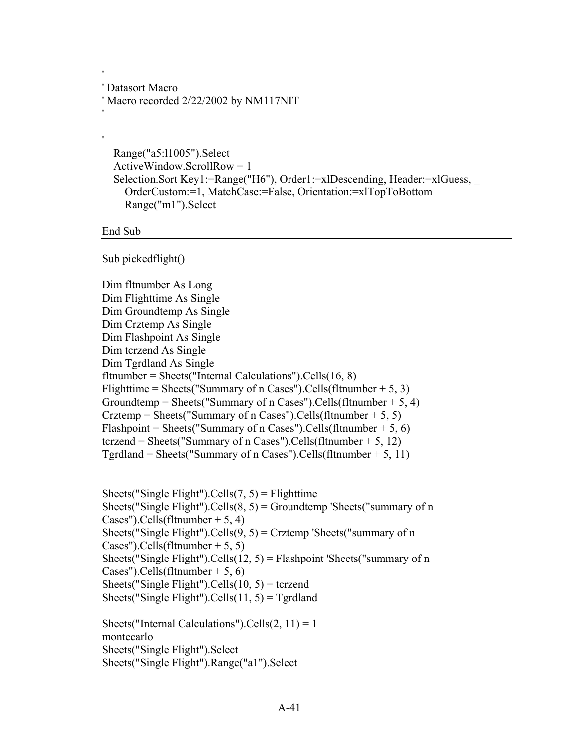' Datasort Macro ' Macro recorded 2/22/2002 by NM117NIT

 Range("a5:l1005").Select ActiveWindow.ScrollRow = 1 Selection.Sort Key1:=Range("H6"), Order1:=xlDescending, Header:=xlGuess, \_ OrderCustom:=1, MatchCase:=False, Orientation:=xlTopToBottom Range("m1").Select

End Sub

'

'

'

Sub pickedflight()

Dim fltnumber As Long Dim Flighttime As Single Dim Groundtemp As Single Dim Crztemp As Single Dim Flashpoint As Single Dim tcrzend As Single Dim Tgrdland As Single fltnumber = Sheets("Internal Calculations"). Cells $(16, 8)$ Flighttime = Sheets("Summary of n Cases").Cells(fltnumber + 5, 3) Groundtemp = Sheets("Summary of n Cases").Cells(fltnumber  $+ 5, 4$ ) Crztemp = Sheets("Summary of n Cases").Cells(fltnumber + 5, 5) Flashpoint = Sheets("Summary of n Cases").Cells(fltnumber + 5, 6) tcrzend = Sheets("Summary of n Cases").Cells(fltnumber + 5, 12) Tgrdland = Sheets("Summary of n Cases").Cells(fltnumber  $+5$ , 11)

Sheets("Single Flight").Cells $(7, 5)$  = Flighttime Sheets("Single Flight"). Cells $(8, 5)$  = Groundtemp 'Sheets("summary of n Cases").Cells(fltnumber  $+ 5, 4$ ) Sheets("Single Flight").Cells $(9, 5)$  = Crztemp 'Sheets("summary of n Cases").Cells(fltnumber  $+ 5, 5$ ) Sheets("Single Flight").Cells(12, 5) = Flashpoint 'Sheets("summary of n Cases").Cells(fltnumber  $+ 5, 6$ ) Sheets("Single Flight").Cells $(10, 5)$  = tcrzend Sheets("Single Flight").Cells $(11, 5)$  = Tgrdland

Sheets("Internal Calculations").Cells $(2, 11) = 1$ montecarlo Sheets("Single Flight").Select Sheets("Single Flight").Range("a1").Select